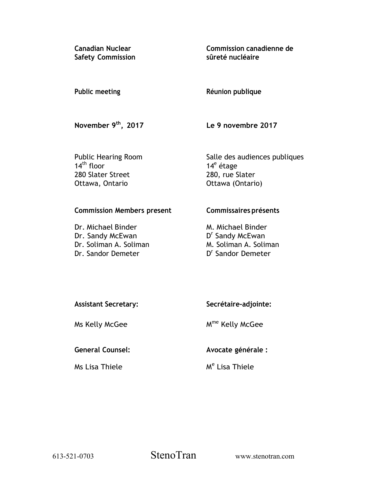**Canadian Nuclear Safety Commission**  **Commission canadienne de sûreté nucléaire** 

## **Public meeting**

**Réunion publique** 

**November 9th, 2017** 

**Le 9 novembre 2017** 

Public Hearing Room  $14<sup>th</sup>$  floor 280 Slater Street Ottawa, Ontario

Salle des audiences publiques 14<sup>e</sup> étage 280, rue Slater Ottawa (Ontario)

# **Commission Members present**

Dr. Michael Binder Dr. Sandy McEwan Dr. Soliman A. Soliman Dr. Sandor Demeter

# **Commissaires présents**

M. Michael Binder D<sup>r</sup> Sandy McEwan M. Soliman A. Soliman D<sup>r</sup> Sandor Demeter

| <b>Assistant Secretary:</b> | Secrétaire-adjointe:        |
|-----------------------------|-----------------------------|
| Ms Kelly McGee              | M <sup>me</sup> Kelly McGee |

**General Counsel:** 

Ms Lisa Thiele

M<sup>e</sup> Lisa Thiele

**Avocate générale :** 

613-521-0703 StenoTran www.stenotran.com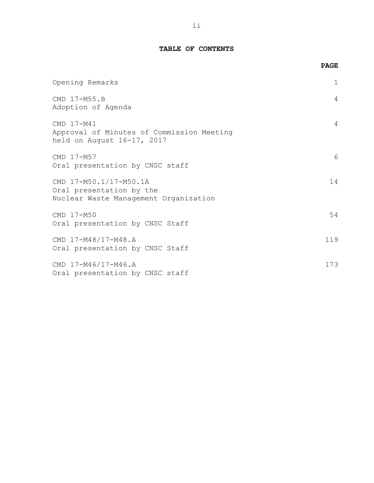## **TABLE OF CONTENTS**

|                                                                                             | <b>PAGE</b>    |
|---------------------------------------------------------------------------------------------|----------------|
| Opening Remarks                                                                             | $\mathbf{1}$   |
| CMD 17-M55.B<br>Adoption of Agenda                                                          | $\overline{4}$ |
| CMD 17-M41<br>Approval of Minutes of Commission Meeting<br>held on August 16-17, 2017       | 4              |
| CMD 17-M57<br>Oral presentation by CNSC staff                                               | 6              |
| CMD 17-M50.1/17-M50.1A<br>Oral presentation by the<br>Nuclear Waste Management Organization | 14             |
| CMD 17-M50<br>Oral presentation by CNSC Staff                                               | 54             |
| CMD 17-M48/17-M48.A<br>Oral presentation by CNSC Staff                                      | 119            |
| CMD 17-M46/17-M46.A<br>Oral presentation by CNSC staff                                      | 173            |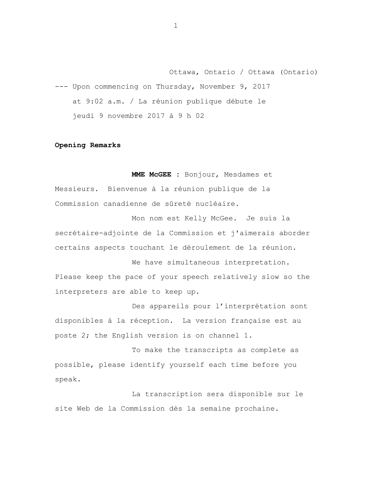<span id="page-2-0"></span>Ottawa, Ontario / Ottawa (Ontario) --- Upon commencing on Thursday, November 9, 2017 at 9:02 a.m. / La réunion publique débute le jeudi 9 novembre 2017 à 9 h 02

#### **Opening Remarks**

**MME McGEE :** Bonjour, Mesdames et Messieurs. Bienvenue à la réunion publique de la Commission canadienne de sûreté nucléaire.

Mon nom est Kelly McGee. Je suis la secrétaire-adjointe de la Commission et j'aimerais aborder certains aspects touchant le déroulement de la réunion.

We have simultaneous interpretation. Please keep the pace of your speech relatively slow so the interpreters are able to keep up.

Des appareils pour l'interprétation sont disponibles à la réception. La version française est au poste 2; the English version is on channel 1.

To make the transcripts as complete as possible, please identify yourself each time before you speak.

La transcription sera disponible sur le site Web de la Commission dès la semaine prochaine.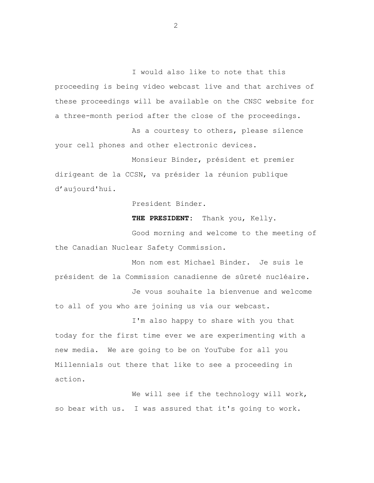I would also like to note that this proceeding is being video webcast live and that archives of these proceedings will be available on the CNSC website for a three-month period after the close of the proceedings.

As a courtesy to others, please silence your cell phones and other electronic devices.

Monsieur Binder, président et premier dirigeant de la CCSN, va présider la réunion publique d'aujourd'hui.

President Binder.

THE PRESIDENT: Thank you, Kelly.

Good morning and welcome to the meeting of the Canadian Nuclear Safety Commission.

Mon nom est Michael Binder. Je suis le président de la Commission canadienne de sûreté nucléaire. Je vous souhaite la bienvenue and welcome to all of you who are joining us via our webcast.

I'm also happy to share with you that today for the first time ever we are experimenting with a new media. We are going to be on YouTube for all you Millennials out there that like to see a proceeding in action.

We will see if the technology will work, so bear with us. I was assured that it's going to work.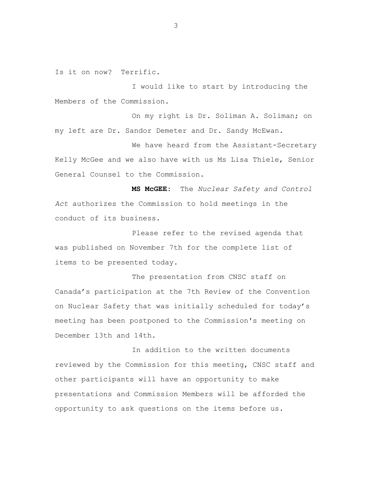Is it on now? Terrific.

I would like to start by introducing the Members of the Commission.

On my right is Dr. Soliman A. Soliman; on my left are Dr. Sandor Demeter and Dr. Sandy McEwan.

We have heard from the Assistant-Secretary Kelly McGee and we also have with us Ms Lisa Thiele, Senior General Counsel to the Commission.

**MS McGEE:** The *Nuclear Safety and Control Act* authorizes the Commission to hold meetings in the conduct of its business.

Please refer to the revised agenda that was published on November 7th for the complete list of items to be presented today.

The presentation from CNSC staff on Canada's participation at the 7th Review of the Convention on Nuclear Safety that was initially scheduled for today's meeting has been postponed to the Commission's meeting on December 13th and 14th.

In addition to the written documents reviewed by the Commission for this meeting, CNSC staff and other participants will have an opportunity to make presentations and Commission Members will be afforded the opportunity to ask questions on the items before us.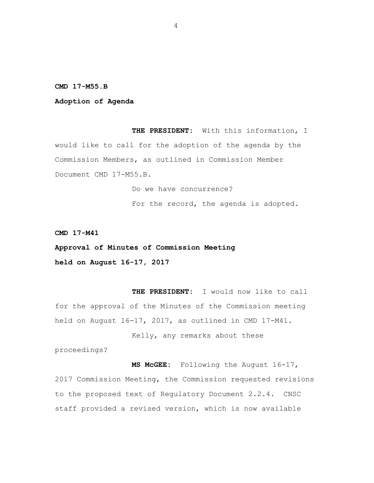#### <span id="page-5-0"></span>**CMD 17-M55.B**

#### **Adoption of Agenda**

**THE PRESIDENT:** With this information, I would like to call for the adoption of the agenda by the Commission Members, as outlined in Commission Member Document CMD 17-M55.B.

> Do we have concurrence? For the record, the agenda is adopted.

**CMD 17-M41** 

**Approval of Minutes of Commission Meeting held on August 16-17, 2017** 

**THE PRESIDENT:** I would now like to call for the approval of the Minutes of the Commission meeting held on August 16-17, 2017, as outlined in CMD 17-M41.

Kelly, any remarks about these

proceedings?

**MS McGEE:** Following the August 16-17, 2017 Commission Meeting, the Commission requested revisions to the proposed text of Regulatory Document 2.2.4. CNSC staff provided a revised version, which is now available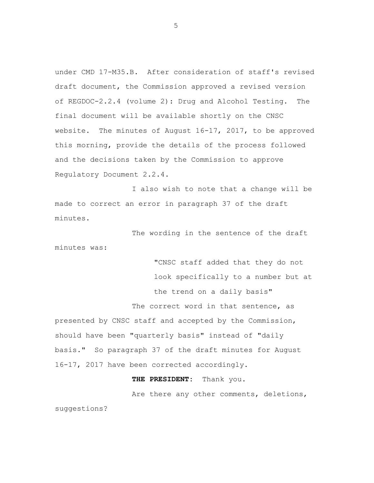under CMD 17-M35.B. After consideration of staff's revised draft document, the Commission approved a revised version of REGDOC-2.2.4 (volume 2): Drug and Alcohol Testing. The final document will be available shortly on the CNSC website. The minutes of August 16-17, 2017, to be approved this morning, provide the details of the process followed and the decisions taken by the Commission to approve Regulatory Document 2.2.4.

I also wish to note that a change will be made to correct an error in paragraph 37 of the draft minutes.

The wording in the sentence of the draft minutes was:

"CNSC staff added that they do not look specifically to a number but at the trend on a daily basis" The correct word in that sentence, as presented by CNSC staff and accepted by the Commission, should have been "quarterly basis" instead of "daily basis." So paragraph 37 of the draft minutes for August 16-17, 2017 have been corrected accordingly.

**THE PRESIDENT:** Thank you.

Are there any other comments, deletions, suggestions?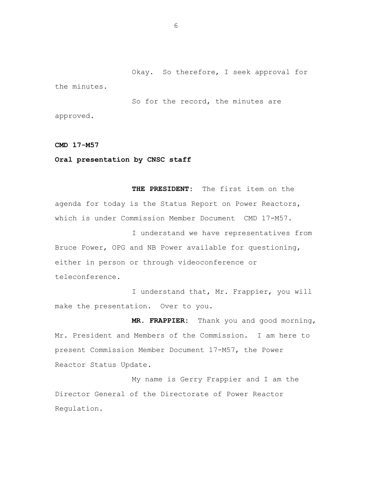<span id="page-7-0"></span>Okay. So therefore, I seek approval for the minutes.

So for the record, the minutes are approved.

**CMD 17-M57** 

**Oral presentation by CNSC staff** 

**THE PRESIDENT:** The first item on the agenda for today is the Status Report on Power Reactors, which is under Commission Member Document CMD 17-M57.

I understand we have representatives from Bruce Power, OPG and NB Power available for questioning, either in person or through videoconference or teleconference.

I understand that, Mr. Frappier, you will make the presentation. Over to you.

**MR. FRAPPIER:** Thank you and good morning, Mr. President and Members of the Commission. I am here to present Commission Member Document 17-M57, the Power Reactor Status Update.

My name is Gerry Frappier and I am the Director General of the Directorate of Power Reactor Regulation.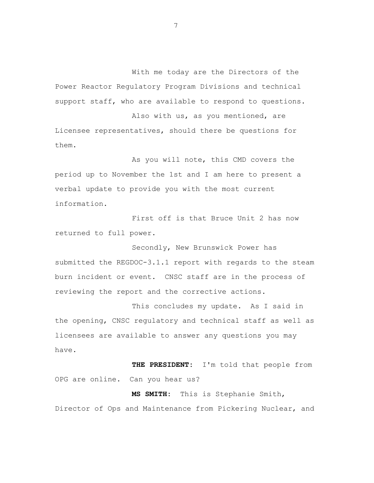With me today are the Directors of the Power Reactor Regulatory Program Divisions and technical support staff, who are available to respond to questions.

Also with us, as you mentioned, are Licensee representatives, should there be questions for them.

As you will note, this CMD covers the period up to November the 1st and I am here to present a verbal update to provide you with the most current information.

First off is that Bruce Unit 2 has now returned to full power.

Secondly, New Brunswick Power has submitted the REGDOC-3.1.1 report with regards to the steam burn incident or event. CNSC staff are in the process of reviewing the report and the corrective actions.

This concludes my update. As I said in the opening, CNSC regulatory and technical staff as well as licensees are available to answer any questions you may have.

**THE PRESIDENT:** I'm told that people from OPG are online. Can you hear us?

**MS SMITH:** This is Stephanie Smith, Director of Ops and Maintenance from Pickering Nuclear, and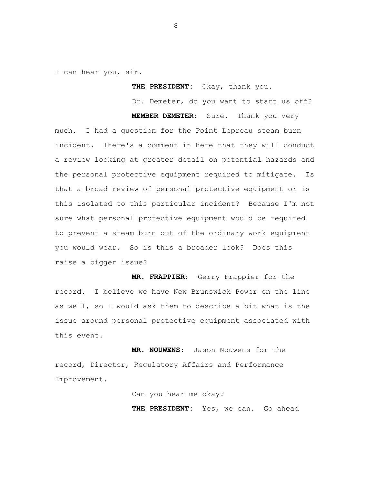I can hear you, sir.

**THE PRESIDENT:** Okay, thank you.

Dr. Demeter, do you want to start us off?

**MEMBER DEMETER:** Sure. Thank you very

much. I had a question for the Point Lepreau steam burn incident. There's a comment in here that they will conduct a review looking at greater detail on potential hazards and the personal protective equipment required to mitigate. Is that a broad review of personal protective equipment or is this isolated to this particular incident? Because I'm not sure what personal protective equipment would be required to prevent a steam burn out of the ordinary work equipment you would wear. So is this a broader look? Does this raise a bigger issue?

**MR. FRAPPIER:** Gerry Frappier for the record. I believe we have New Brunswick Power on the line as well, so I would ask them to describe a bit what is the issue around personal protective equipment associated with this event.

**MR. NOUWENS:** Jason Nouwens for the record, Director, Regulatory Affairs and Performance Improvement.

> Can you hear me okay? THE PRESIDENT: Yes, we can. Go ahead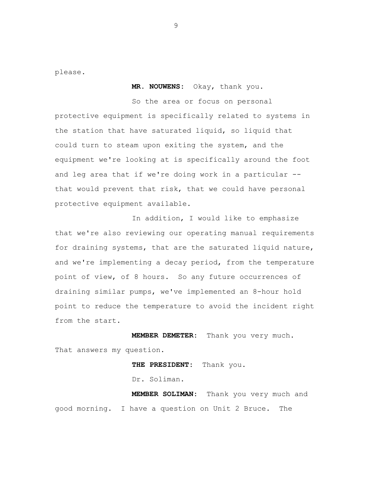please.

**MR. NOUWENS:** Okay, thank you.

So the area or focus on personal protective equipment is specifically related to systems in the station that have saturated liquid, so liquid that could turn to steam upon exiting the system, and the equipment we're looking at is specifically around the foot and leg area that if we're doing work in a particular - that would prevent that risk, that we could have personal protective equipment available.

In addition, I would like to emphasize that we're also reviewing our operating manual requirements for draining systems, that are the saturated liquid nature, and we're implementing a decay period, from the temperature point of view, of 8 hours. So any future occurrences of draining similar pumps, we've implemented an 8-hour hold point to reduce the temperature to avoid the incident right from the start.

**MEMBER DEMETER:** Thank you very much. That answers my question.

> **THE PRESIDENT:** Thank you. Dr. Soliman.

**MEMBER SOLIMAN:** Thank you very much and good morning. I have a question on Unit 2 Bruce. The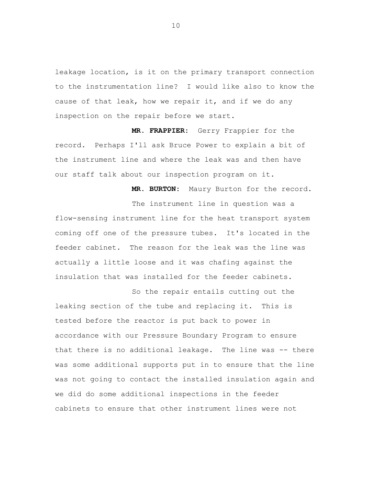leakage location, is it on the primary transport connection to the instrumentation line? I would like also to know the cause of that leak, how we repair it, and if we do any inspection on the repair before we start.

**MR. FRAPPIER:** Gerry Frappier for the record. Perhaps I'll ask Bruce Power to explain a bit of the instrument line and where the leak was and then have our staff talk about our inspection program on it.

**MR. BURTON:** Maury Burton for the record.

The instrument line in question was a flow-sensing instrument line for the heat transport system coming off one of the pressure tubes. It's located in the feeder cabinet. The reason for the leak was the line was actually a little loose and it was chafing against the insulation that was installed for the feeder cabinets.

So the repair entails cutting out the leaking section of the tube and replacing it. This is tested before the reactor is put back to power in accordance with our Pressure Boundary Program to ensure that there is no additional leakage. The line was -- there was some additional supports put in to ensure that the line was not going to contact the installed insulation again and we did do some additional inspections in the feeder cabinets to ensure that other instrument lines were not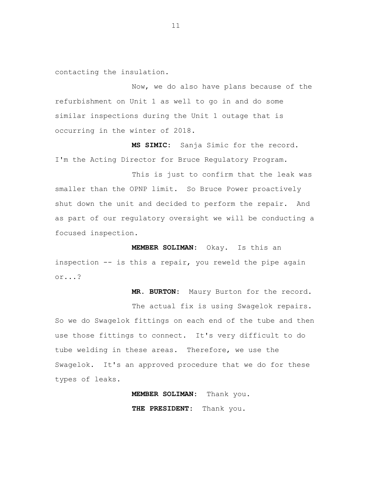contacting the insulation.

Now, we do also have plans because of the refurbishment on Unit 1 as well to go in and do some similar inspections during the Unit 1 outage that is occurring in the winter of 2018.

**MS SIMIC:** Sanja Simic for the record. I'm the Acting Director for Bruce Regulatory Program.

This is just to confirm that the leak was smaller than the OPNP limit. So Bruce Power proactively shut down the unit and decided to perform the repair. And as part of our regulatory oversight we will be conducting a focused inspection.

**MEMBER SOLIMAN:** Okay. Is this an inspection -- is this a repair, you reweld the pipe again or...?

**MR. BURTON:** Maury Burton for the record.

The actual fix is using Swagelok repairs. So we do Swagelok fittings on each end of the tube and then use those fittings to connect. It's very difficult to do tube welding in these areas. Therefore, we use the Swagelok. It's an approved procedure that we do for these types of leaks.

> **MEMBER SOLIMAN:** Thank you. **THE PRESIDENT:** Thank you.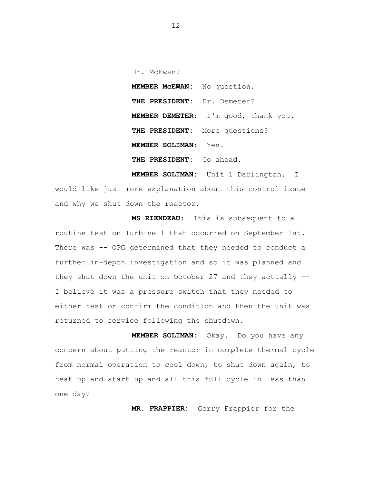Dr. McEwan?  **MEMBER McEWAN:** No question. **THE PRESIDENT:** Dr. Demeter?  **MEMBER DEMETER:** I'm good, thank you. **THE PRESIDENT:** More questions? **MEMBER SOLIMAN:** Yes. **THE PRESIDENT:** Go ahead.

**MEMBER SOLIMAN:** Unit 1 Darlington. I would like just more explanation about this control issue and why we shut down the reactor.

 **MS RIENDEAU:** This is subsequent to a routine test on Turbine 1 that occurred on September 1st. There was -- OPG determined that they needed to conduct a further in-depth investigation and so it was planned and they shut down the unit on October 27 and they actually -- I believe it was a pressure switch that they needed to either test or confirm the condition and then the unit was returned to service following the shutdown.

**MEMBER SOLIMAN:** Okay. Do you have any concern about putting the reactor in complete thermal cycle from normal operation to cool down, to shut down again, to heat up and start up and all this full cycle in less than one day?

**MR. FRAPPIER:** Gerry Frappier for the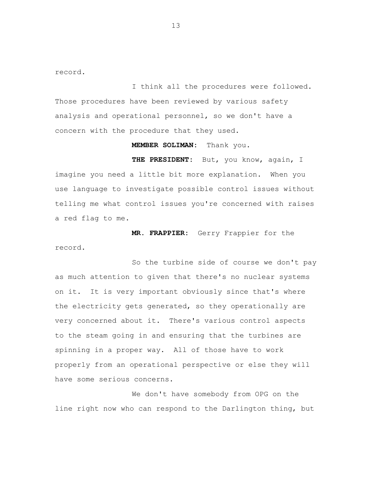record.

I think all the procedures were followed. Those procedures have been reviewed by various safety analysis and operational personnel, so we don't have a concern with the procedure that they used.

#### **MEMBER SOLIMAN:** Thank you.

 **THE PRESIDENT:** But, you know, again, I imagine you need a little bit more explanation. When you use language to investigate possible control issues without telling me what control issues you're concerned with raises a red flag to me.

**MR. FRAPPIER:** Gerry Frappier for the record.

So the turbine side of course we don't pay as much attention to given that there's no nuclear systems on it. It is very important obviously since that's where the electricity gets generated, so they operationally are very concerned about it. There's various control aspects to the steam going in and ensuring that the turbines are spinning in a proper way. All of those have to work properly from an operational perspective or else they will have some serious concerns.

We don't have somebody from OPG on the line right now who can respond to the Darlington thing, but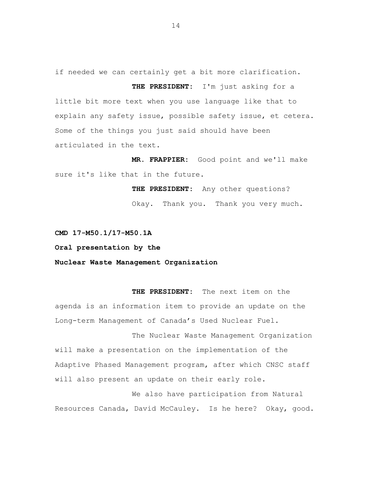if needed we can certainly get a bit more clarification.

**THE PRESIDENT:** I'm just asking for a little bit more text when you use language like that to explain any safety issue, possible safety issue, et cetera. Some of the things you just said should have been articulated in the text.

**MR. FRAPPIER:** Good point and we'll make sure it's like that in the future.

> **THE PRESIDENT:** Any other questions? Okay. Thank you. Thank you very much.

## **CMD 17-M50.1/17-M50.1A**

### **Oral presentation by the**

## **Nuclear Waste Management Organization**

**THE PRESIDENT:** The next item on the agenda is an information item to provide an update on the Long-term Management of Canada's Used Nuclear Fuel.

The Nuclear Waste Management Organization will make a presentation on the implementation of the Adaptive Phased Management program, after which CNSC staff will also present an update on their early role.

We also have participation from Natural Resources Canada, David McCauley. Is he here? Okay, good.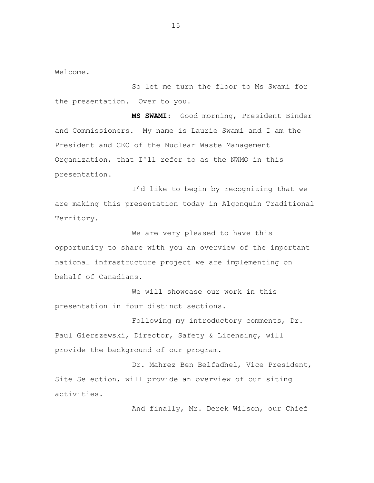Welcome.

So let me turn the floor to Ms Swami for the presentation. Over to you.

**MS SWAMI:** Good morning, President Binder and Commissioners. My name is Laurie Swami and I am the President and CEO of the Nuclear Waste Management Organization, that I'll refer to as the NWMO in this presentation.

I'd like to begin by recognizing that we are making this presentation today in Algonquin Traditional Territory.

We are very pleased to have this opportunity to share with you an overview of the important national infrastructure project we are implementing on behalf of Canadians.

We will showcase our work in this presentation in four distinct sections.

Following my introductory comments, Dr. Paul Gierszewski, Director, Safety & Licensing, will provide the background of our program.

Dr. Mahrez Ben Belfadhel, Vice President, Site Selection, will provide an overview of our siting activities.

And finally, Mr. Derek Wilson, our Chief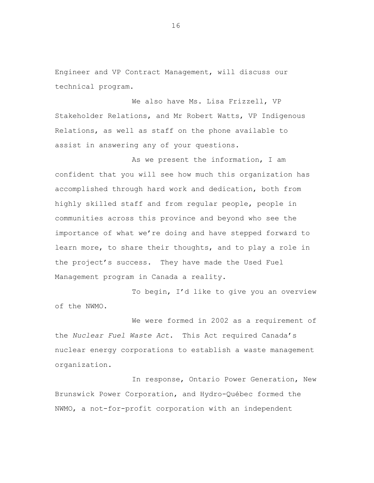Engineer and VP Contract Management, will discuss our technical program.

We also have Ms. Lisa Frizzell, VP Stakeholder Relations, and Mr Robert Watts, VP Indigenous Relations, as well as staff on the phone available to assist in answering any of your questions.

As we present the information, I am confident that you will see how much this organization has accomplished through hard work and dedication, both from highly skilled staff and from regular people, people in communities across this province and beyond who see the importance of what we're doing and have stepped forward to learn more, to share their thoughts, and to play a role in the project's success. They have made the Used Fuel Management program in Canada a reality.

To begin, I'd like to give you an overview of the NWMO.

We were formed in 2002 as a requirement of the *Nuclear Fuel Waste Act*. This Act required Canada's nuclear energy corporations to establish a waste management organization.

In response, Ontario Power Generation, New Brunswick Power Corporation, and Hydro-Québec formed the NWMO, a not-for-profit corporation with an independent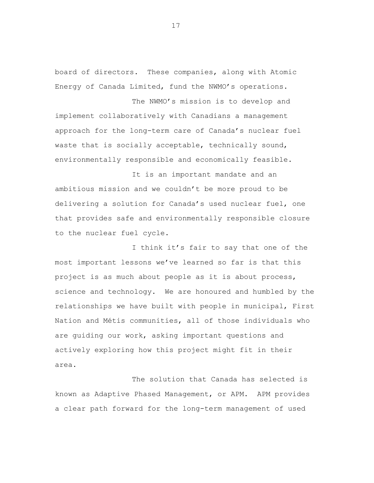board of directors. These companies, along with Atomic Energy of Canada Limited, fund the NWMO's operations.

The NWMO's mission is to develop and implement collaboratively with Canadians a management approach for the long-term care of Canada's nuclear fuel waste that is socially acceptable, technically sound, environmentally responsible and economically feasible.

It is an important mandate and an ambitious mission and we couldn't be more proud to be delivering a solution for Canada's used nuclear fuel, one that provides safe and environmentally responsible closure to the nuclear fuel cycle.

I think it's fair to say that one of the most important lessons we've learned so far is that this project is as much about people as it is about process, science and technology. We are honoured and humbled by the relationships we have built with people in municipal, First Nation and Métis communities, all of those individuals who are guiding our work, asking important questions and actively exploring how this project might fit in their area.

The solution that Canada has selected is known as Adaptive Phased Management, or APM. APM provides a clear path forward for the long-term management of used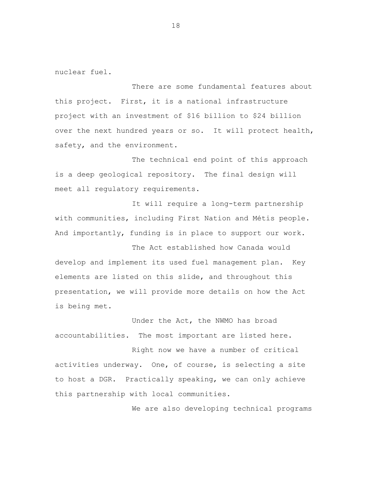nuclear fuel.

There are some fundamental features about this project. First, it is a national infrastructure project with an investment of \$16 billion to \$24 billion over the next hundred years or so. It will protect health, safety, and the environment.

The technical end point of this approach is a deep geological repository. The final design will meet all regulatory requirements.

It will require a long-term partnership with communities, including First Nation and Métis people. And importantly, funding is in place to support our work.

The Act established how Canada would develop and implement its used fuel management plan. Key elements are listed on this slide, and throughout this presentation, we will provide more details on how the Act is being met.

Under the Act, the NWMO has broad accountabilities. The most important are listed here.

Right now we have a number of critical activities underway. One, of course, is selecting a site to host a DGR. Practically speaking, we can only achieve this partnership with local communities.

We are also developing technical programs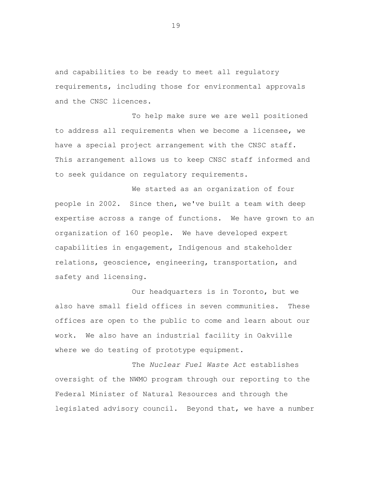and capabilities to be ready to meet all regulatory requirements, including those for environmental approvals and the CNSC licences.

To help make sure we are well positioned to address all requirements when we become a licensee, we have a special project arrangement with the CNSC staff. This arrangement allows us to keep CNSC staff informed and to seek guidance on regulatory requirements.

We started as an organization of four people in 2002. Since then, we've built a team with deep expertise across a range of functions. We have grown to an organization of 160 people. We have developed expert capabilities in engagement, Indigenous and stakeholder relations, geoscience, engineering, transportation, and safety and licensing.

Our headquarters is in Toronto, but we also have small field offices in seven communities. These offices are open to the public to come and learn about our work. We also have an industrial facility in Oakville where we do testing of prototype equipment.

The *Nuclear Fuel Waste Act* establishes oversight of the NWMO program through our reporting to the Federal Minister of Natural Resources and through the legislated advisory council. Beyond that, we have a number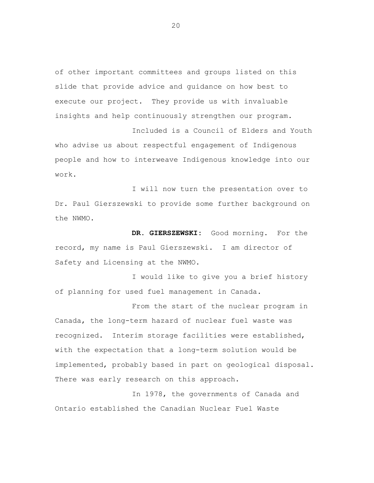of other important committees and groups listed on this slide that provide advice and guidance on how best to execute our project. They provide us with invaluable insights and help continuously strengthen our program.

Included is a Council of Elders and Youth who advise us about respectful engagement of Indigenous people and how to interweave Indigenous knowledge into our work.

I will now turn the presentation over to Dr. Paul Gierszewski to provide some further background on the NWMO.

**DR. GIERSZEWSKI:** Good morning. For the record, my name is Paul Gierszewski. I am director of Safety and Licensing at the NWMO.

I would like to give you a brief history of planning for used fuel management in Canada.

From the start of the nuclear program in Canada, the long-term hazard of nuclear fuel waste was recognized. Interim storage facilities were established, with the expectation that a long-term solution would be implemented, probably based in part on geological disposal. There was early research on this approach.

In 1978, the governments of Canada and Ontario established the Canadian Nuclear Fuel Waste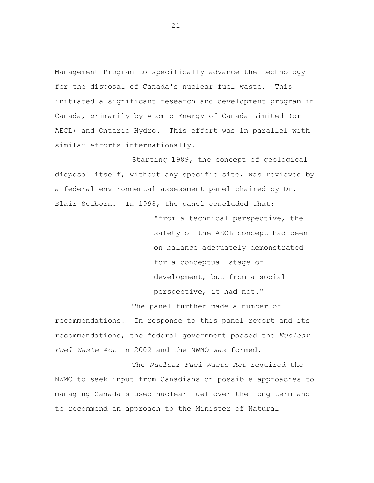Management Program to specifically advance the technology for the disposal of Canada's nuclear fuel waste. This initiated a significant research and development program in Canada, primarily by Atomic Energy of Canada Limited (or AECL) and Ontario Hydro. This effort was in parallel with similar efforts internationally.

Starting 1989, the concept of geological disposal itself, without any specific site, was reviewed by a federal environmental assessment panel chaired by Dr. Blair Seaborn. In 1998, the panel concluded that:

> "from a technical perspective, the safety of the AECL concept had been on balance adequately demonstrated for a conceptual stage of development, but from a social perspective, it had not."

The panel further made a number of recommendations. In response to this panel report and its recommendations, the federal government passed the *Nuclear Fuel Waste Act* in 2002 and the NWMO was formed.

The *Nuclear Fuel Waste Act* required the NWMO to seek input from Canadians on possible approaches to managing Canada's used nuclear fuel over the long term and to recommend an approach to the Minister of Natural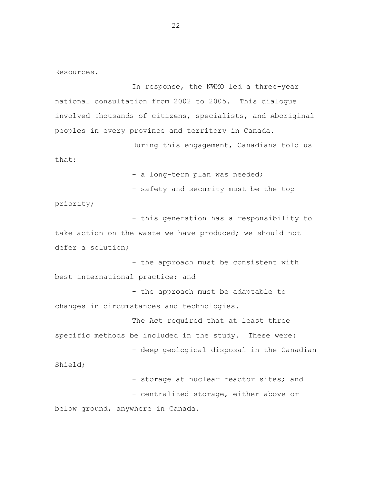Resources.

In response, the NWMO led a three-year national consultation from 2002 to 2005. This dialogue involved thousands of citizens, specialists, and Aboriginal peoples in every province and territory in Canada.

During this engagement, Canadians told us that:

- a long-term plan was needed;

- safety and security must be the top

priority;

- this generation has a responsibility to take action on the waste we have produced; we should not defer a solution;

- the approach must be consistent with best international practice; and

- the approach must be adaptable to changes in circumstances and technologies.

The Act required that at least three specific methods be included in the study. These were: - deep geological disposal in the Canadian

Shield;

- storage at nuclear reactor sites; and

- centralized storage, either above or below ground, anywhere in Canada.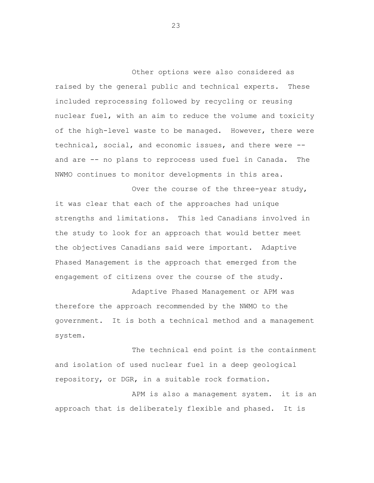Other options were also considered as raised by the general public and technical experts. These included reprocessing followed by recycling or reusing nuclear fuel, with an aim to reduce the volume and toxicity of the high-level waste to be managed. However, there were technical, social, and economic issues, and there were - and are -- no plans to reprocess used fuel in Canada. The NWMO continues to monitor developments in this area.

Over the course of the three-year study, it was clear that each of the approaches had unique strengths and limitations. This led Canadians involved in the study to look for an approach that would better meet the objectives Canadians said were important. Adaptive Phased Management is the approach that emerged from the engagement of citizens over the course of the study.

Adaptive Phased Management or APM was therefore the approach recommended by the NWMO to the government. It is both a technical method and a management system.

The technical end point is the containment and isolation of used nuclear fuel in a deep geological repository, or DGR, in a suitable rock formation.

APM is also a management system. it is an approach that is deliberately flexible and phased. It is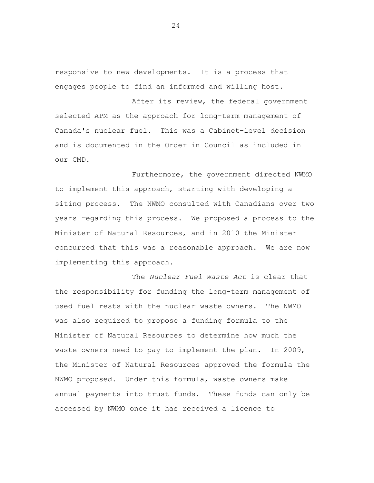responsive to new developments. It is a process that engages people to find an informed and willing host.

After its review, the federal government selected APM as the approach for long-term management of Canada's nuclear fuel. This was a Cabinet-level decision and is documented in the Order in Council as included in our CMD.

Furthermore, the government directed NWMO to implement this approach, starting with developing a siting process. The NWMO consulted with Canadians over two years regarding this process. We proposed a process to the Minister of Natural Resources, and in 2010 the Minister concurred that this was a reasonable approach. We are now implementing this approach.

The *Nuclear Fuel Waste Act* is clear that the responsibility for funding the long-term management of used fuel rests with the nuclear waste owners. The NWMO was also required to propose a funding formula to the Minister of Natural Resources to determine how much the waste owners need to pay to implement the plan. In 2009, the Minister of Natural Resources approved the formula the NWMO proposed. Under this formula, waste owners make annual payments into trust funds. These funds can only be accessed by NWMO once it has received a licence to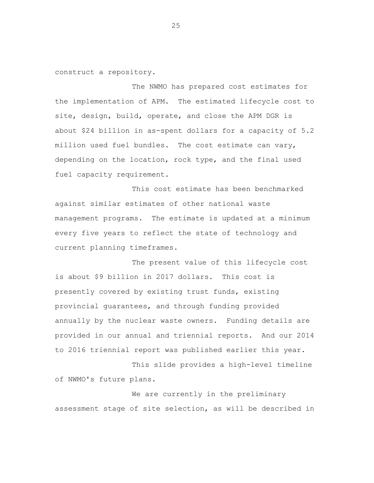construct a repository.

The NWMO has prepared cost estimates for the implementation of APM. The estimated lifecycle cost to site, design, build, operate, and close the APM DGR is about \$24 billion in as-spent dollars for a capacity of 5.2 million used fuel bundles. The cost estimate can vary, depending on the location, rock type, and the final used fuel capacity requirement.

This cost estimate has been benchmarked against similar estimates of other national waste management programs. The estimate is updated at a minimum every five years to reflect the state of technology and current planning timeframes.

The present value of this lifecycle cost is about \$9 billion in 2017 dollars. This cost is presently covered by existing trust funds, existing provincial guarantees, and through funding provided annually by the nuclear waste owners. Funding details are provided in our annual and triennial reports. And our 2014 to 2016 triennial report was published earlier this year.

This slide provides a high-level timeline of NWMO's future plans.

We are currently in the preliminary assessment stage of site selection, as will be described in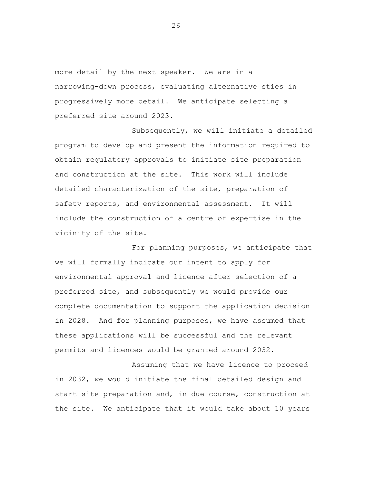more detail by the next speaker. We are in a narrowing-down process, evaluating alternative sties in progressively more detail. We anticipate selecting a preferred site around 2023.

Subsequently, we will initiate a detailed program to develop and present the information required to obtain regulatory approvals to initiate site preparation and construction at the site. This work will include detailed characterization of the site, preparation of safety reports, and environmental assessment. It will include the construction of a centre of expertise in the vicinity of the site.

For planning purposes, we anticipate that we will formally indicate our intent to apply for environmental approval and licence after selection of a preferred site, and subsequently we would provide our complete documentation to support the application decision in 2028. And for planning purposes, we have assumed that these applications will be successful and the relevant permits and licences would be granted around 2032.

Assuming that we have licence to proceed in 2032, we would initiate the final detailed design and start site preparation and, in due course, construction at the site. We anticipate that it would take about 10 years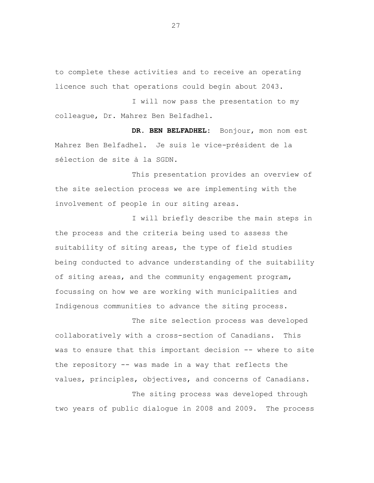to complete these activities and to receive an operating licence such that operations could begin about 2043.

I will now pass the presentation to my colleague, Dr. Mahrez Ben Belfadhel.

**DR. BEN BELFADHEL:** Bonjour, mon nom est Mahrez Ben Belfadhel. Je suis le vice-président de la sélection de site à la SGDN.

This presentation provides an overview of the site selection process we are implementing with the involvement of people in our siting areas.

I will briefly describe the main steps in the process and the criteria being used to assess the suitability of siting areas, the type of field studies being conducted to advance understanding of the suitability of siting areas, and the community engagement program, focussing on how we are working with municipalities and Indigenous communities to advance the siting process.

The site selection process was developed collaboratively with a cross-section of Canadians. This was to ensure that this important decision -- where to site the repository -- was made in a way that reflects the values, principles, objectives, and concerns of Canadians. The siting process was developed through

two years of public dialogue in 2008 and 2009. The process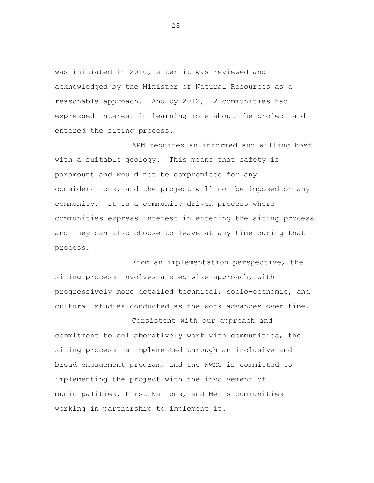was initiated in 2010, after it was reviewed and acknowledged by the Minister of Natural Resources as a reasonable approach. And by 2012, 22 communities had expressed interest in learning more about the project and entered the siting process.

APM requires an informed and willing host with a suitable geology. This means that safety is paramount and would not be compromised for any considerations, and the project will not be imposed on any community. It is a community-driven process where communities express interest in entering the siting process and they can also choose to leave at any time during that process.

From an implementation perspective, the siting process involves a step-wise approach, with progressively more detailed technical, socio-economic, and cultural studies conducted as the work advances over time.

Consistent with our approach and commitment to collaboratively work with communities, the siting process is implemented through an inclusive and broad engagement program, and the NWMO is committed to implementing the project with the involvement of municipalities, First Nations, and Métis communities working in partnership to implement it.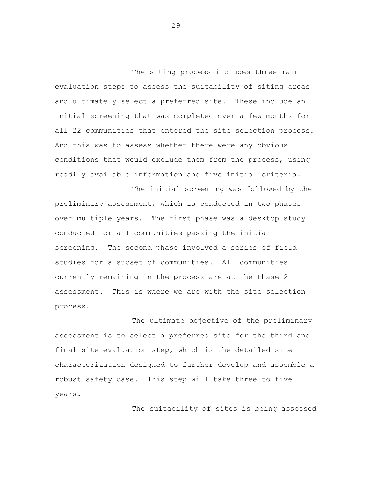The siting process includes three main evaluation steps to assess the suitability of siting areas and ultimately select a preferred site. These include an initial screening that was completed over a few months for all 22 communities that entered the site selection process. And this was to assess whether there were any obvious conditions that would exclude them from the process, using readily available information and five initial criteria.

The initial screening was followed by the preliminary assessment, which is conducted in two phases over multiple years. The first phase was a desktop study conducted for all communities passing the initial screening. The second phase involved a series of field studies for a subset of communities. All communities currently remaining in the process are at the Phase 2 assessment. This is where we are with the site selection process.

The ultimate objective of the preliminary assessment is to select a preferred site for the third and final site evaluation step, which is the detailed site characterization designed to further develop and assemble a robust safety case. This step will take three to five years.

The suitability of sites is being assessed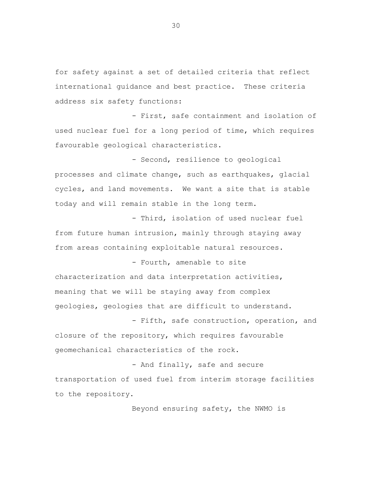for safety against a set of detailed criteria that reflect international guidance and best practice. These criteria address six safety functions:

- First, safe containment and isolation of used nuclear fuel for a long period of time, which requires favourable geological characteristics.

- Second, resilience to geological processes and climate change, such as earthquakes, glacial cycles, and land movements. We want a site that is stable today and will remain stable in the long term.

- Third, isolation of used nuclear fuel from future human intrusion, mainly through staying away from areas containing exploitable natural resources.

- Fourth, amenable to site characterization and data interpretation activities, meaning that we will be staying away from complex geologies, geologies that are difficult to understand.

- Fifth, safe construction, operation, and closure of the repository, which requires favourable geomechanical characteristics of the rock.

- And finally, safe and secure transportation of used fuel from interim storage facilities to the repository.

Beyond ensuring safety, the NWMO is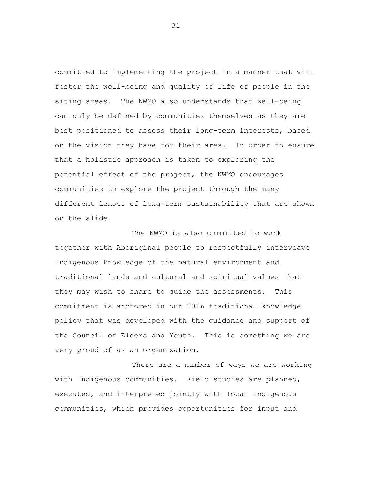committed to implementing the project in a manner that will foster the well-being and quality of life of people in the siting areas. The NWMO also understands that well-being can only be defined by communities themselves as they are best positioned to assess their long-term interests, based on the vision they have for their area. In order to ensure that a holistic approach is taken to exploring the potential effect of the project, the NWMO encourages communities to explore the project through the many different lenses of long-term sustainability that are shown on the slide.

The NWMO is also committed to work together with Aboriginal people to respectfully interweave Indigenous knowledge of the natural environment and traditional lands and cultural and spiritual values that they may wish to share to guide the assessments. This commitment is anchored in our 2016 traditional knowledge policy that was developed with the guidance and support of the Council of Elders and Youth. This is something we are very proud of as an organization.

There are a number of ways we are working with Indigenous communities. Field studies are planned, executed, and interpreted jointly with local Indigenous communities, which provides opportunities for input and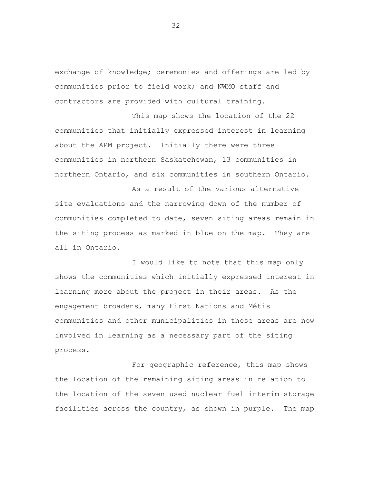exchange of knowledge; ceremonies and offerings are led by communities prior to field work; and NWMO staff and contractors are provided with cultural training.

This map shows the location of the 22 communities that initially expressed interest in learning about the APM project. Initially there were three communities in northern Saskatchewan, 13 communities in northern Ontario, and six communities in southern Ontario.

As a result of the various alternative site evaluations and the narrowing down of the number of communities completed to date, seven siting areas remain in the siting process as marked in blue on the map. They are all in Ontario.

I would like to note that this map only shows the communities which initially expressed interest in learning more about the project in their areas. As the engagement broadens, many First Nations and Métis communities and other municipalities in these areas are now involved in learning as a necessary part of the siting process.

For geographic reference, this map shows the location of the remaining siting areas in relation to the location of the seven used nuclear fuel interim storage facilities across the country, as shown in purple. The map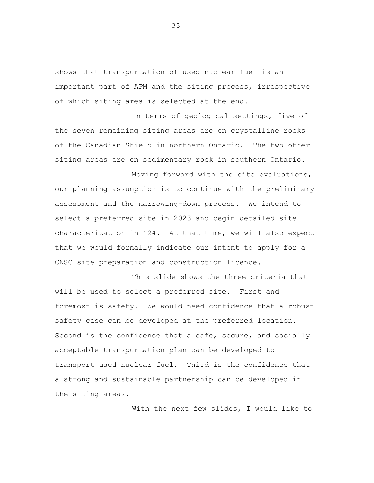shows that transportation of used nuclear fuel is an important part of APM and the siting process, irrespective of which siting area is selected at the end.

In terms of geological settings, five of the seven remaining siting areas are on crystalline rocks of the Canadian Shield in northern Ontario. The two other siting areas are on sedimentary rock in southern Ontario.

Moving forward with the site evaluations, our planning assumption is to continue with the preliminary assessment and the narrowing-down process. We intend to select a preferred site in 2023 and begin detailed site characterization in '24. At that time, we will also expect that we would formally indicate our intent to apply for a CNSC site preparation and construction licence.

This slide shows the three criteria that will be used to select a preferred site. First and foremost is safety. We would need confidence that a robust safety case can be developed at the preferred location. Second is the confidence that a safe, secure, and socially acceptable transportation plan can be developed to transport used nuclear fuel. Third is the confidence that a strong and sustainable partnership can be developed in the siting areas.

With the next few slides, I would like to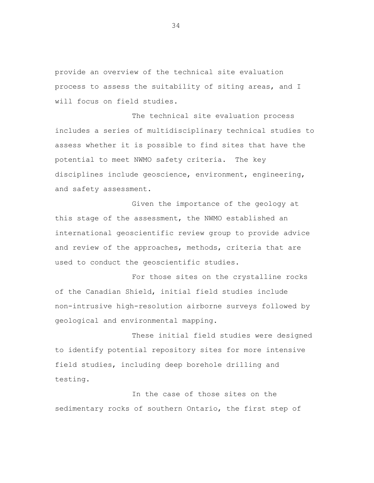provide an overview of the technical site evaluation process to assess the suitability of siting areas, and I will focus on field studies.

The technical site evaluation process includes a series of multidisciplinary technical studies to assess whether it is possible to find sites that have the potential to meet NWMO safety criteria. The key disciplines include geoscience, environment, engineering, and safety assessment.

Given the importance of the geology at this stage of the assessment, the NWMO established an international geoscientific review group to provide advice and review of the approaches, methods, criteria that are used to conduct the geoscientific studies.

For those sites on the crystalline rocks of the Canadian Shield, initial field studies include non-intrusive high-resolution airborne surveys followed by geological and environmental mapping.

These initial field studies were designed to identify potential repository sites for more intensive field studies, including deep borehole drilling and testing.

In the case of those sites on the sedimentary rocks of southern Ontario, the first step of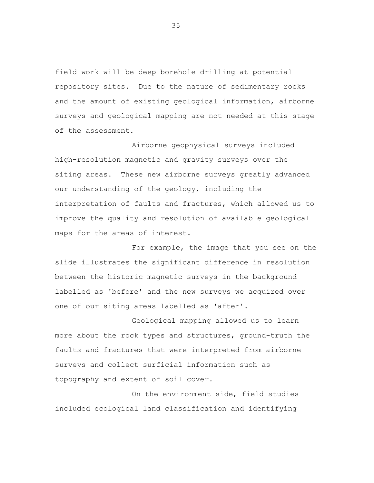field work will be deep borehole drilling at potential repository sites. Due to the nature of sedimentary rocks and the amount of existing geological information, airborne surveys and geological mapping are not needed at this stage of the assessment.

Airborne geophysical surveys included high-resolution magnetic and gravity surveys over the siting areas. These new airborne surveys greatly advanced our understanding of the geology, including the interpretation of faults and fractures, which allowed us to improve the quality and resolution of available geological maps for the areas of interest.

For example, the image that you see on the slide illustrates the significant difference in resolution between the historic magnetic surveys in the background labelled as 'before' and the new surveys we acquired over one of our siting areas labelled as 'after'.

Geological mapping allowed us to learn more about the rock types and structures, ground-truth the faults and fractures that were interpreted from airborne surveys and collect surficial information such as topography and extent of soil cover.

On the environment side, field studies included ecological land classification and identifying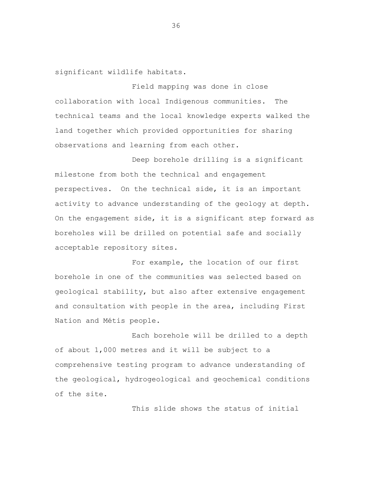significant wildlife habitats.

Field mapping was done in close collaboration with local Indigenous communities. The technical teams and the local knowledge experts walked the land together which provided opportunities for sharing observations and learning from each other.

Deep borehole drilling is a significant milestone from both the technical and engagement perspectives. On the technical side, it is an important activity to advance understanding of the geology at depth. On the engagement side, it is a significant step forward as boreholes will be drilled on potential safe and socially acceptable repository sites.

For example, the location of our first borehole in one of the communities was selected based on geological stability, but also after extensive engagement and consultation with people in the area, including First Nation and Métis people.

Each borehole will be drilled to a depth of about 1,000 metres and it will be subject to a comprehensive testing program to advance understanding of the geological, hydrogeological and geochemical conditions of the site.

This slide shows the status of initial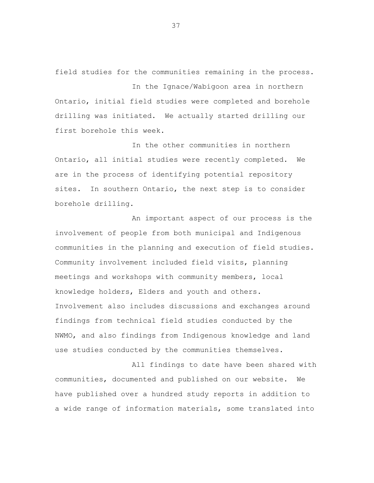field studies for the communities remaining in the process.

In the Ignace/Wabigoon area in northern Ontario, initial field studies were completed and borehole drilling was initiated. We actually started drilling our first borehole this week.

In the other communities in northern Ontario, all initial studies were recently completed. We are in the process of identifying potential repository sites. In southern Ontario, the next step is to consider borehole drilling.

An important aspect of our process is the involvement of people from both municipal and Indigenous communities in the planning and execution of field studies. Community involvement included field visits, planning meetings and workshops with community members, local knowledge holders, Elders and youth and others. Involvement also includes discussions and exchanges around findings from technical field studies conducted by the NWMO, and also findings from Indigenous knowledge and land use studies conducted by the communities themselves.

All findings to date have been shared with communities, documented and published on our website. We have published over a hundred study reports in addition to a wide range of information materials, some translated into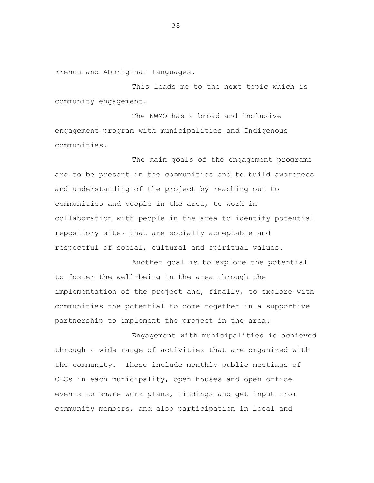French and Aboriginal languages.

This leads me to the next topic which is community engagement.

The NWMO has a broad and inclusive engagement program with municipalities and Indigenous communities.

The main goals of the engagement programs are to be present in the communities and to build awareness and understanding of the project by reaching out to communities and people in the area, to work in collaboration with people in the area to identify potential repository sites that are socially acceptable and respectful of social, cultural and spiritual values.

Another goal is to explore the potential to foster the well-being in the area through the implementation of the project and, finally, to explore with communities the potential to come together in a supportive partnership to implement the project in the area.

Engagement with municipalities is achieved through a wide range of activities that are organized with the community. These include monthly public meetings of CLCs in each municipality, open houses and open office events to share work plans, findings and get input from community members, and also participation in local and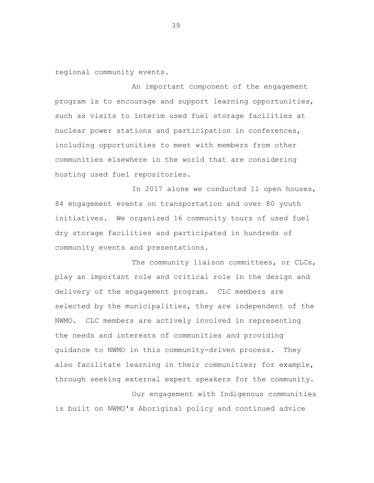regional community events.

An important component of the engagement program is to encourage and support learning opportunities, such as visits to interim used fuel storage facilities at nuclear power stations and participation in conferences, including opportunities to meet with members from other communities elsewhere in the world that are considering hosting used fuel repositories.

In 2017 alone we conducted 11 open houses, 84 engagement events on transportation and over 80 youth initiatives. We organized 16 community tours of used fuel dry storage facilities and participated in hundreds of community events and presentations.

The community liaison committees, or CLCs, play an important role and critical role in the design and delivery of the engagement program. CLC members are selected by the municipalities, they are independent of the NWMO. CLC members are actively involved in representing the needs and interests of communities and providing guidance to NWMO in this community-driven process. They also facilitate learning in their communities; for example, through seeking external expert speakers for the community. Our engagement with Indigenous communities

is built on NWMO's Aboriginal policy and continued advice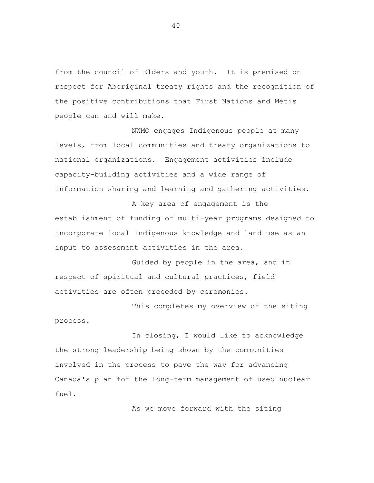from the council of Elders and youth. It is premised on respect for Aboriginal treaty rights and the recognition of the positive contributions that First Nations and Métis people can and will make.

NWMO engages Indigenous people at many levels, from local communities and treaty organizations to national organizations. Engagement activities include capacity-building activities and a wide range of information sharing and learning and gathering activities.

A key area of engagement is the establishment of funding of multi-year programs designed to incorporate local Indigenous knowledge and land use as an input to assessment activities in the area.

Guided by people in the area, and in respect of spiritual and cultural practices, field activities are often preceded by ceremonies.

This completes my overview of the siting process.

In closing, I would like to acknowledge the strong leadership being shown by the communities involved in the process to pave the way for advancing Canada's plan for the long-term management of used nuclear fuel.

As we move forward with the siting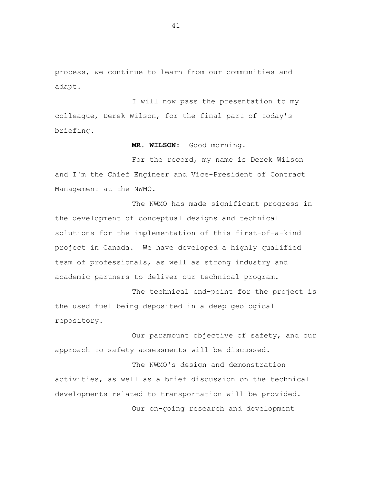process, we continue to learn from our communities and adapt.

I will now pass the presentation to my colleague, Derek Wilson, for the final part of today's briefing.

**MR. WILSON:** Good morning.

For the record, my name is Derek Wilson and I'm the Chief Engineer and Vice-President of Contract Management at the NWMO.

The NWMO has made significant progress in the development of conceptual designs and technical solutions for the implementation of this first-of-a-kind project in Canada. We have developed a highly qualified team of professionals, as well as strong industry and academic partners to deliver our technical program.

The technical end-point for the project is the used fuel being deposited in a deep geological repository.

Our paramount objective of safety, and our approach to safety assessments will be discussed.

The NWMO's design and demonstration activities, as well as a brief discussion on the technical developments related to transportation will be provided. Our on-going research and development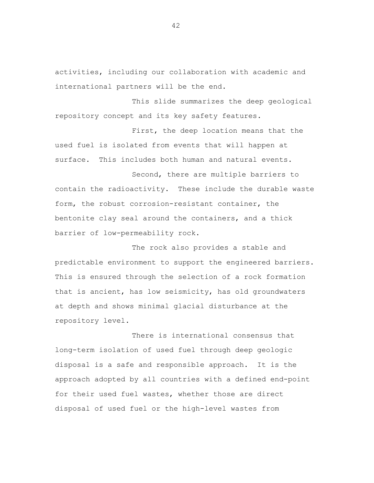activities, including our collaboration with academic and international partners will be the end.

This slide summarizes the deep geological repository concept and its key safety features.

First, the deep location means that the used fuel is isolated from events that will happen at surface. This includes both human and natural events.

Second, there are multiple barriers to contain the radioactivity. These include the durable waste form, the robust corrosion-resistant container, the bentonite clay seal around the containers, and a thick barrier of low-permeability rock.

The rock also provides a stable and predictable environment to support the engineered barriers. This is ensured through the selection of a rock formation that is ancient, has low seismicity, has old groundwaters at depth and shows minimal glacial disturbance at the repository level.

There is international consensus that long-term isolation of used fuel through deep geologic disposal is a safe and responsible approach. It is the approach adopted by all countries with a defined end-point for their used fuel wastes, whether those are direct disposal of used fuel or the high-level wastes from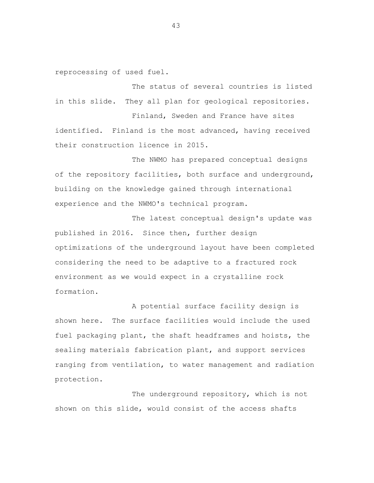reprocessing of used fuel.

The status of several countries is listed in this slide. They all plan for geological repositories.

Finland, Sweden and France have sites identified. Finland is the most advanced, having received their construction licence in 2015.

The NWMO has prepared conceptual designs of the repository facilities, both surface and underground, building on the knowledge gained through international experience and the NWMO's technical program.

The latest conceptual design's update was published in 2016. Since then, further design optimizations of the underground layout have been completed considering the need to be adaptive to a fractured rock environment as we would expect in a crystalline rock formation.

A potential surface facility design is shown here. The surface facilities would include the used fuel packaging plant, the shaft headframes and hoists, the sealing materials fabrication plant, and support services ranging from ventilation, to water management and radiation protection.

The underground repository, which is not shown on this slide, would consist of the access shafts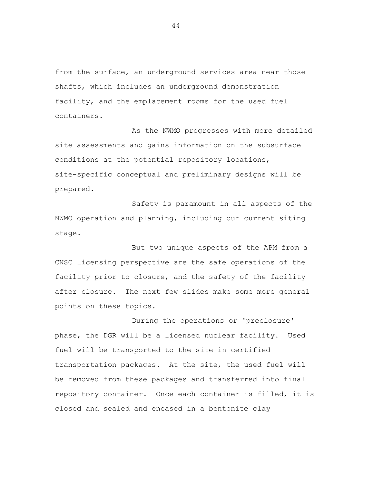from the surface, an underground services area near those shafts, which includes an underground demonstration facility, and the emplacement rooms for the used fuel containers.

As the NWMO progresses with more detailed site assessments and gains information on the subsurface conditions at the potential repository locations, site-specific conceptual and preliminary designs will be prepared.

Safety is paramount in all aspects of the NWMO operation and planning, including our current siting stage.

But two unique aspects of the APM from a CNSC licensing perspective are the safe operations of the facility prior to closure, and the safety of the facility after closure. The next few slides make some more general points on these topics.

During the operations or 'preclosure' phase, the DGR will be a licensed nuclear facility. Used fuel will be transported to the site in certified transportation packages. At the site, the used fuel will be removed from these packages and transferred into final repository container. Once each container is filled, it is closed and sealed and encased in a bentonite clay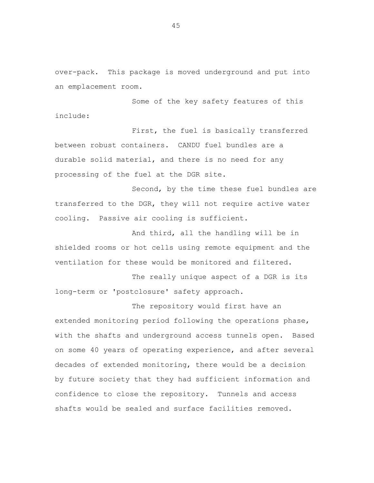over-pack. This package is moved underground and put into an emplacement room.

Some of the key safety features of this include:

First, the fuel is basically transferred between robust containers. CANDU fuel bundles are a durable solid material, and there is no need for any processing of the fuel at the DGR site.

Second, by the time these fuel bundles are transferred to the DGR, they will not require active water cooling. Passive air cooling is sufficient.

And third, all the handling will be in shielded rooms or hot cells using remote equipment and the ventilation for these would be monitored and filtered.

The really unique aspect of a DGR is its long-term or 'postclosure' safety approach.

The repository would first have an extended monitoring period following the operations phase, with the shafts and underground access tunnels open. Based on some 40 years of operating experience, and after several decades of extended monitoring, there would be a decision by future society that they had sufficient information and confidence to close the repository. Tunnels and access shafts would be sealed and surface facilities removed.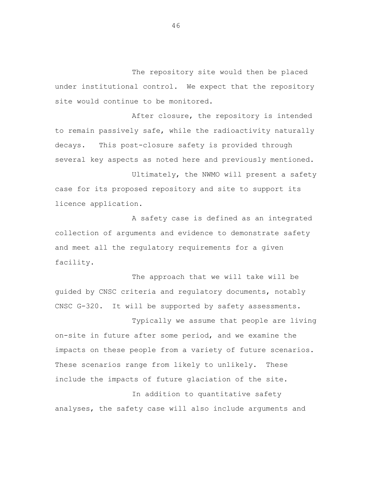The repository site would then be placed under institutional control. We expect that the repository site would continue to be monitored.

After closure, the repository is intended to remain passively safe, while the radioactivity naturally decays. This post-closure safety is provided through several key aspects as noted here and previously mentioned. Ultimately, the NWMO will present a safety

case for its proposed repository and site to support its licence application.

A safety case is defined as an integrated collection of arguments and evidence to demonstrate safety and meet all the regulatory requirements for a given facility.

The approach that we will take will be guided by CNSC criteria and regulatory documents, notably CNSC G-320. It will be supported by safety assessments.

Typically we assume that people are living on-site in future after some period, and we examine the impacts on these people from a variety of future scenarios. These scenarios range from likely to unlikely. These include the impacts of future glaciation of the site. In addition to quantitative safety

analyses, the safety case will also include arguments and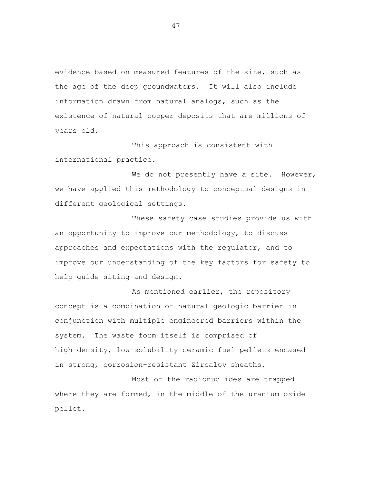evidence based on measured features of the site, such as the age of the deep groundwaters. It will also include information drawn from natural analogs, such as the existence of natural copper deposits that are millions of years old.

This approach is consistent with international practice.

We do not presently have a site. However, we have applied this methodology to conceptual designs in different geological settings.

These safety case studies provide us with an opportunity to improve our methodology, to discuss approaches and expectations with the regulator, and to improve our understanding of the key factors for safety to help guide siting and design.

As mentioned earlier, the repository concept is a combination of natural geologic barrier in conjunction with multiple engineered barriers within the system. The waste form itself is comprised of high-density, low-solubility ceramic fuel pellets encased in strong, corrosion-resistant Zircaloy sheaths.

Most of the radionuclides are trapped where they are formed, in the middle of the uranium oxide pellet.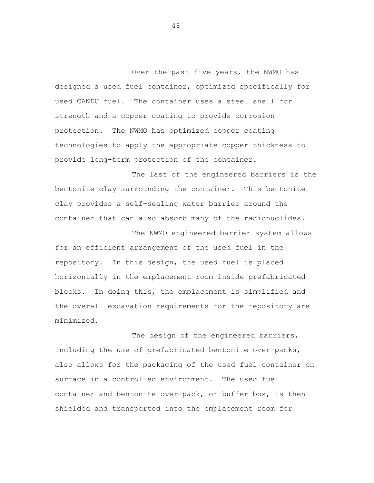Over the past five years, the NWMO has designed a used fuel container, optimized specifically for used CANDU fuel. The container uses a steel shell for strength and a copper coating to provide corrosion protection. The NWMO has optimized copper coating technologies to apply the appropriate copper thickness to provide long-term protection of the container.

The last of the engineered barriers is the bentonite clay surrounding the container. This bentonite clay provides a self-sealing water barrier around the container that can also absorb many of the radionuclides.

The NWMO engineered barrier system allows for an efficient arrangement of the used fuel in the repository. In this design, the used fuel is placed horizontally in the emplacement room inside prefabricated blocks. In doing this, the emplacement is simplified and the overall excavation requirements for the repository are minimized.

The design of the engineered barriers, including the use of prefabricated bentonite over-packs, also allows for the packaging of the used fuel container on surface in a controlled environment. The used fuel container and bentonite over-pack, or buffer box, is then shielded and transported into the emplacement room for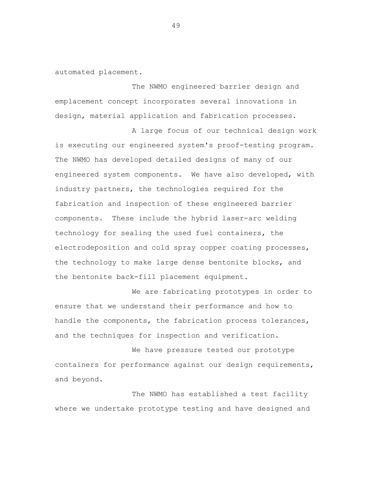automated placement.

The NWMO engineered barrier design and emplacement concept incorporates several innovations in design, material application and fabrication processes.

A large focus of our technical design work is executing our engineered system's proof-testing program. The NWMO has developed detailed designs of many of our engineered system components. We have also developed, with industry partners, the technologies required for the fabrication and inspection of these engineered barrier components. These include the hybrid laser-arc welding technology for sealing the used fuel containers, the electrodeposition and cold spray copper coating processes, the technology to make large dense bentonite blocks, and the bentonite back-fill placement equipment.

We are fabricating prototypes in order to ensure that we understand their performance and how to handle the components, the fabrication process tolerances, and the techniques for inspection and verification.

We have pressure tested our prototype containers for performance against our design requirements, and beyond.

The NWMO has established a test facility where we undertake prototype testing and have designed and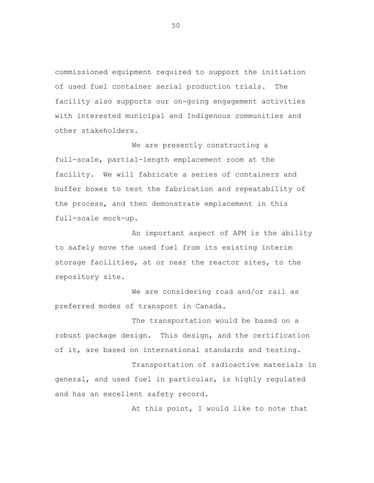commissioned equipment required to support the initiation of used fuel container serial production trials. The facility also supports our on-going engagement activities with interested municipal and Indigenous communities and other stakeholders.

We are presently constructing a full-scale, partial-length emplacement room at the facility. We will fabricate a series of containers and buffer boxes to test the fabrication and repeatability of the process, and then demonstrate emplacement in this full-scale mock-up.

An important aspect of APM is the ability to safely move the used fuel from its existing interim storage facilities, at or near the reactor sites, to the repository site.

We are considering road and/or rail as preferred modes of transport in Canada.

The transportation would be based on a robust package design. This design, and the certification of it, are based on international standards and testing.

Transportation of radioactive materials in general, and used fuel in particular, is highly regulated and has an excellent safety record.

At this point, I would like to note that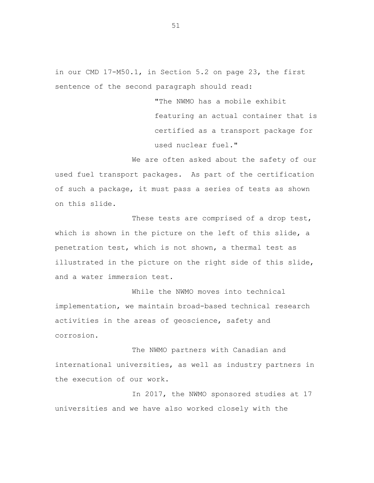in our CMD 17-M50.1, in Section 5.2 on page 23, the first sentence of the second paragraph should read:

> "The NWMO has a mobile exhibit featuring an actual container that is certified as a transport package for used nuclear fuel."

We are often asked about the safety of our used fuel transport packages. As part of the certification of such a package, it must pass a series of tests as shown on this slide.

These tests are comprised of a drop test, which is shown in the picture on the left of this slide, a penetration test, which is not shown, a thermal test as illustrated in the picture on the right side of this slide, and a water immersion test.

While the NWMO moves into technical implementation, we maintain broad-based technical research activities in the areas of geoscience, safety and corrosion.

The NWMO partners with Canadian and international universities, as well as industry partners in the execution of our work.

In 2017, the NWMO sponsored studies at 17 universities and we have also worked closely with the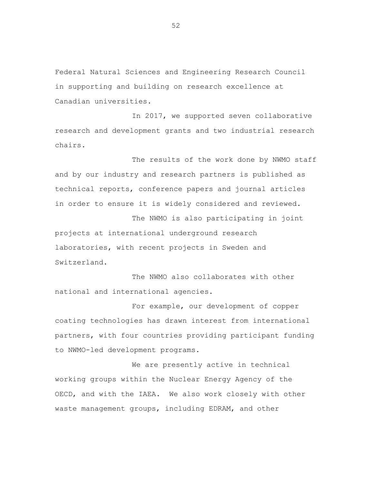Federal Natural Sciences and Engineering Research Council in supporting and building on research excellence at Canadian universities.

In 2017, we supported seven collaborative research and development grants and two industrial research chairs.

The results of the work done by NWMO staff and by our industry and research partners is published as technical reports, conference papers and journal articles in order to ensure it is widely considered and reviewed.

The NWMO is also participating in joint projects at international underground research laboratories, with recent projects in Sweden and Switzerland.

The NWMO also collaborates with other national and international agencies.

For example, our development of copper coating technologies has drawn interest from international partners, with four countries providing participant funding to NWMO-led development programs.

We are presently active in technical working groups within the Nuclear Energy Agency of the OECD, and with the IAEA. We also work closely with other waste management groups, including EDRAM, and other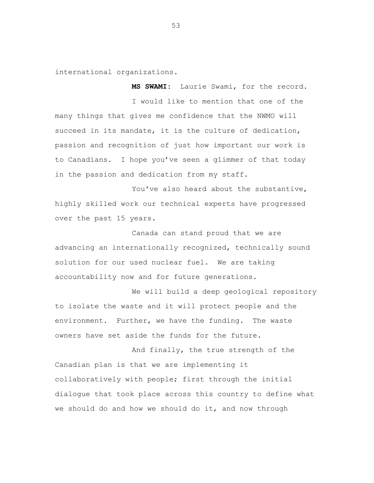international organizations.

**MS SWAMI:** Laurie Swami, for the record. I would like to mention that one of the many things that gives me confidence that the NWMO will succeed in its mandate, it is the culture of dedication, passion and recognition of just how important our work is to Canadians. I hope you've seen a glimmer of that today in the passion and dedication from my staff.

You've also heard about the substantive, highly skilled work our technical experts have progressed over the past 15 years.

Canada can stand proud that we are advancing an internationally recognized, technically sound solution for our used nuclear fuel. We are taking accountability now and for future generations.

We will build a deep geological repository to isolate the waste and it will protect people and the environment. Further, we have the funding. The waste owners have set aside the funds for the future.

And finally, the true strength of the Canadian plan is that we are implementing it collaboratively with people; first through the initial dialogue that took place across this country to define what we should do and how we should do it, and now through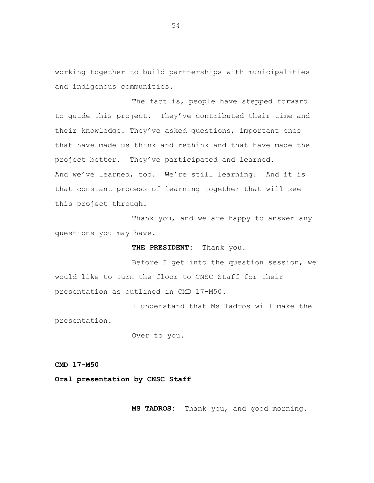working together to build partnerships with municipalities and indigenous communities.

The fact is, people have stepped forward to guide this project. They've contributed their time and their knowledge. They've asked questions, important ones that have made us think and rethink and that have made the project better. They've participated and learned. And we've learned, too. We're still learning. And it is that constant process of learning together that will see this project through.

Thank you, and we are happy to answer any questions you may have.

 **THE PRESIDENT:** Thank you.

Before I get into the question session, we would like to turn the floor to CNSC Staff for their presentation as outlined in CMD 17-M50.

I understand that Ms Tadros will make the presentation.

Over to you.

**CMD 17-M50** 

**Oral presentation by CNSC Staff** 

 **MS TADROS:** Thank you, and good morning.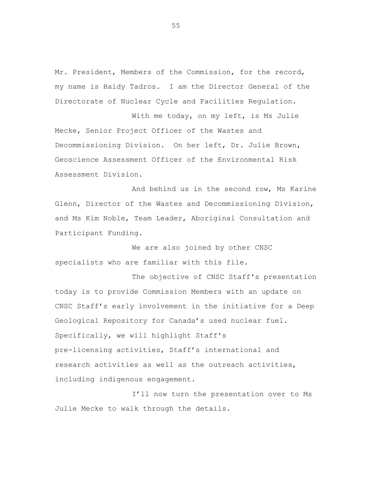Mr. President, Members of the Commission, for the record, my name is Haidy Tadros. I am the Director General of the Directorate of Nuclear Cycle and Facilities Regulation.

With me today, on my left, is Ms Julie Mecke, Senior Project Officer of the Wastes and Decommissioning Division. On her left, Dr. Julie Brown, Geoscience Assessment Officer of the Environmental Risk Assessment Division.

And behind us in the second row, Ms Karine Glenn, Director of the Wastes and Decommissioning Division, and Ms Kim Noble, Team Leader, Aboriginal Consultation and Participant Funding.

We are also joined by other CNSC specialists who are familiar with this file.

The objective of CNSC Staff's presentation today is to provide Commission Members with an update on CNSC Staff's early involvement in the initiative for a Deep Geological Repository for Canada's used nuclear fuel. Specifically, we will highlight Staff's pre-licensing activities, Staff's international and research activities as well as the outreach activities, including indigenous engagement.

I'll now turn the presentation over to Ms Julie Mecke to walk through the details.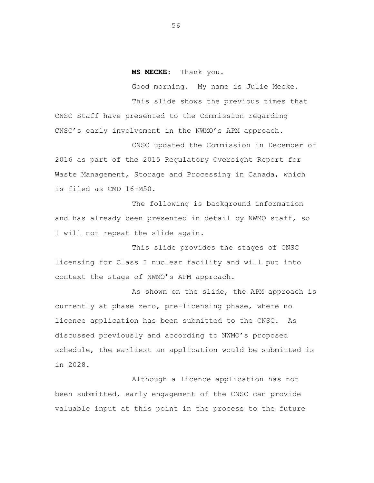## **MS MECKE:** Thank you.

Good morning. My name is Julie Mecke. This slide shows the previous times that CNSC Staff have presented to the Commission regarding CNSC's early involvement in the NWMO's APM approach.

CNSC updated the Commission in December of 2016 as part of the 2015 Regulatory Oversight Report for Waste Management, Storage and Processing in Canada, which is filed as CMD 16-M50.

The following is background information and has already been presented in detail by NWMO staff, so I will not repeat the slide again.

This slide provides the stages of CNSC licensing for Class I nuclear facility and will put into context the stage of NWMO's APM approach.

As shown on the slide, the APM approach is currently at phase zero, pre-licensing phase, where no licence application has been submitted to the CNSC. As discussed previously and according to NWMO's proposed schedule, the earliest an application would be submitted is in 2028.

Although a licence application has not been submitted, early engagement of the CNSC can provide valuable input at this point in the process to the future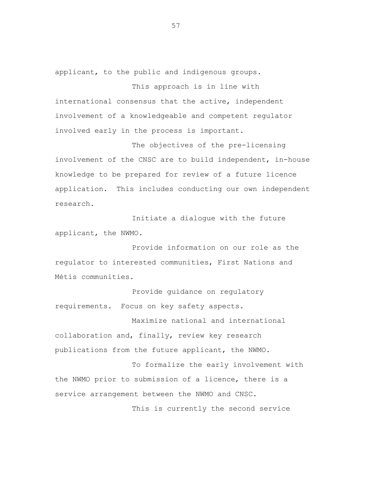applicant, to the public and indigenous groups.

This approach is in line with international consensus that the active, independent involvement of a knowledgeable and competent regulator involved early in the process is important.

The objectives of the pre-licensing involvement of the CNSC are to build independent, in-house knowledge to be prepared for review of a future licence application. This includes conducting our own independent research.

Initiate a dialogue with the future applicant, the NWMO.

Provide information on our role as the regulator to interested communities, First Nations and Métis communities.

Provide guidance on regulatory requirements. Focus on key safety aspects.

Maximize national and international collaboration and, finally, review key research publications from the future applicant, the NWMO.

To formalize the early involvement with the NWMO prior to submission of a licence, there is a service arrangement between the NWMO and CNSC.

This is currently the second service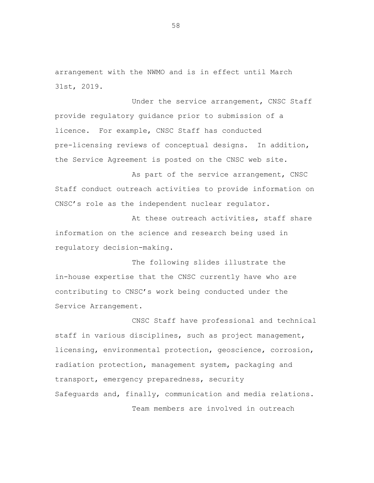arrangement with the NWMO and is in effect until March 31st, 2019.

Under the service arrangement, CNSC Staff provide regulatory guidance prior to submission of a licence. For example, CNSC Staff has conducted pre-licensing reviews of conceptual designs. In addition, the Service Agreement is posted on the CNSC web site.

As part of the service arrangement, CNSC Staff conduct outreach activities to provide information on CNSC's role as the independent nuclear regulator.

At these outreach activities, staff share information on the science and research being used in regulatory decision-making.

The following slides illustrate the in-house expertise that the CNSC currently have who are contributing to CNSC's work being conducted under the Service Arrangement.

CNSC Staff have professional and technical staff in various disciplines, such as project management, licensing, environmental protection, geoscience, corrosion, radiation protection, management system, packaging and transport, emergency preparedness, security Safeguards and, finally, communication and media relations. Team members are involved in outreach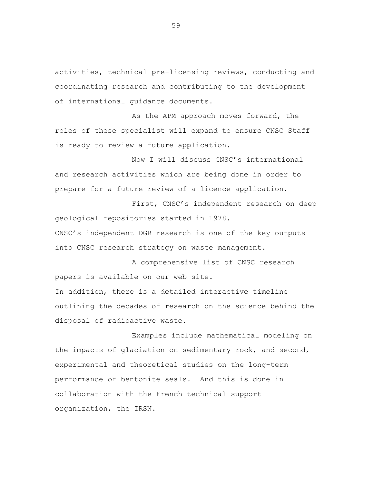activities, technical pre-licensing reviews, conducting and coordinating research and contributing to the development of international guidance documents.

As the APM approach moves forward, the roles of these specialist will expand to ensure CNSC Staff is ready to review a future application.

Now I will discuss CNSC's international and research activities which are being done in order to prepare for a future review of a licence application.

First, CNSC's independent research on deep geological repositories started in 1978. CNSC's independent DGR research is one of the key outputs

into CNSC research strategy on waste management.

A comprehensive list of CNSC research papers is available on our web site.

In addition, there is a detailed interactive timeline outlining the decades of research on the science behind the disposal of radioactive waste.

Examples include mathematical modeling on the impacts of glaciation on sedimentary rock, and second, experimental and theoretical studies on the long-term performance of bentonite seals. And this is done in collaboration with the French technical support organization, the IRSN.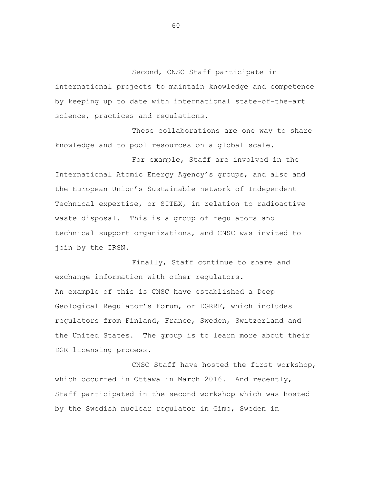Second, CNSC Staff participate in international projects to maintain knowledge and competence by keeping up to date with international state-of-the-art science, practices and regulations.

These collaborations are one way to share knowledge and to pool resources on a global scale.

For example, Staff are involved in the International Atomic Energy Agency's groups, and also and the European Union's Sustainable network of Independent Technical expertise, or SITEX, in relation to radioactive waste disposal. This is a group of regulators and technical support organizations, and CNSC was invited to join by the IRSN.

Finally, Staff continue to share and exchange information with other regulators. An example of this is CNSC have established a Deep Geological Regulator's Forum, or DGRRF, which includes regulators from Finland, France, Sweden, Switzerland and the United States. The group is to learn more about their DGR licensing process.

CNSC Staff have hosted the first workshop, which occurred in Ottawa in March 2016. And recently, Staff participated in the second workshop which was hosted by the Swedish nuclear regulator in Gimo, Sweden in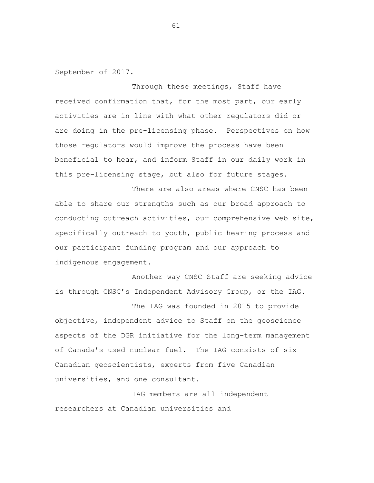September of 2017.

Through these meetings, Staff have received confirmation that, for the most part, our early activities are in line with what other regulators did or are doing in the pre-licensing phase. Perspectives on how those regulators would improve the process have been beneficial to hear, and inform Staff in our daily work in this pre-licensing stage, but also for future stages.

There are also areas where CNSC has been able to share our strengths such as our broad approach to conducting outreach activities, our comprehensive web site, specifically outreach to youth, public hearing process and our participant funding program and our approach to indigenous engagement.

Another way CNSC Staff are seeking advice is through CNSC's Independent Advisory Group, or the IAG.

The IAG was founded in 2015 to provide objective, independent advice to Staff on the geoscience aspects of the DGR initiative for the long-term management of Canada's used nuclear fuel. The IAG consists of six Canadian geoscientists, experts from five Canadian universities, and one consultant.

IAG members are all independent researchers at Canadian universities and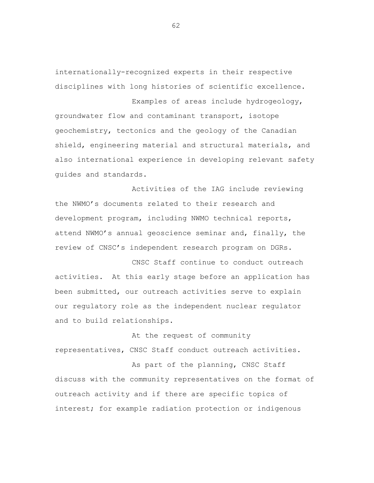internationally-recognized experts in their respective disciplines with long histories of scientific excellence.

Examples of areas include hydrogeology, groundwater flow and contaminant transport, isotope geochemistry, tectonics and the geology of the Canadian shield, engineering material and structural materials, and also international experience in developing relevant safety guides and standards.

Activities of the IAG include reviewing the NWMO's documents related to their research and development program, including NWMO technical reports, attend NWMO's annual geoscience seminar and, finally, the review of CNSC's independent research program on DGRs.

CNSC Staff continue to conduct outreach activities. At this early stage before an application has been submitted, our outreach activities serve to explain our regulatory role as the independent nuclear regulator and to build relationships.

At the request of community representatives, CNSC Staff conduct outreach activities.

As part of the planning, CNSC Staff discuss with the community representatives on the format of outreach activity and if there are specific topics of interest; for example radiation protection or indigenous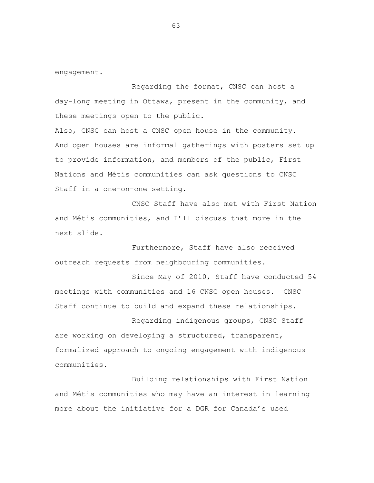engagement.

Regarding the format, CNSC can host a day-long meeting in Ottawa, present in the community, and these meetings open to the public.

Also, CNSC can host a CNSC open house in the community. And open houses are informal gatherings with posters set up to provide information, and members of the public, First Nations and Métis communities can ask questions to CNSC Staff in a one-on-one setting.

CNSC Staff have also met with First Nation and Métis communities, and I'll discuss that more in the next slide.

Furthermore, Staff have also received outreach requests from neighbouring communities.

Since May of 2010, Staff have conducted 54 meetings with communities and 16 CNSC open houses. CNSC Staff continue to build and expand these relationships.

Regarding indigenous groups, CNSC Staff are working on developing a structured, transparent, formalized approach to ongoing engagement with indigenous communities.

Building relationships with First Nation and Métis communities who may have an interest in learning more about the initiative for a DGR for Canada's used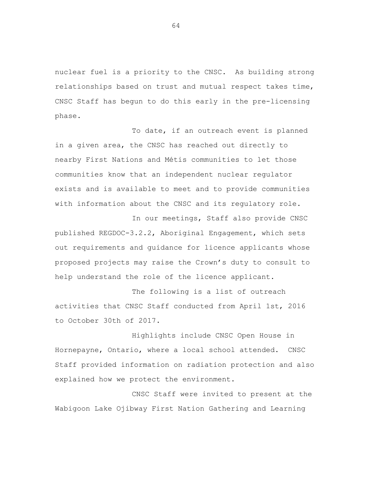nuclear fuel is a priority to the CNSC. As building strong relationships based on trust and mutual respect takes time, CNSC Staff has begun to do this early in the pre-licensing phase.

To date, if an outreach event is planned in a given area, the CNSC has reached out directly to nearby First Nations and Métis communities to let those communities know that an independent nuclear regulator exists and is available to meet and to provide communities with information about the CNSC and its regulatory role.

In our meetings, Staff also provide CNSC published REGDOC-3.2.2, Aboriginal Engagement, which sets out requirements and guidance for licence applicants whose proposed projects may raise the Crown's duty to consult to help understand the role of the licence applicant.

The following is a list of outreach activities that CNSC Staff conducted from April 1st, 2016 to October 30th of 2017.

Highlights include CNSC Open House in Hornepayne, Ontario, where a local school attended. CNSC Staff provided information on radiation protection and also explained how we protect the environment.

CNSC Staff were invited to present at the Wabigoon Lake Ojibway First Nation Gathering and Learning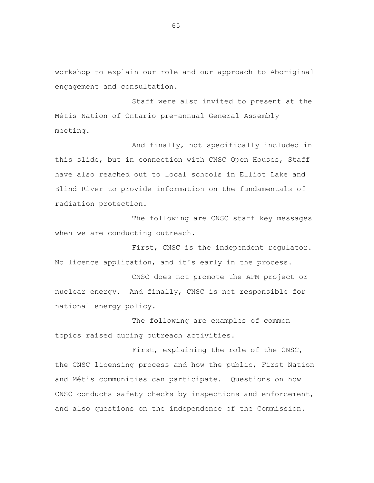workshop to explain our role and our approach to Aboriginal engagement and consultation.

Staff were also invited to present at the Métis Nation of Ontario pre-annual General Assembly meeting.

And finally, not specifically included in this slide, but in connection with CNSC Open Houses, Staff have also reached out to local schools in Elliot Lake and Blind River to provide information on the fundamentals of radiation protection.

The following are CNSC staff key messages when we are conducting outreach.

First, CNSC is the independent regulator. No licence application, and it's early in the process.

CNSC does not promote the APM project or nuclear energy. And finally, CNSC is not responsible for national energy policy.

The following are examples of common topics raised during outreach activities.

First, explaining the role of the CNSC, the CNSC licensing process and how the public, First Nation and Métis communities can participate. Questions on how CNSC conducts safety checks by inspections and enforcement, and also questions on the independence of the Commission.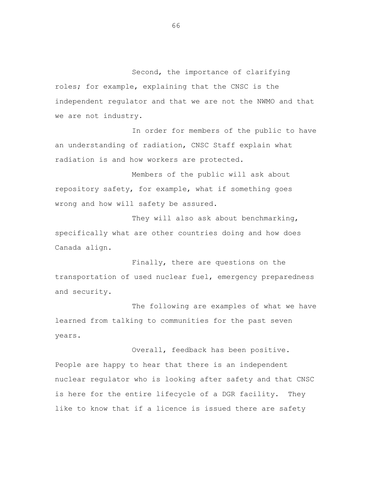Second, the importance of clarifying roles; for example, explaining that the CNSC is the independent regulator and that we are not the NWMO and that we are not industry.

In order for members of the public to have an understanding of radiation, CNSC Staff explain what radiation is and how workers are protected.

Members of the public will ask about repository safety, for example, what if something goes wrong and how will safety be assured.

They will also ask about benchmarking, specifically what are other countries doing and how does Canada align.

Finally, there are questions on the transportation of used nuclear fuel, emergency preparedness and security.

The following are examples of what we have learned from talking to communities for the past seven years.

Overall, feedback has been positive. People are happy to hear that there is an independent nuclear regulator who is looking after safety and that CNSC is here for the entire lifecycle of a DGR facility. They like to know that if a licence is issued there are safety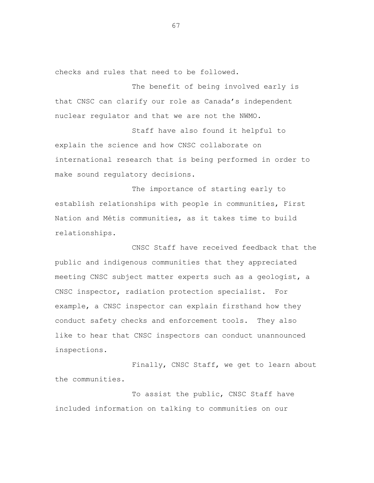checks and rules that need to be followed.

The benefit of being involved early is that CNSC can clarify our role as Canada's independent nuclear regulator and that we are not the NWMO.

Staff have also found it helpful to explain the science and how CNSC collaborate on international research that is being performed in order to make sound regulatory decisions.

The importance of starting early to establish relationships with people in communities, First Nation and Métis communities, as it takes time to build relationships.

CNSC Staff have received feedback that the public and indigenous communities that they appreciated meeting CNSC subject matter experts such as a geologist, a CNSC inspector, radiation protection specialist. For example, a CNSC inspector can explain firsthand how they conduct safety checks and enforcement tools. They also like to hear that CNSC inspectors can conduct unannounced inspections.

Finally, CNSC Staff, we get to learn about the communities.

To assist the public, CNSC Staff have included information on talking to communities on our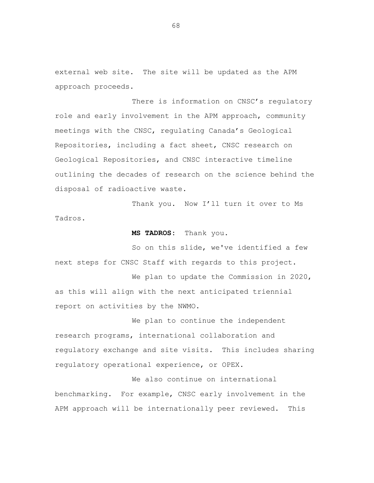external web site. The site will be updated as the APM approach proceeds.

There is information on CNSC's regulatory role and early involvement in the APM approach, community meetings with the CNSC, regulating Canada's Geological Repositories, including a fact sheet, CNSC research on Geological Repositories, and CNSC interactive timeline outlining the decades of research on the science behind the disposal of radioactive waste.

Thank you. Now I'll turn it over to Ms Tadros.

**MS TADROS:** Thank you.

So on this slide, we've identified a few next steps for CNSC Staff with regards to this project.

We plan to update the Commission in 2020, as this will align with the next anticipated triennial report on activities by the NWMO.

We plan to continue the independent research programs, international collaboration and regulatory exchange and site visits. This includes sharing regulatory operational experience, or OPEX.

We also continue on international benchmarking. For example, CNSC early involvement in the APM approach will be internationally peer reviewed. This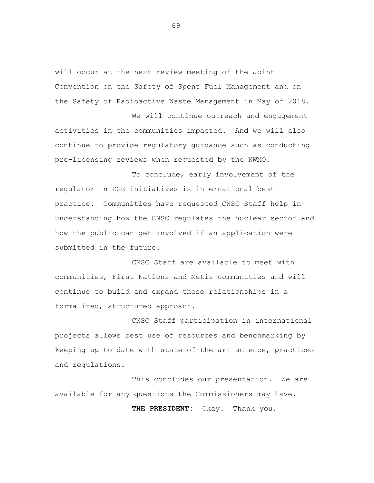will occur at the next review meeting of the Joint Convention on the Safety of Spent Fuel Management and on the Safety of Radioactive Waste Management in May of 2018.

We will continue outreach and engagement activities in the communities impacted. And we will also continue to provide regulatory guidance such as conducting pre-licensing reviews when requested by the NWMO.

To conclude, early involvement of the regulator in DGR initiatives is international best practice. Communities have requested CNSC Staff help in understanding how the CNSC regulates the nuclear sector and how the public can get involved if an application were submitted in the future.

CNSC Staff are available to meet with communities, First Nations and Métis communities and will continue to build and expand these relationships in a formalized, structured approach.

CNSC Staff participation in international projects allows best use of resources and benchmarking by keeping up to date with state-of-the-art science, practices and regulations.

This concludes our presentation. We are available for any questions the Commissioners may have.

**THE PRESIDENT:** Okay. Thank you.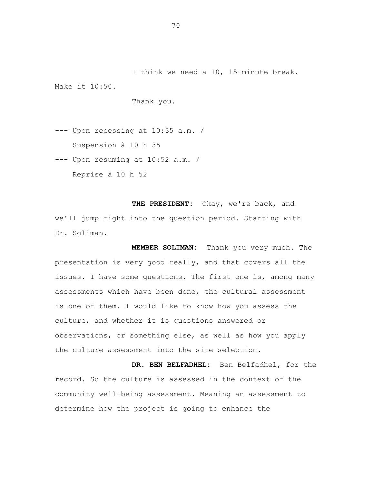I think we need a 10, 15-minute break. Make it 10:50.

Thank you.

--- Upon recessing at 10:35 a.m. / Suspension à 10 h 35

--- Upon resuming at 10:52 a.m. / Reprise à 10 h 52

**THE PRESIDENT:** Okay, we're back, and we'll jump right into the question period. Starting with Dr. Soliman.

**MEMBER SOLIMAN:** Thank you very much. The presentation is very good really, and that covers all the issues. I have some questions. The first one is, among many assessments which have been done, the cultural assessment is one of them. I would like to know how you assess the culture, and whether it is questions answered or observations, or something else, as well as how you apply the culture assessment into the site selection.

**DR. BEN BELFADHEL:** Ben Belfadhel, for the record. So the culture is assessed in the context of the community well-being assessment. Meaning an assessment to determine how the project is going to enhance the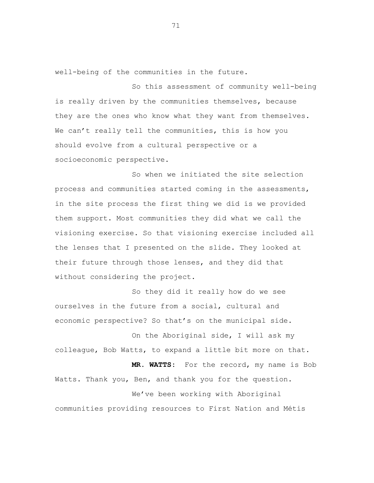well-being of the communities in the future.

So this assessment of community well-being is really driven by the communities themselves, because they are the ones who know what they want from themselves. We can't really tell the communities, this is how you should evolve from a cultural perspective or a socioeconomic perspective.

So when we initiated the site selection process and communities started coming in the assessments, in the site process the first thing we did is we provided them support. Most communities they did what we call the visioning exercise. So that visioning exercise included all the lenses that I presented on the slide. They looked at their future through those lenses, and they did that without considering the project.

So they did it really how do we see ourselves in the future from a social, cultural and economic perspective? So that's on the municipal side.

On the Aboriginal side, I will ask my colleague, Bob Watts, to expand a little bit more on that.

**MR. WATTS:** For the record, my name is Bob Watts. Thank you, Ben, and thank you for the question. We've been working with Aboriginal

communities providing resources to First Nation and Métis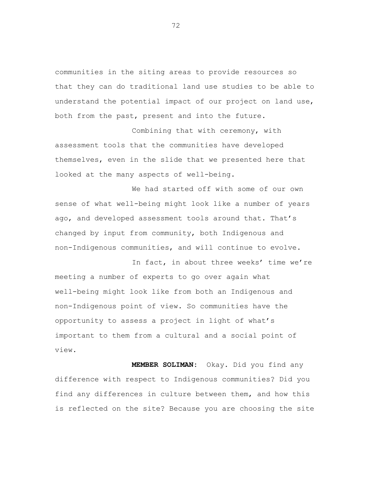communities in the siting areas to provide resources so that they can do traditional land use studies to be able to understand the potential impact of our project on land use, both from the past, present and into the future.

Combining that with ceremony, with assessment tools that the communities have developed themselves, even in the slide that we presented here that looked at the many aspects of well-being.

We had started off with some of our own sense of what well-being might look like a number of years ago, and developed assessment tools around that. That's changed by input from community, both Indigenous and non-Indigenous communities, and will continue to evolve.

In fact, in about three weeks' time we're meeting a number of experts to go over again what well-being might look like from both an Indigenous and non-Indigenous point of view. So communities have the opportunity to assess a project in light of what's important to them from a cultural and a social point of view.

 **MEMBER SOLIMAN:** Okay. Did you find any difference with respect to Indigenous communities? Did you find any differences in culture between them, and how this is reflected on the site? Because you are choosing the site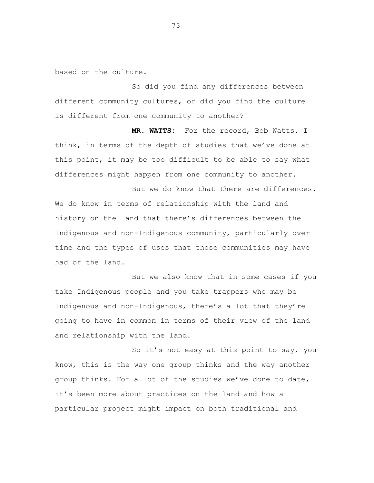based on the culture.

So did you find any differences between different community cultures, or did you find the culture is different from one community to another?

 **MR. WATTS:** For the record, Bob Watts. I think, in terms of the depth of studies that we've done at this point, it may be too difficult to be able to say what differences might happen from one community to another.

But we do know that there are differences. We do know in terms of relationship with the land and history on the land that there's differences between the Indigenous and non-Indigenous community, particularly over time and the types of uses that those communities may have had of the land.

But we also know that in some cases if you take Indigenous people and you take trappers who may be Indigenous and non-Indigenous, there's a lot that they're going to have in common in terms of their view of the land and relationship with the land.

So it's not easy at this point to say, you know, this is the way one group thinks and the way another group thinks. For a lot of the studies we've done to date, it's been more about practices on the land and how a particular project might impact on both traditional and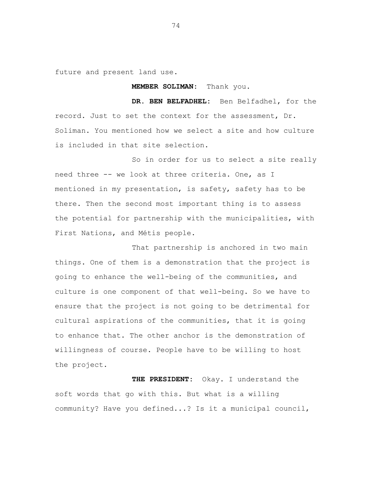future and present land use.

## **MEMBER SOLIMAN:** Thank you.

**DR. BEN BELFADHEL:** Ben Belfadhel, for the record. Just to set the context for the assessment, Dr. Soliman. You mentioned how we select a site and how culture is included in that site selection.

So in order for us to select a site really need three -- we look at three criteria. One, as I mentioned in my presentation, is safety, safety has to be there. Then the second most important thing is to assess the potential for partnership with the municipalities, with First Nations, and Métis people.

That partnership is anchored in two main things. One of them is a demonstration that the project is going to enhance the well-being of the communities, and culture is one component of that well-being. So we have to ensure that the project is not going to be detrimental for cultural aspirations of the communities, that it is going to enhance that. The other anchor is the demonstration of willingness of course. People have to be willing to host the project.

 **THE PRESIDENT:** Okay. I understand the soft words that go with this. But what is a willing community? Have you defined...? Is it a municipal council,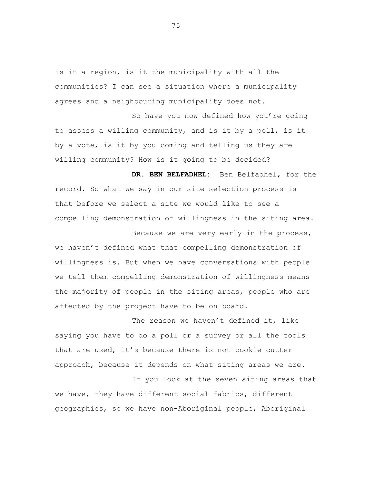is it a region, is it the municipality with all the communities? I can see a situation where a municipality agrees and a neighbouring municipality does not.

So have you now defined how you're going to assess a willing community, and is it by a poll, is it by a vote, is it by you coming and telling us they are willing community? How is it going to be decided?

**DR. BEN BELFADHEL:** Ben Belfadhel, for the record. So what we say in our site selection process is that before we select a site we would like to see a compelling demonstration of willingness in the siting area.

Because we are very early in the process, we haven't defined what that compelling demonstration of willingness is. But when we have conversations with people we tell them compelling demonstration of willingness means the majority of people in the siting areas, people who are affected by the project have to be on board.

The reason we haven't defined it, like saying you have to do a poll or a survey or all the tools that are used, it's because there is not cookie cutter approach, because it depends on what siting areas we are.

If you look at the seven siting areas that we have, they have different social fabrics, different geographies, so we have non-Aboriginal people, Aboriginal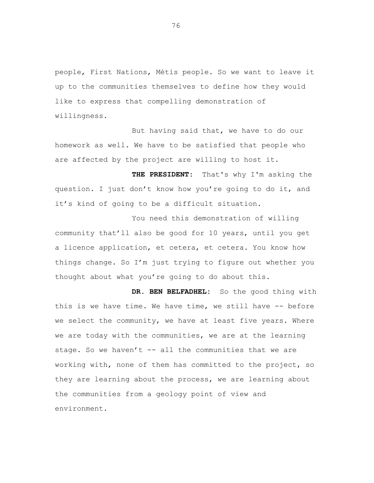people, First Nations, Métis people. So we want to leave it up to the communities themselves to define how they would like to express that compelling demonstration of willingness.

But having said that, we have to do our homework as well. We have to be satisfied that people who are affected by the project are willing to host it.

 **THE PRESIDENT:** That's why I'm asking the question. I just don't know how you're going to do it, and it's kind of going to be a difficult situation.

You need this demonstration of willing community that'll also be good for 10 years, until you get a licence application, et cetera, et cetera. You know how things change. So I'm just trying to figure out whether you thought about what you're going to do about this.

**DR. BEN BELFADHEL:** So the good thing with this is we have time. We have time, we still have -- before we select the community, we have at least five years. Where we are today with the communities, we are at the learning stage. So we haven't  $--$  all the communities that we are working with, none of them has committed to the project, so they are learning about the process, we are learning about the communities from a geology point of view and environment.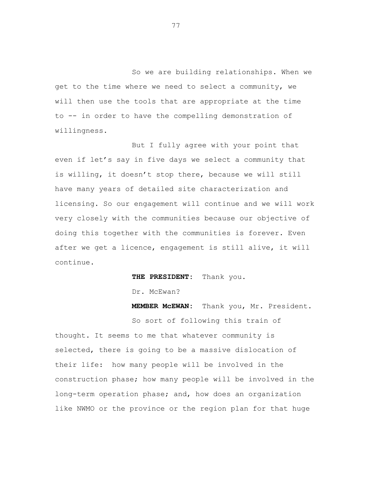So we are building relationships. When we get to the time where we need to select a community, we will then use the tools that are appropriate at the time to -- in order to have the compelling demonstration of willingness.

But I fully agree with your point that even if let's say in five days we select a community that is willing, it doesn't stop there, because we will still have many years of detailed site characterization and licensing. So our engagement will continue and we will work very closely with the communities because our objective of doing this together with the communities is forever. Even after we get a licence, engagement is still alive, it will continue.

 **THE PRESIDENT:** Thank you.

Dr. McEwan?

 **MEMBER McEWAN:** Thank you, Mr. President.

So sort of following this train of thought. It seems to me that whatever community is selected, there is going to be a massive dislocation of their life: how many people will be involved in the construction phase; how many people will be involved in the long-term operation phase; and, how does an organization like NWMO or the province or the region plan for that huge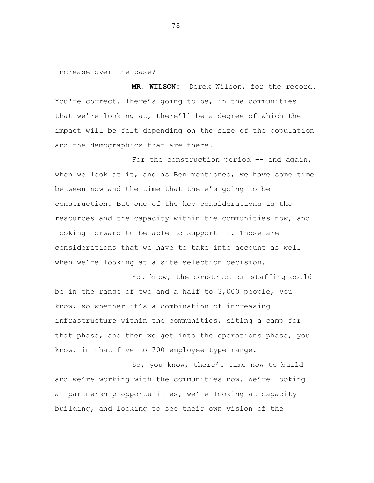increase over the base?

 **MR. WILSON:** Derek Wilson, for the record. You're correct. There's going to be, in the communities that we're looking at, there'll be a degree of which the impact will be felt depending on the size of the population and the demographics that are there.

For the construction period -- and again, when we look at it, and as Ben mentioned, we have some time between now and the time that there's going to be construction. But one of the key considerations is the resources and the capacity within the communities now, and looking forward to be able to support it. Those are considerations that we have to take into account as well when we're looking at a site selection decision.

You know, the construction staffing could be in the range of two and a half to 3,000 people, you know, so whether it's a combination of increasing infrastructure within the communities, siting a camp for that phase, and then we get into the operations phase, you know, in that five to 700 employee type range.

So, you know, there's time now to build and we're working with the communities now. We're looking at partnership opportunities, we're looking at capacity building, and looking to see their own vision of the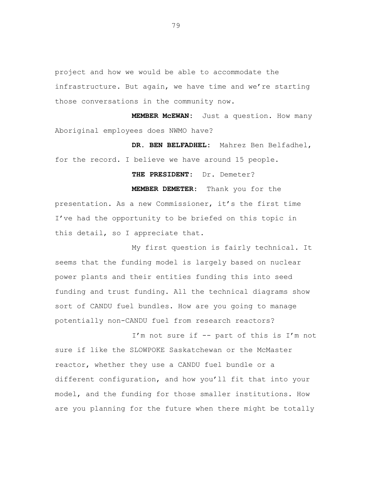project and how we would be able to accommodate the infrastructure. But again, we have time and we're starting those conversations in the community now.

 **MEMBER McEWAN:** Just a question. How many Aboriginal employees does NWMO have?

**DR. BEN BELFADHEL:** Mahrez Ben Belfadhel, for the record. I believe we have around 15 people.

 **THE PRESIDENT:** Dr. Demeter?

 **MEMBER DEMETER:** Thank you for the presentation. As a new Commissioner, it's the first time I've had the opportunity to be briefed on this topic in this detail, so I appreciate that.

My first question is fairly technical. It seems that the funding model is largely based on nuclear power plants and their entities funding this into seed funding and trust funding. All the technical diagrams show sort of CANDU fuel bundles. How are you going to manage potentially non-CANDU fuel from research reactors?

I'm not sure if -- part of this is I'm not sure if like the SLOWPOKE Saskatchewan or the McMaster reactor, whether they use a CANDU fuel bundle or a different configuration, and how you'll fit that into your model, and the funding for those smaller institutions. How are you planning for the future when there might be totally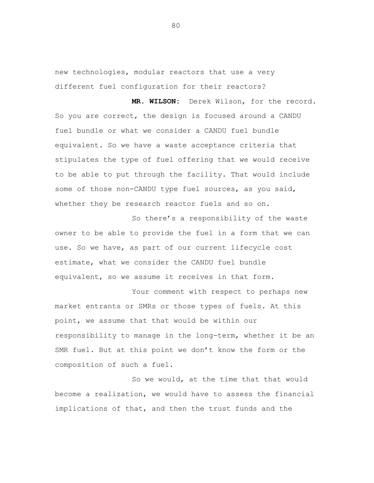new technologies, modular reactors that use a very different fuel configuration for their reactors?

 **MR. WILSON:** Derek Wilson, for the record. So you are correct, the design is focused around a CANDU fuel bundle or what we consider a CANDU fuel bundle equivalent. So we have a waste acceptance criteria that stipulates the type of fuel offering that we would receive to be able to put through the facility. That would include some of those non-CANDU type fuel sources, as you said, whether they be research reactor fuels and so on.

So there's a responsibility of the waste owner to be able to provide the fuel in a form that we can use. So we have, as part of our current lifecycle cost estimate, what we consider the CANDU fuel bundle equivalent, so we assume it receives in that form.

Your comment with respect to perhaps new market entrants or SMRs or those types of fuels. At this point, we assume that that would be within our responsibility to manage in the long-term, whether it be an SMR fuel. But at this point we don't know the form or the composition of such a fuel.

So we would, at the time that that would become a realization, we would have to assess the financial implications of that, and then the trust funds and the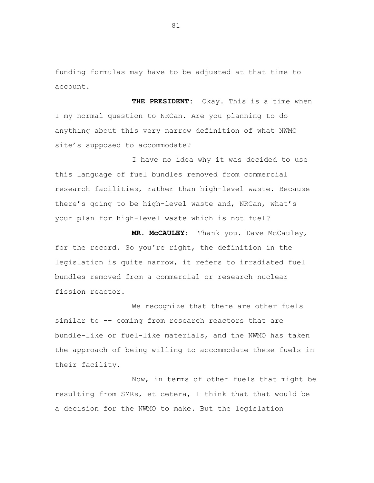funding formulas may have to be adjusted at that time to account.

 **THE PRESIDENT:** Okay. This is a time when I my normal question to NRCan. Are you planning to do anything about this very narrow definition of what NWMO site's supposed to accommodate?

I have no idea why it was decided to use this language of fuel bundles removed from commercial research facilities, rather than high-level waste. Because there's going to be high-level waste and, NRCan, what's your plan for high-level waste which is not fuel?

 **MR. McCAULEY:** Thank you. Dave McCauley, for the record. So you're right, the definition in the legislation is quite narrow, it refers to irradiated fuel bundles removed from a commercial or research nuclear fission reactor.

We recognize that there are other fuels similar to -- coming from research reactors that are bundle-like or fuel-like materials, and the NWMO has taken the approach of being willing to accommodate these fuels in their facility.

Now, in terms of other fuels that might be resulting from SMRs, et cetera, I think that that would be a decision for the NWMO to make. But the legislation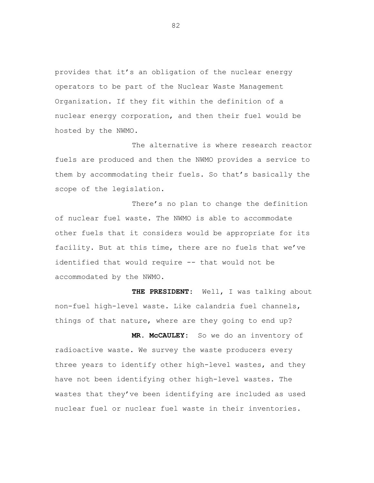provides that it's an obligation of the nuclear energy operators to be part of the Nuclear Waste Management Organization. If they fit within the definition of a nuclear energy corporation, and then their fuel would be hosted by the NWMO.

The alternative is where research reactor fuels are produced and then the NWMO provides a service to them by accommodating their fuels. So that's basically the scope of the legislation.

There's no plan to change the definition of nuclear fuel waste. The NWMO is able to accommodate other fuels that it considers would be appropriate for its facility. But at this time, there are no fuels that we've identified that would require -- that would not be accommodated by the NWMO.

 **THE PRESIDENT:** Well, I was talking about non-fuel high-level waste. Like calandria fuel channels, things of that nature, where are they going to end up?

 **MR. McCAULEY:** So we do an inventory of radioactive waste. We survey the waste producers every three years to identify other high-level wastes, and they have not been identifying other high-level wastes. The wastes that they've been identifying are included as used nuclear fuel or nuclear fuel waste in their inventories.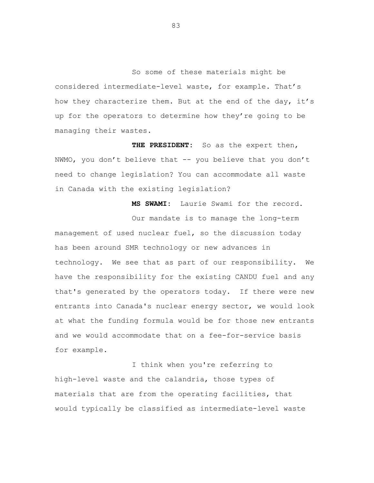So some of these materials might be considered intermediate-level waste, for example. That's how they characterize them. But at the end of the day, it's up for the operators to determine how they're going to be managing their wastes.

 **THE PRESIDENT:** So as the expert then, NWMO, you don't believe that -- you believe that you don't need to change legislation? You can accommodate all waste in Canada with the existing legislation?

**MS SWAMI:** Laurie Swami for the record. Our mandate is to manage the long-term management of used nuclear fuel, so the discussion today has been around SMR technology or new advances in technology. We see that as part of our responsibility. We have the responsibility for the existing CANDU fuel and any that's generated by the operators today. If there were new entrants into Canada's nuclear energy sector, we would look at what the funding formula would be for those new entrants and we would accommodate that on a fee-for-service basis for example.

I think when you're referring to high-level waste and the calandria, those types of materials that are from the operating facilities, that would typically be classified as intermediate-level waste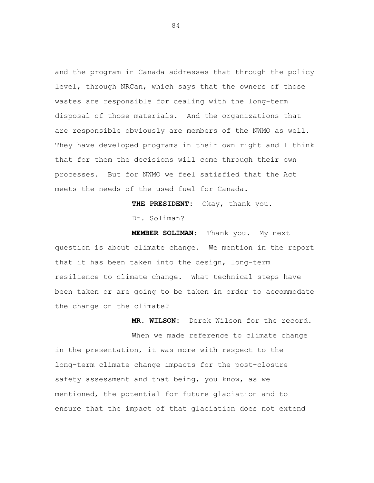and the program in Canada addresses that through the policy level, through NRCan, which says that the owners of those wastes are responsible for dealing with the long-term disposal of those materials. And the organizations that are responsible obviously are members of the NWMO as well. They have developed programs in their own right and I think that for them the decisions will come through their own processes. But for NWMO we feel satisfied that the Act meets the needs of the used fuel for Canada.

**THE PRESIDENT:** Okay, thank you.

Dr. Soliman?

**MEMBER SOLIMAN:** Thank you. My next question is about climate change. We mention in the report that it has been taken into the design, long-term resilience to climate change. What technical steps have been taken or are going to be taken in order to accommodate the change on the climate?

**MR. WILSON:** Derek Wilson for the record. When we made reference to climate change in the presentation, it was more with respect to the long-term climate change impacts for the post-closure safety assessment and that being, you know, as we mentioned, the potential for future glaciation and to ensure that the impact of that glaciation does not extend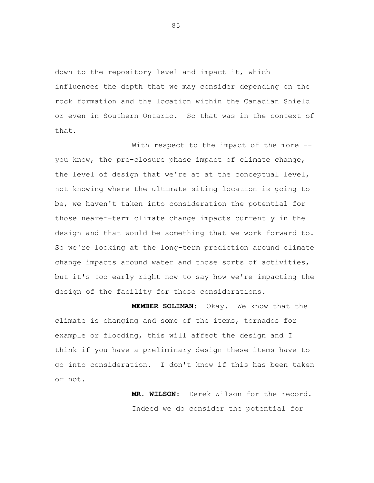down to the repository level and impact it, which influences the depth that we may consider depending on the rock formation and the location within the Canadian Shield or even in Southern Ontario. So that was in the context of that.

With respect to the impact of the more -you know, the pre-closure phase impact of climate change, the level of design that we're at at the conceptual level, not knowing where the ultimate siting location is going to be, we haven't taken into consideration the potential for those nearer-term climate change impacts currently in the design and that would be something that we work forward to. So we're looking at the long-term prediction around climate change impacts around water and those sorts of activities, but it's too early right now to say how we're impacting the design of the facility for those considerations.

**MEMBER SOLIMAN:** Okay. We know that the climate is changing and some of the items, tornados for example or flooding, this will affect the design and I think if you have a preliminary design these items have to go into consideration. I don't know if this has been taken or not.

> **MR. WILSON:** Derek Wilson for the record. Indeed we do consider the potential for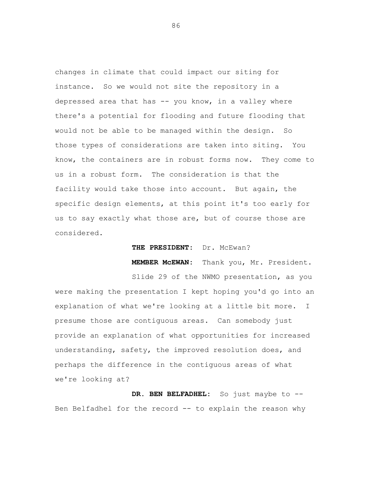changes in climate that could impact our siting for instance. So we would not site the repository in a depressed area that has -- you know, in a valley where there's a potential for flooding and future flooding that would not be able to be managed within the design. So those types of considerations are taken into siting. You know, the containers are in robust forms now. They come to us in a robust form. The consideration is that the facility would take those into account. But again, the specific design elements, at this point it's too early for us to say exactly what those are, but of course those are considered.

## THE PRESIDENT: Dr. McEwan?

**MEMBER McEWAN:** Thank you, Mr. President.

Slide 29 of the NWMO presentation, as you were making the presentation I kept hoping you'd go into an explanation of what we're looking at a little bit more. I presume those are contiguous areas. Can somebody just provide an explanation of what opportunities for increased understanding, safety, the improved resolution does, and perhaps the difference in the contiguous areas of what we're looking at?

**DR. BEN BELFADHEL:** So just maybe to -- Ben Belfadhel for the record -- to explain the reason why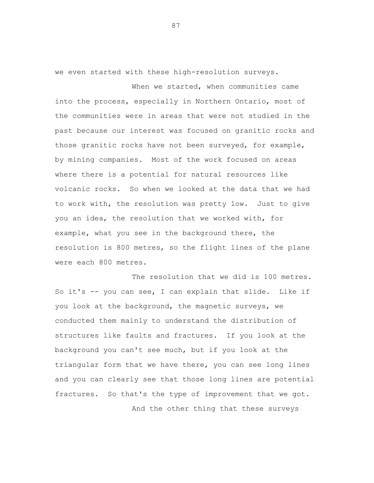we even started with these high-resolution surveys.

When we started, when communities came into the process, especially in Northern Ontario, most of the communities were in areas that were not studied in the past because our interest was focused on granitic rocks and those granitic rocks have not been surveyed, for example, by mining companies. Most of the work focused on areas where there is a potential for natural resources like volcanic rocks. So when we looked at the data that we had to work with, the resolution was pretty low. Just to give you an idea, the resolution that we worked with, for example, what you see in the background there, the resolution is 800 metres, so the flight lines of the plane were each 800 metres.

The resolution that we did is 100 metres. So it's -- you can see, I can explain that slide. Like if you look at the background, the magnetic surveys, we conducted them mainly to understand the distribution of structures like faults and fractures. If you look at the background you can't see much, but if you look at the triangular form that we have there, you can see long lines and you can clearly see that those long lines are potential fractures. So that's the type of improvement that we got.

And the other thing that these surveys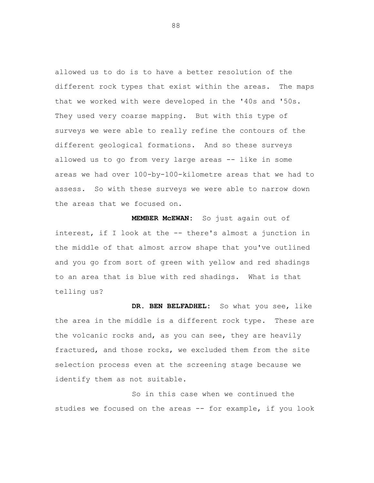allowed us to do is to have a better resolution of the different rock types that exist within the areas. The maps that we worked with were developed in the '40s and '50s. They used very coarse mapping. But with this type of surveys we were able to really refine the contours of the different geological formations. And so these surveys allowed us to go from very large areas -- like in some areas we had over 100-by-100-kilometre areas that we had to assess. So with these surveys we were able to narrow down the areas that we focused on.

**MEMBER McEWAN:** So just again out of interest, if I look at the -- there's almost a junction in the middle of that almost arrow shape that you've outlined and you go from sort of green with yellow and red shadings to an area that is blue with red shadings. What is that telling us?

**DR. BEN BELFADHEL:** So what you see, like the area in the middle is a different rock type. These are the volcanic rocks and, as you can see, they are heavily fractured, and those rocks, we excluded them from the site selection process even at the screening stage because we identify them as not suitable.

So in this case when we continued the studies we focused on the areas -- for example, if you look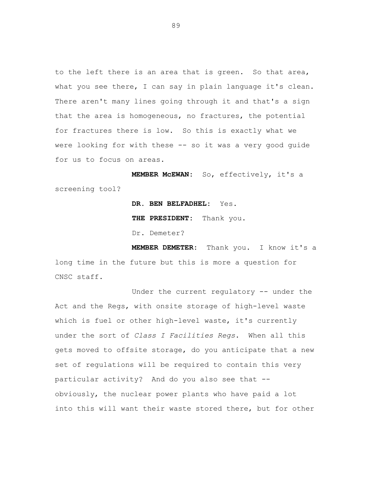to the left there is an area that is green. So that area, what you see there, I can say in plain language it's clean. There aren't many lines going through it and that's a sign that the area is homogeneous, no fractures, the potential for fractures there is low. So this is exactly what we were looking for with these -- so it was a very good guide for us to focus on areas.

**MEMBER McEWAN:** So, effectively, it's a screening tool?

> **DR. BEN BELFADHEL:** Yes. **THE PRESIDENT:** Thank you. Dr. Demeter?

**MEMBER DEMETER:** Thank you. I know it's a long time in the future but this is more a question for CNSC staff.

Under the current regulatory -- under the Act and the Regs, with onsite storage of high-level waste which is fuel or other high-level waste, it's currently under the sort of *Class I Facilities Regs*. When all this gets moved to offsite storage, do you anticipate that a new set of regulations will be required to contain this very particular activity? And do you also see that - obviously, the nuclear power plants who have paid a lot into this will want their waste stored there, but for other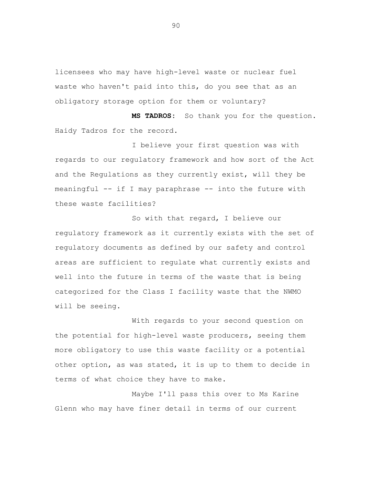licensees who may have high-level waste or nuclear fuel waste who haven't paid into this, do you see that as an obligatory storage option for them or voluntary?

**MS TADROS:** So thank you for the question. Haidy Tadros for the record.

I believe your first question was with regards to our regulatory framework and how sort of the Act and the Regulations as they currently exist, will they be meaningful -- if I may paraphrase -- into the future with these waste facilities?

So with that regard, I believe our regulatory framework as it currently exists with the set of regulatory documents as defined by our safety and control areas are sufficient to regulate what currently exists and well into the future in terms of the waste that is being categorized for the Class I facility waste that the NWMO will be seeing.

With regards to your second question on the potential for high-level waste producers, seeing them more obligatory to use this waste facility or a potential other option, as was stated, it is up to them to decide in terms of what choice they have to make.

Maybe I'll pass this over to Ms Karine Glenn who may have finer detail in terms of our current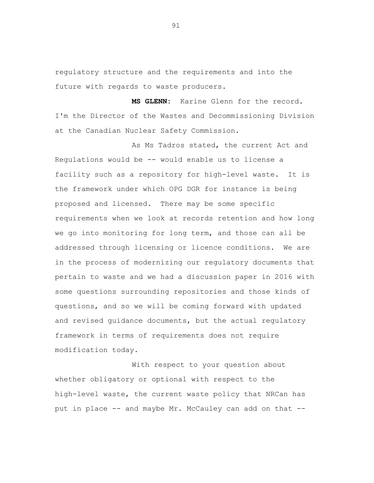regulatory structure and the requirements and into the future with regards to waste producers.

**MS GLENN:** Karine Glenn for the record. I'm the Director of the Wastes and Decommissioning Division at the Canadian Nuclear Safety Commission.

As Ms Tadros stated, the current Act and Regulations would be -- would enable us to license a facility such as a repository for high-level waste. It is the framework under which OPG DGR for instance is being proposed and licensed. There may be some specific requirements when we look at records retention and how long we go into monitoring for long term, and those can all be addressed through licensing or licence conditions. We are in the process of modernizing our regulatory documents that pertain to waste and we had a discussion paper in 2016 with some questions surrounding repositories and those kinds of questions, and so we will be coming forward with updated and revised guidance documents, but the actual regulatory framework in terms of requirements does not require modification today.

With respect to your question about whether obligatory or optional with respect to the high-level waste, the current waste policy that NRCan has put in place -- and maybe Mr. McCauley can add on that --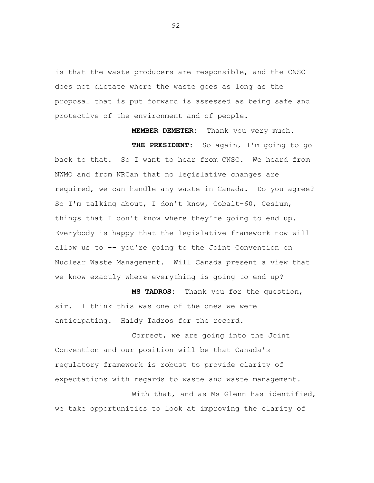is that the waste producers are responsible, and the CNSC does not dictate where the waste goes as long as the proposal that is put forward is assessed as being safe and protective of the environment and of people.

**MEMBER DEMETER:** Thank you very much. **THE PRESIDENT:** So again, I'm going to go back to that. So I want to hear from CNSC. We heard from NWMO and from NRCan that no legislative changes are required, we can handle any waste in Canada. Do you agree? So I'm talking about, I don't know, Cobalt-60, Cesium, things that I don't know where they're going to end up. Everybody is happy that the legislative framework now will allow us to -- you're going to the Joint Convention on Nuclear Waste Management. Will Canada present a view that we know exactly where everything is going to end up?

**MS TADROS:** Thank you for the question, sir. I think this was one of the ones we were anticipating. Haidy Tadros for the record.

Correct, we are going into the Joint Convention and our position will be that Canada's regulatory framework is robust to provide clarity of expectations with regards to waste and waste management.

With that, and as Ms Glenn has identified, we take opportunities to look at improving the clarity of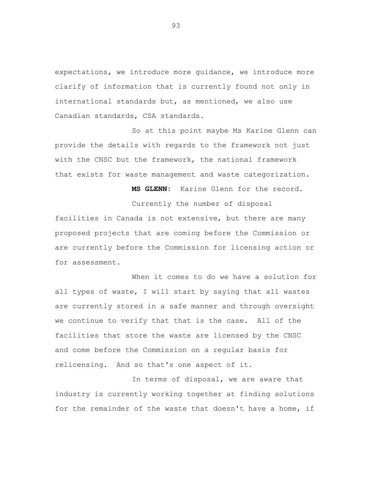expectations, we introduce more guidance, we introduce more clarify of information that is currently found not only in international standards but, as mentioned, we also use Canadian standards, CSA standards.

So at this point maybe Ms Karine Glenn can provide the details with regards to the framework not just with the CNSC but the framework, the national framework that exists for waste management and waste categorization.

**MS GLENN:** Karine Glenn for the record.

Currently the number of disposal facilities in Canada is not extensive, but there are many proposed projects that are coming before the Commission or are currently before the Commission for licensing action or for assessment.

When it comes to do we have a solution for all types of waste, I will start by saying that all wastes are currently stored in a safe manner and through oversight we continue to verify that that is the case. All of the facilities that store the waste are licensed by the CNSC and come before the Commission on a regular basis for relicensing. And so that's one aspect of it.

In terms of disposal, we are aware that industry is currently working together at finding solutions for the remainder of the waste that doesn't have a home, if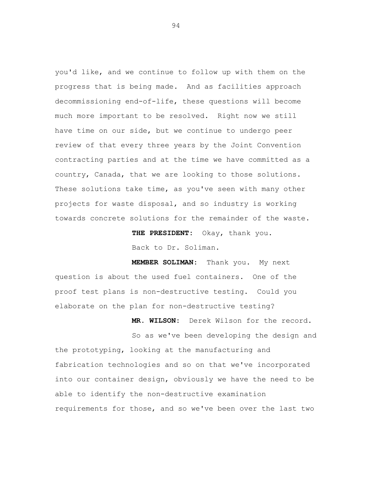you'd like, and we continue to follow up with them on the progress that is being made. And as facilities approach decommissioning end-of-life, these questions will become much more important to be resolved. Right now we still have time on our side, but we continue to undergo peer review of that every three years by the Joint Convention contracting parties and at the time we have committed as a country, Canada, that we are looking to those solutions. These solutions take time, as you've seen with many other projects for waste disposal, and so industry is working towards concrete solutions for the remainder of the waste.

> **THE PRESIDENT:** Okay, thank you. Back to Dr. Soliman.

**MEMBER SOLIMAN:** Thank you. My next question is about the used fuel containers. One of the proof test plans is non-destructive testing. Could you elaborate on the plan for non-destructive testing?

**MR. WILSON:** Derek Wilson for the record. So as we've been developing the design and the prototyping, looking at the manufacturing and fabrication technologies and so on that we've incorporated into our container design, obviously we have the need to be able to identify the non-destructive examination requirements for those, and so we've been over the last two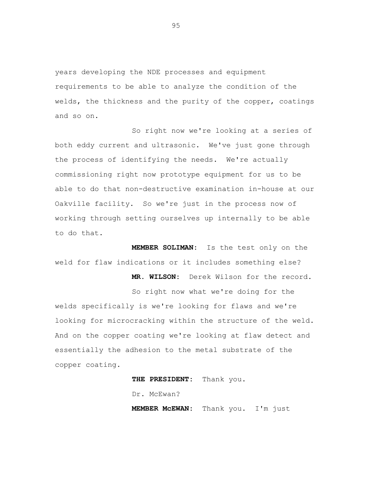years developing the NDE processes and equipment requirements to be able to analyze the condition of the welds, the thickness and the purity of the copper, coatings and so on.

So right now we're looking at a series of both eddy current and ultrasonic. We've just gone through the process of identifying the needs. We're actually commissioning right now prototype equipment for us to be able to do that non-destructive examination in-house at our Oakville facility. So we're just in the process now of working through setting ourselves up internally to be able to do that.

**MEMBER SOLIMAN:** Is the test only on the weld for flaw indications or it includes something else?

So right now what we're doing for the welds specifically is we're looking for flaws and we're looking for microcracking within the structure of the weld. And on the copper coating we're looking at flaw detect and essentially the adhesion to the metal substrate of the copper coating.

**THE PRESIDENT:** Thank you.

Dr. McEwan?

**MEMBER McEWAN:** Thank you. I'm just

**MR. WILSON:** Derek Wilson for the record.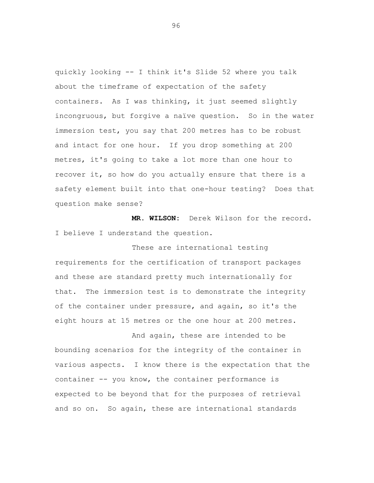quickly looking -- I think it's Slide 52 where you talk about the timeframe of expectation of the safety containers. As I was thinking, it just seemed slightly incongruous, but forgive a naïve question. So in the water immersion test, you say that 200 metres has to be robust and intact for one hour. If you drop something at 200 metres, it's going to take a lot more than one hour to recover it, so how do you actually ensure that there is a safety element built into that one-hour testing? Does that question make sense?

**MR. WILSON:** Derek Wilson for the record. I believe I understand the question.

These are international testing requirements for the certification of transport packages and these are standard pretty much internationally for that. The immersion test is to demonstrate the integrity of the container under pressure, and again, so it's the eight hours at 15 metres or the one hour at 200 metres.

And again, these are intended to be bounding scenarios for the integrity of the container in various aspects. I know there is the expectation that the container -- you know, the container performance is expected to be beyond that for the purposes of retrieval and so on. So again, these are international standards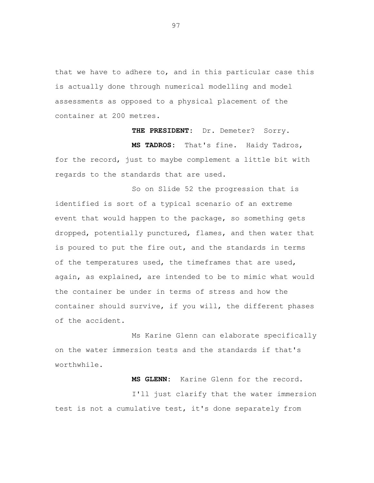that we have to adhere to, and in this particular case this is actually done through numerical modelling and model assessments as opposed to a physical placement of the container at 200 metres.

**THE PRESIDENT:** Dr. Demeter? Sorry.

 **MS TADROS:** That's fine. Haidy Tadros, for the record, just to maybe complement a little bit with regards to the standards that are used.

So on Slide 52 the progression that is identified is sort of a typical scenario of an extreme event that would happen to the package, so something gets dropped, potentially punctured, flames, and then water that is poured to put the fire out, and the standards in terms of the temperatures used, the timeframes that are used, again, as explained, are intended to be to mimic what would the container be under in terms of stress and how the container should survive, if you will, the different phases of the accident.

Ms Karine Glenn can elaborate specifically on the water immersion tests and the standards if that's worthwhile.

**MS GLENN:** Karine Glenn for the record.

I'll just clarify that the water immersion test is not a cumulative test, it's done separately from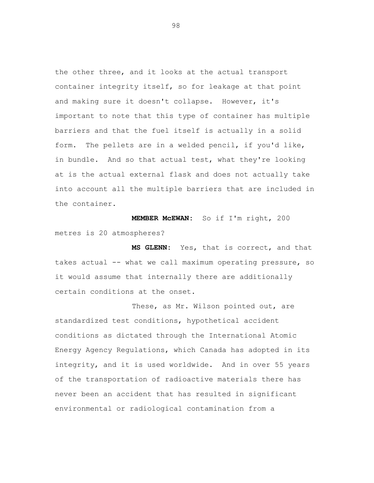the other three, and it looks at the actual transport container integrity itself, so for leakage at that point and making sure it doesn't collapse. However, it's important to note that this type of container has multiple barriers and that the fuel itself is actually in a solid form. The pellets are in a welded pencil, if you'd like, in bundle. And so that actual test, what they're looking at is the actual external flask and does not actually take into account all the multiple barriers that are included in the container.

**MEMBER McEWAN:** So if I'm right, 200 metres is 20 atmospheres?

 **MS GLENN:** Yes, that is correct, and that takes actual -- what we call maximum operating pressure, so it would assume that internally there are additionally certain conditions at the onset.

These, as Mr. Wilson pointed out, are standardized test conditions, hypothetical accident conditions as dictated through the International Atomic Energy Agency Regulations, which Canada has adopted in its integrity, and it is used worldwide. And in over 55 years of the transportation of radioactive materials there has never been an accident that has resulted in significant environmental or radiological contamination from a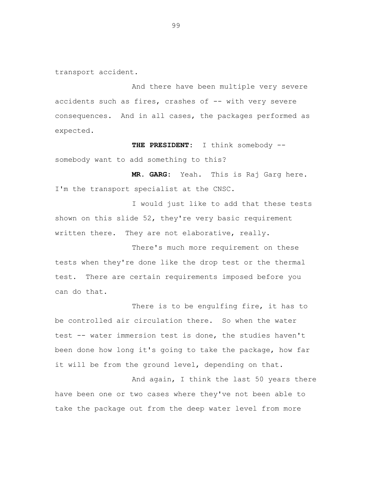transport accident.

And there have been multiple very severe accidents such as fires, crashes of -- with very severe consequences. And in all cases, the packages performed as expected.

**THE PRESIDENT:** I think somebody - somebody want to add something to this?

 **MR. GARG:** Yeah. This is Raj Garg here. I'm the transport specialist at the CNSC.

I would just like to add that these tests shown on this slide 52, they're very basic requirement written there. They are not elaborative, really.

There's much more requirement on these tests when they're done like the drop test or the thermal test. There are certain requirements imposed before you can do that.

There is to be engulfing fire, it has to be controlled air circulation there. So when the water test -- water immersion test is done, the studies haven't been done how long it's going to take the package, how far it will be from the ground level, depending on that.

And again, I think the last 50 years there have been one or two cases where they've not been able to take the package out from the deep water level from more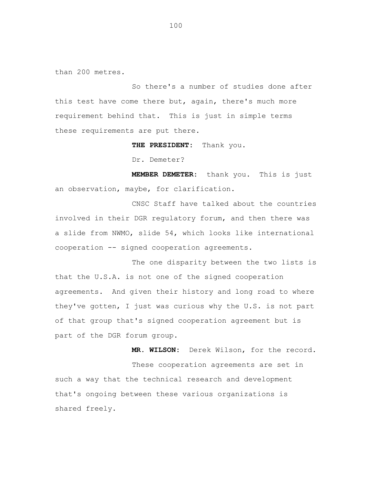than 200 metres.

So there's a number of studies done after this test have come there but, again, there's much more requirement behind that. This is just in simple terms these requirements are put there.

 **THE PRESIDENT:** Thank you.

Dr. Demeter?

 **MEMBER DEMETER:** thank you. This is just an observation, maybe, for clarification.

CNSC Staff have talked about the countries involved in their DGR regulatory forum, and then there was a slide from NWMO, slide 54, which looks like international cooperation -- signed cooperation agreements.

The one disparity between the two lists is that the U.S.A. is not one of the signed cooperation agreements. And given their history and long road to where they've gotten, I just was curious why the U.S. is not part of that group that's signed cooperation agreement but is part of the DGR forum group.

 **MR. WILSON:** Derek Wilson, for the record. These cooperation agreements are set in such a way that the technical research and development that's ongoing between these various organizations is shared freely.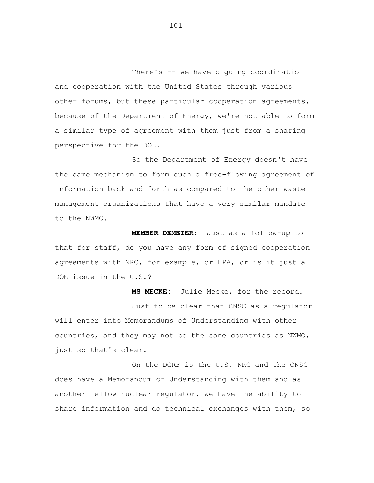There's -- we have ongoing coordination and cooperation with the United States through various other forums, but these particular cooperation agreements, because of the Department of Energy, we're not able to form a similar type of agreement with them just from a sharing perspective for the DOE.

So the Department of Energy doesn't have the same mechanism to form such a free-flowing agreement of information back and forth as compared to the other waste management organizations that have a very similar mandate to the NWMO.

 **MEMBER DEMETER:** Just as a follow-up to that for staff, do you have any form of signed cooperation agreements with NRC, for example, or EPA, or is it just a DOE issue in the U.S.?

 **MS MECKE:** Julie Mecke, for the record. Just to be clear that CNSC as a regulator will enter into Memorandums of Understanding with other countries, and they may not be the same countries as NWMO, just so that's clear.

On the DGRF is the U.S. NRC and the CNSC does have a Memorandum of Understanding with them and as another fellow nuclear regulator, we have the ability to share information and do technical exchanges with them, so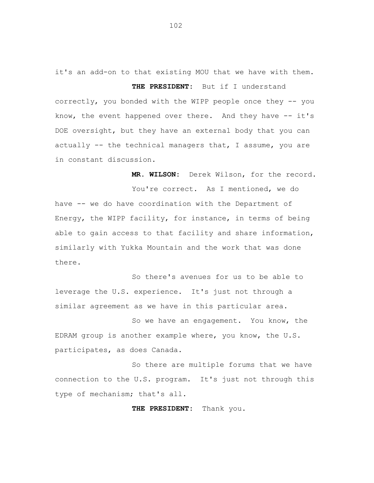it's an add-on to that existing MOU that we have with them.  **THE PRESIDENT:** But if I understand correctly, you bonded with the WIPP people once they -- you know, the event happened over there. And they have -- it's DOE oversight, but they have an external body that you can actually -- the technical managers that, I assume, you are in constant discussion.

 **MR. WILSON:** Derek Wilson, for the record.

You're correct. As I mentioned, we do have -- we do have coordination with the Department of Energy, the WIPP facility, for instance, in terms of being able to gain access to that facility and share information, similarly with Yukka Mountain and the work that was done there.

So there's avenues for us to be able to leverage the U.S. experience. It's just not through a similar agreement as we have in this particular area.

So we have an engagement. You know, the EDRAM group is another example where, you know, the U.S. participates, as does Canada.

So there are multiple forums that we have connection to the U.S. program. It's just not through this type of mechanism; that's all.

 **THE PRESIDENT:** Thank you.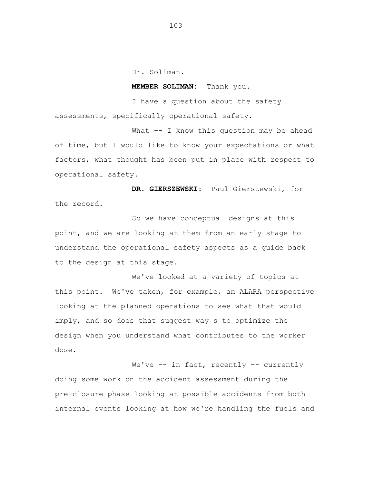Dr. Soliman.

## **MEMBER SOLIMAN:** Thank you.

I have a question about the safety assessments, specifically operational safety.

What -- I know this question may be ahead of time, but I would like to know your expectations or what factors, what thought has been put in place with respect to operational safety.

**DR. GIERSZEWSKI:** Paul Gierszewski, for the record.

So we have conceptual designs at this point, and we are looking at them from an early stage to understand the operational safety aspects as a guide back to the design at this stage.

We've looked at a variety of topics at this point. We've taken, for example, an ALARA perspective looking at the planned operations to see what that would imply, and so does that suggest way s to optimize the design when you understand what contributes to the worker dose.

We've -- in fact, recently -- currently doing some work on the accident assessment during the pre-closure phase looking at possible accidents from both internal events looking at how we're handling the fuels and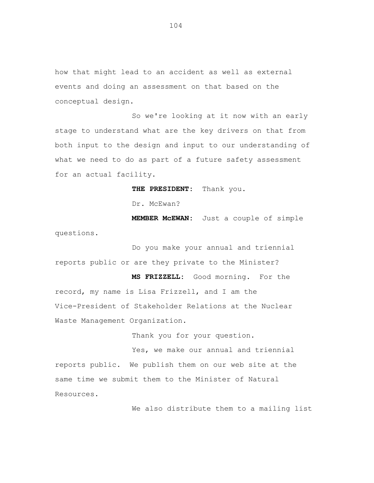how that might lead to an accident as well as external events and doing an assessment on that based on the conceptual design.

So we're looking at it now with an early stage to understand what are the key drivers on that from both input to the design and input to our understanding of what we need to do as part of a future safety assessment for an actual facility.

**THE PRESIDENT:** Thank you.

Dr. McEwan?

**MEMBER McEWAN:** Just a couple of simple questions.

Do you make your annual and triennial reports public or are they private to the Minister?

 **MS FRIZZELL:** Good morning. For the record, my name is Lisa Frizzell, and I am the Vice-President of Stakeholder Relations at the Nuclear Waste Management Organization.

Thank you for your question.

Yes, we make our annual and triennial reports public. We publish them on our web site at the same time we submit them to the Minister of Natural Resources.

We also distribute them to a mailing list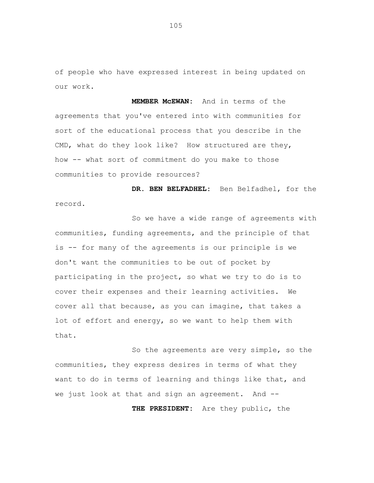of people who have expressed interest in being updated on our work.

**MEMBER McEWAN:** And in terms of the agreements that you've entered into with communities for sort of the educational process that you describe in the CMD, what do they look like? How structured are they, how -- what sort of commitment do you make to those communities to provide resources?

**DR. BEN BELFADHEL:** Ben Belfadhel, for the record.

So we have a wide range of agreements with communities, funding agreements, and the principle of that is -- for many of the agreements is our principle is we don't want the communities to be out of pocket by participating in the project, so what we try to do is to cover their expenses and their learning activities. We cover all that because, as you can imagine, that takes a lot of effort and energy, so we want to help them with that.

So the agreements are very simple, so the communities, they express desires in terms of what they want to do in terms of learning and things like that, and we just look at that and sign an agreement. And --

**THE PRESIDENT:** Are they public, the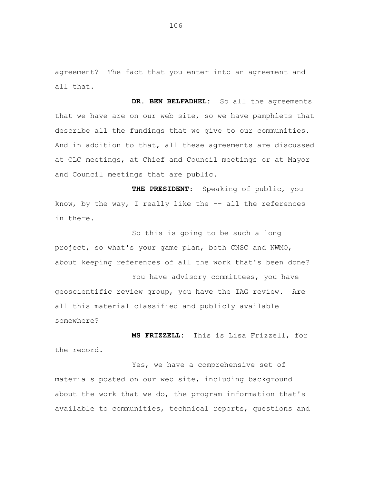agreement? The fact that you enter into an agreement and all that.

DR. BEN BELFADHEL: So all the agreements that we have are on our web site, so we have pamphlets that describe all the fundings that we give to our communities. And in addition to that, all these agreements are discussed at CLC meetings, at Chief and Council meetings or at Mayor and Council meetings that are public.

**THE PRESIDENT:** Speaking of public, you know, by the way, I really like the  $--$  all the references in there.

So this is going to be such a long project, so what's your game plan, both CNSC and NWMO, about keeping references of all the work that's been done?

You have advisory committees, you have geoscientific review group, you have the IAG review. Are all this material classified and publicly available somewhere?

**MS FRIZZELL:** This is Lisa Frizzell, for the record.

Yes, we have a comprehensive set of materials posted on our web site, including background about the work that we do, the program information that's available to communities, technical reports, questions and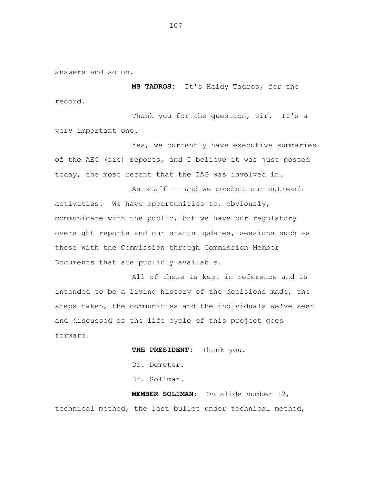answers and so on.

**MS TADROS:** It's Haidy Tadros, for the record.

Thank you for the question, sir. It's a very important one.

Yes, we currently have executive summaries of the AEG (sic) reports, and I believe it was just posted today, the most recent that the IAG was involved in.

As staff -- and we conduct our outreach activities. We have opportunities to, obviously, communicate with the public, but we have our regulatory oversight reports and our status updates, sessions such as these with the Commission through Commission Member Documents that are publicly available.

All of these is kept in reference and is intended to be a living history of the decisions made, the steps taken, the communities and the individuals we've seen and discussed as the life cycle of this project goes forward.

> **THE PRESIDENT:** Thank you. Dr. Demeter. Dr. Soliman.  **MEMBER SOLIMAN:** On slide number 12,

technical method, the last bullet under technical method,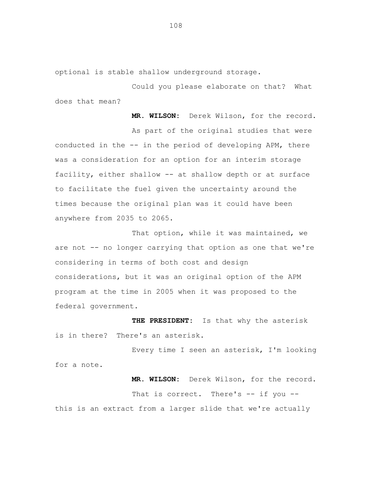optional is stable shallow underground storage.

Could you please elaborate on that? What does that mean?

 **MR. WILSON:** Derek Wilson, for the record. As part of the original studies that were conducted in the -- in the period of developing APM, there was a consideration for an option for an interim storage facility, either shallow -- at shallow depth or at surface to facilitate the fuel given the uncertainty around the times because the original plan was it could have been anywhere from 2035 to 2065.

That option, while it was maintained, we are not -- no longer carrying that option as one that we're considering in terms of both cost and design considerations, but it was an original option of the APM program at the time in 2005 when it was proposed to the federal government.

**THE PRESIDENT:** Is that why the asterisk is in there? There's an asterisk.

Every time I seen an asterisk, I'm looking for a note.

That is correct. There's -- if you -this is an extract from a larger slide that we're actually

**MR. WILSON:** Derek Wilson, for the record.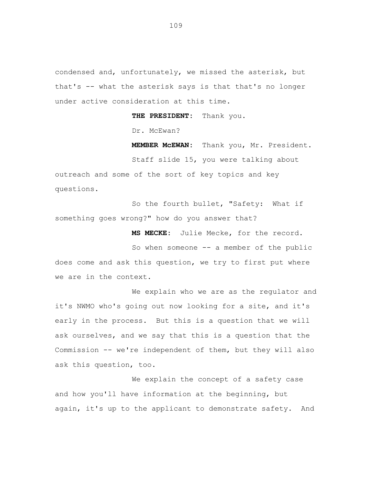condensed and, unfortunately, we missed the asterisk, but that's -- what the asterisk says is that that's no longer under active consideration at this time.

 **THE PRESIDENT:** Thank you.

Dr. McEwan?

 **MEMBER McEWAN:** Thank you, Mr. President.

Staff slide 15, you were talking about outreach and some of the sort of key topics and key questions.

So the fourth bullet, "Safety: What if something goes wrong?" how do you answer that?

 **MS MECKE:** Julie Mecke, for the record.

So when someone -- a member of the public does come and ask this question, we try to first put where we are in the context.

We explain who we are as the regulator and it's NWMO who's going out now looking for a site, and it's early in the process. But this is a question that we will ask ourselves, and we say that this is a question that the Commission -- we're independent of them, but they will also ask this question, too.

We explain the concept of a safety case and how you'll have information at the beginning, but again, it's up to the applicant to demonstrate safety. And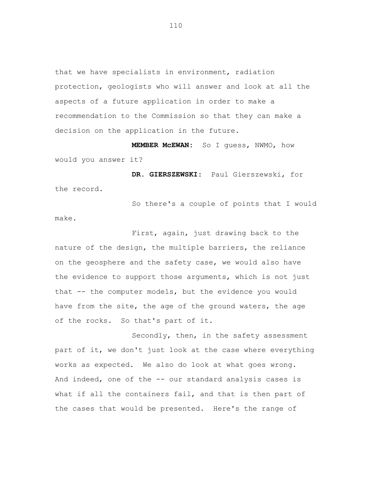that we have specialists in environment, radiation protection, geologists who will answer and look at all the aspects of a future application in order to make a recommendation to the Commission so that they can make a decision on the application in the future.

**MEMBER McEWAN:** So I guess, NWMO, how would you answer it?

 **DR. GIERSZEWSKI:** Paul Gierszewski, for the record.

So there's a couple of points that I would make.

First, again, just drawing back to the nature of the design, the multiple barriers, the reliance on the geosphere and the safety case, we would also have the evidence to support those arguments, which is not just that -- the computer models, but the evidence you would have from the site, the age of the ground waters, the age of the rocks. So that's part of it.

Secondly, then, in the safety assessment part of it, we don't just look at the case where everything works as expected. We also do look at what goes wrong. And indeed, one of the -- our standard analysis cases is what if all the containers fail, and that is then part of the cases that would be presented. Here's the range of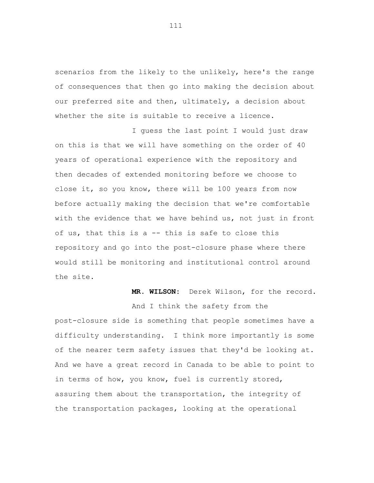scenarios from the likely to the unlikely, here's the range of consequences that then go into making the decision about our preferred site and then, ultimately, a decision about whether the site is suitable to receive a licence.

I guess the last point I would just draw on this is that we will have something on the order of 40 years of operational experience with the repository and then decades of extended monitoring before we choose to close it, so you know, there will be 100 years from now before actually making the decision that we're comfortable with the evidence that we have behind us, not just in front of us, that this is a -- this is safe to close this repository and go into the post-closure phase where there would still be monitoring and institutional control around the site.

## **MR. WILSON:** Derek Wilson, for the record.

post-closure side is something that people sometimes have a difficulty understanding. I think more importantly is some of the nearer term safety issues that they'd be looking at. And we have a great record in Canada to be able to point to in terms of how, you know, fuel is currently stored, assuring them about the transportation, the integrity of the transportation packages, looking at the operational

And I think the safety from the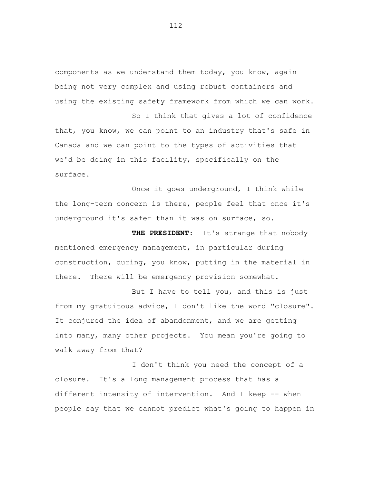components as we understand them today, you know, again being not very complex and using robust containers and using the existing safety framework from which we can work.

So I think that gives a lot of confidence that, you know, we can point to an industry that's safe in Canada and we can point to the types of activities that we'd be doing in this facility, specifically on the surface.

Once it goes underground, I think while the long-term concern is there, people feel that once it's underground it's safer than it was on surface, so.

 **THE PRESIDENT:** It's strange that nobody mentioned emergency management, in particular during construction, during, you know, putting in the material in there. There will be emergency provision somewhat.

But I have to tell you, and this is just from my gratuitous advice, I don't like the word "closure". It conjured the idea of abandonment, and we are getting into many, many other projects. You mean you're going to walk away from that?

I don't think you need the concept of a closure. It's a long management process that has a different intensity of intervention. And I keep -- when people say that we cannot predict what's going to happen in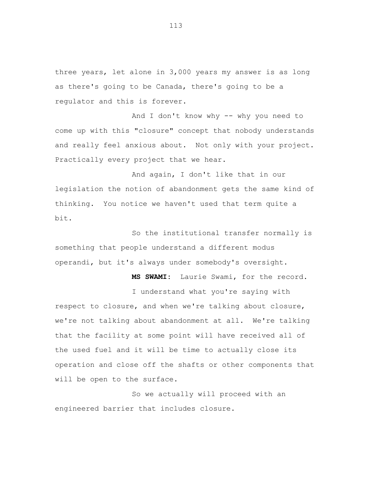three years, let alone in 3,000 years my answer is as long as there's going to be Canada, there's going to be a regulator and this is forever.

And I don't know why -- why you need to come up with this "closure" concept that nobody understands and really feel anxious about. Not only with your project. Practically every project that we hear.

And again, I don't like that in our legislation the notion of abandonment gets the same kind of thinking. You notice we haven't used that term quite a bit.

So the institutional transfer normally is something that people understand a different modus operandi, but it's always under somebody's oversight.

 **MS SWAMI:** Laurie Swami, for the record.

I understand what you're saying with

respect to closure, and when we're talking about closure, we're not talking about abandonment at all. We're talking that the facility at some point will have received all of the used fuel and it will be time to actually close its operation and close off the shafts or other components that will be open to the surface.

So we actually will proceed with an engineered barrier that includes closure.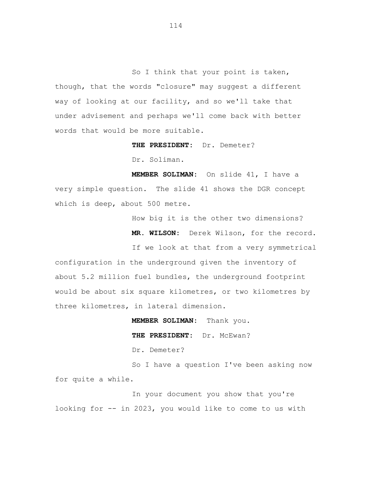So I think that your point is taken, though, that the words "closure" may suggest a different way of looking at our facility, and so we'll take that under advisement and perhaps we'll come back with better words that would be more suitable.

 **THE PRESIDENT:** Dr. Demeter?

Dr. Soliman.

 **MEMBER SOLIMAN:** On slide 41, I have a very simple question. The slide 41 shows the DGR concept which is deep, about 500 metre.

How big it is the other two dimensions?

**MR. WILSON:** Derek Wilson, for the record.

If we look at that from a very symmetrical configuration in the underground given the inventory of about 5.2 million fuel bundles, the underground footprint would be about six square kilometres, or two kilometres by three kilometres, in lateral dimension.

> **MEMBER SOLIMAN:** Thank you.  **THE PRESIDENT:** Dr. McEwan? Dr. Demeter?

So I have a question I've been asking now for quite a while.

In your document you show that you're looking for -- in 2023, you would like to come to us with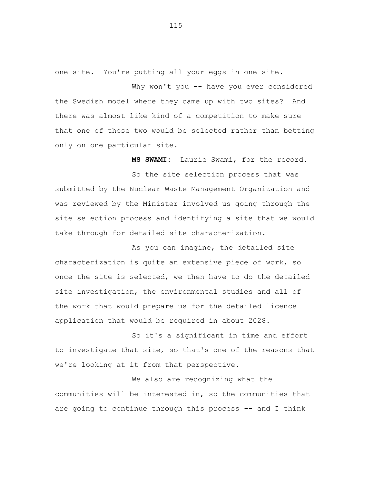one site. You're putting all your eggs in one site.

Why won't you -- have you ever considered the Swedish model where they came up with two sites? And there was almost like kind of a competition to make sure that one of those two would be selected rather than betting only on one particular site.

 **MS SWAMI:** Laurie Swami, for the record. So the site selection process that was submitted by the Nuclear Waste Management Organization and was reviewed by the Minister involved us going through the site selection process and identifying a site that we would take through for detailed site characterization.

As you can imagine, the detailed site characterization is quite an extensive piece of work, so once the site is selected, we then have to do the detailed site investigation, the environmental studies and all of the work that would prepare us for the detailed licence application that would be required in about 2028.

So it's a significant in time and effort to investigate that site, so that's one of the reasons that we're looking at it from that perspective.

We also are recognizing what the communities will be interested in, so the communities that are going to continue through this process -- and I think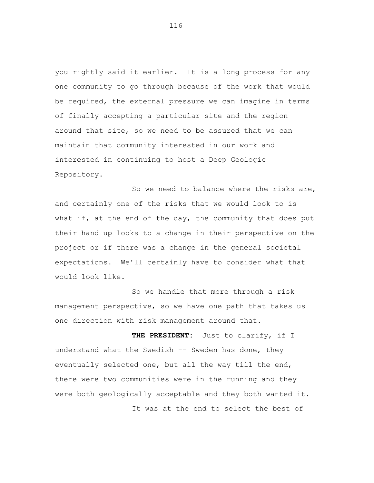you rightly said it earlier. It is a long process for any one community to go through because of the work that would be required, the external pressure we can imagine in terms of finally accepting a particular site and the region around that site, so we need to be assured that we can maintain that community interested in our work and interested in continuing to host a Deep Geologic Repository.

So we need to balance where the risks are, and certainly one of the risks that we would look to is what if, at the end of the day, the community that does put their hand up looks to a change in their perspective on the project or if there was a change in the general societal expectations. We'll certainly have to consider what that would look like.

So we handle that more through a risk management perspective, so we have one path that takes us one direction with risk management around that.

 **THE PRESIDENT:** Just to clarify, if I understand what the Swedish -- Sweden has done, they eventually selected one, but all the way till the end, there were two communities were in the running and they were both geologically acceptable and they both wanted it.

It was at the end to select the best of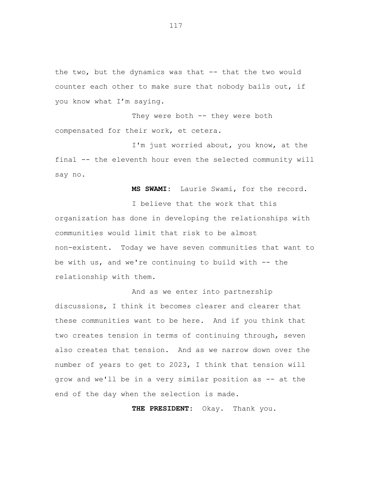the two, but the dynamics was that -- that the two would counter each other to make sure that nobody bails out, if you know what I'm saying.

They were both -- they were both compensated for their work, et cetera.

I'm just worried about, you know, at the final -- the eleventh hour even the selected community will say no.

**MS SWAMI:** Laurie Swami, for the record.

I believe that the work that this organization has done in developing the relationships with communities would limit that risk to be almost non-existent. Today we have seven communities that want to be with us, and we're continuing to build with  $-$ - the relationship with them.

And as we enter into partnership discussions, I think it becomes clearer and clearer that these communities want to be here. And if you think that two creates tension in terms of continuing through, seven also creates that tension. And as we narrow down over the number of years to get to 2023, I think that tension will grow and we'll be in a very similar position as -- at the end of the day when the selection is made.

**THE PRESIDENT:** Okay. Thank you.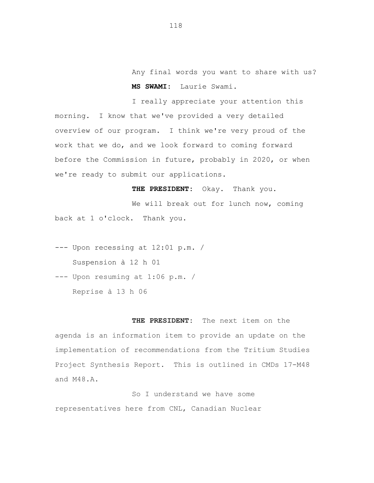Any final words you want to share with us?  **MS SWAMI:** Laurie Swami.

I really appreciate your attention this morning. I know that we've provided a very detailed overview of our program. I think we're very proud of the work that we do, and we look forward to coming forward before the Commission in future, probably in 2020, or when we're ready to submit our applications.

**THE PRESIDENT:** Okay. Thank you.

We will break out for lunch now, coming back at 1 o'clock. Thank you.

--- Upon recessing at 12:01 p.m. / Suspension à 12 h 01

--- Upon resuming at 1:06 p.m. / Reprise à 13 h 06

**THE PRESIDENT:** The next item on the agenda is an information item to provide an update on the implementation of recommendations from the Tritium Studies Project Synthesis Report. This is outlined in CMDs 17-M48 and M48.A.

So I understand we have some representatives here from CNL, Canadian Nuclear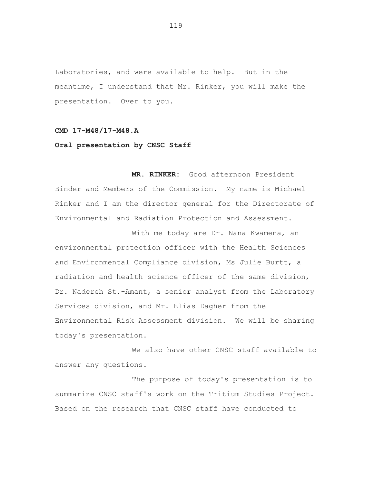Laboratories, and were available to help. But in the meantime, I understand that Mr. Rinker, you will make the presentation. Over to you.

## **CMD 17-M48/17-M48.A**

## **Oral presentation by CNSC Staff**

**MR. RINKER:** Good afternoon President Binder and Members of the Commission. My name is Michael Rinker and I am the director general for the Directorate of Environmental and Radiation Protection and Assessment.

With me today are Dr. Nana Kwamena, an environmental protection officer with the Health Sciences and Environmental Compliance division, Ms Julie Burtt, a radiation and health science officer of the same division, Dr. Nadereh St.-Amant, a senior analyst from the Laboratory Services division, and Mr. Elias Dagher from the Environmental Risk Assessment division. We will be sharing today's presentation.

We also have other CNSC staff available to answer any questions.

The purpose of today's presentation is to summarize CNSC staff's work on the Tritium Studies Project. Based on the research that CNSC staff have conducted to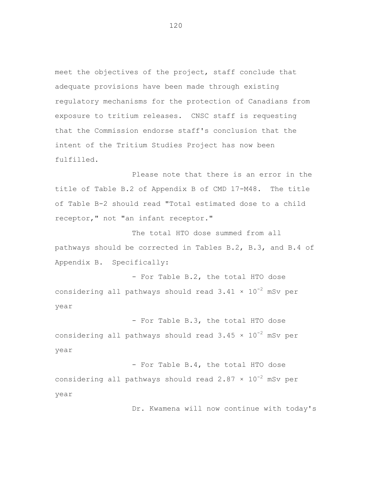meet the objectives of the project, staff conclude that adequate provisions have been made through existing regulatory mechanisms for the protection of Canadians from exposure to tritium releases. CNSC staff is requesting that the Commission endorse staff's conclusion that the intent of the Tritium Studies Project has now been fulfilled.

Please note that there is an error in the title of Table B.2 of Appendix B of CMD 17-M48. The title of Table B-2 should read "Total estimated dose to a child receptor," not "an infant receptor."

The total HTO dose summed from all pathways should be corrected in Tables B.2, B.3, and B.4 of Appendix B. Specifically:

- For Table B.2, the total HTO dose considering all pathways should read  $3.41 \times 10^{-2}$  mSv per year

- For Table B.3, the total HTO dose considering all pathways should read  $3.45 \times 10^{-2}$  mSv per year

- For Table B.4, the total HTO dose considering all pathways should read  $2.87 \times 10^{-2}$  mSv per year

Dr. Kwamena will now continue with today's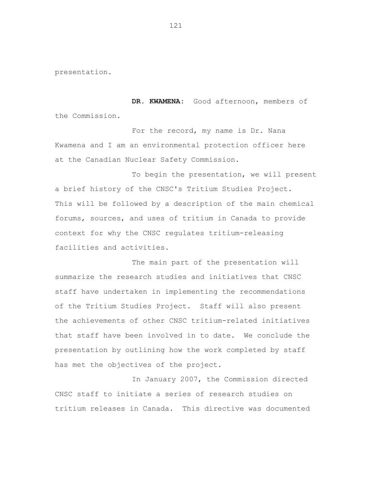presentation.

**DR. KWAMENA:** Good afternoon, members of the Commission.

For the record, my name is Dr. Nana Kwamena and I am an environmental protection officer here at the Canadian Nuclear Safety Commission.

To begin the presentation, we will present a brief history of the CNSC's Tritium Studies Project. This will be followed by a description of the main chemical forums, sources, and uses of tritium in Canada to provide context for why the CNSC regulates tritium-releasing facilities and activities.

The main part of the presentation will summarize the research studies and initiatives that CNSC staff have undertaken in implementing the recommendations of the Tritium Studies Project. Staff will also present the achievements of other CNSC tritium-related initiatives that staff have been involved in to date. We conclude the presentation by outlining how the work completed by staff has met the objectives of the project.

In January 2007, the Commission directed CNSC staff to initiate a series of research studies on tritium releases in Canada. This directive was documented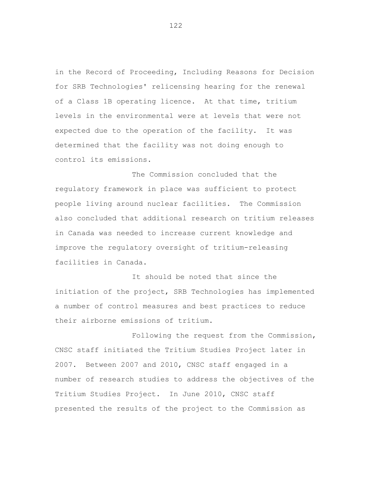in the Record of Proceeding, Including Reasons for Decision for SRB Technologies' relicensing hearing for the renewal of a Class 1B operating licence. At that time, tritium levels in the environmental were at levels that were not expected due to the operation of the facility. It was determined that the facility was not doing enough to control its emissions.

The Commission concluded that the regulatory framework in place was sufficient to protect people living around nuclear facilities. The Commission also concluded that additional research on tritium releases in Canada was needed to increase current knowledge and improve the regulatory oversight of tritium-releasing facilities in Canada.

It should be noted that since the initiation of the project, SRB Technologies has implemented a number of control measures and best practices to reduce their airborne emissions of tritium.

Following the request from the Commission, CNSC staff initiated the Tritium Studies Project later in 2007. Between 2007 and 2010, CNSC staff engaged in a number of research studies to address the objectives of the Tritium Studies Project. In June 2010, CNSC staff presented the results of the project to the Commission as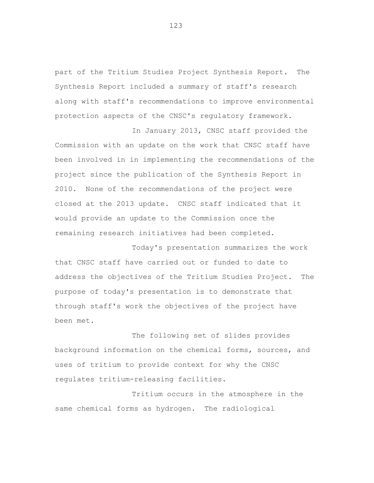part of the Tritium Studies Project Synthesis Report. The Synthesis Report included a summary of staff's research along with staff's recommendations to improve environmental protection aspects of the CNSC's regulatory framework.

In January 2013, CNSC staff provided the Commission with an update on the work that CNSC staff have been involved in in implementing the recommendations of the project since the publication of the Synthesis Report in 2010. None of the recommendations of the project were closed at the 2013 update. CNSC staff indicated that it would provide an update to the Commission once the remaining research initiatives had been completed.

Today's presentation summarizes the work that CNSC staff have carried out or funded to date to address the objectives of the Tritium Studies Project. The purpose of today's presentation is to demonstrate that through staff's work the objectives of the project have been met.

The following set of slides provides background information on the chemical forms, sources, and uses of tritium to provide context for why the CNSC regulates tritium-releasing facilities.

Tritium occurs in the atmosphere in the same chemical forms as hydrogen. The radiological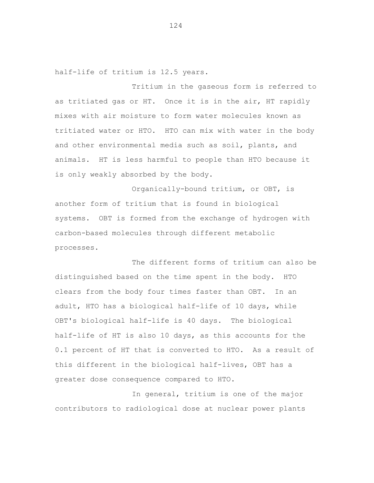half-life of tritium is 12.5 years.

Tritium in the gaseous form is referred to as tritiated gas or HT. Once it is in the air, HT rapidly mixes with air moisture to form water molecules known as tritiated water or HTO. HTO can mix with water in the body and other environmental media such as soil, plants, and animals. HT is less harmful to people than HTO because it is only weakly absorbed by the body.

Organically-bound tritium, or OBT, is another form of tritium that is found in biological systems. OBT is formed from the exchange of hydrogen with carbon-based molecules through different metabolic processes.

The different forms of tritium can also be distinguished based on the time spent in the body. HTO clears from the body four times faster than OBT. In an adult, HTO has a biological half-life of 10 days, while OBT's biological half-life is 40 days. The biological half-life of HT is also 10 days, as this accounts for the 0.1 percent of HT that is converted to HTO. As a result of this different in the biological half-lives, OBT has a greater dose consequence compared to HTO.

In general, tritium is one of the major contributors to radiological dose at nuclear power plants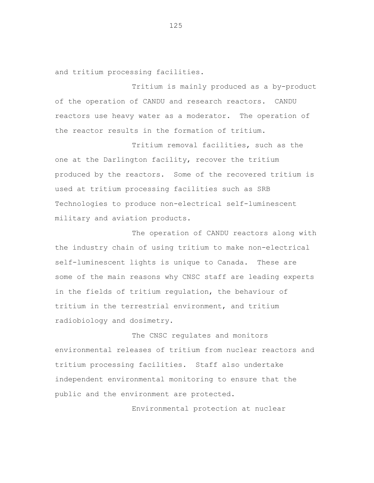and tritium processing facilities.

Tritium is mainly produced as a by-product of the operation of CANDU and research reactors. CANDU reactors use heavy water as a moderator. The operation of the reactor results in the formation of tritium.

Tritium removal facilities, such as the one at the Darlington facility, recover the tritium produced by the reactors. Some of the recovered tritium is used at tritium processing facilities such as SRB Technologies to produce non-electrical self-luminescent military and aviation products.

The operation of CANDU reactors along with the industry chain of using tritium to make non-electrical self-luminescent lights is unique to Canada. These are some of the main reasons why CNSC staff are leading experts in the fields of tritium regulation, the behaviour of tritium in the terrestrial environment, and tritium radiobiology and dosimetry.

The CNSC regulates and monitors environmental releases of tritium from nuclear reactors and tritium processing facilities. Staff also undertake independent environmental monitoring to ensure that the public and the environment are protected.

Environmental protection at nuclear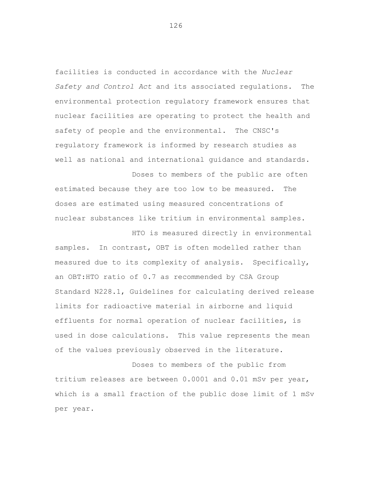facilities is conducted in accordance with the *Nuclear Safety and Control Act* and its associated regulations. The environmental protection regulatory framework ensures that nuclear facilities are operating to protect the health and safety of people and the environmental. The CNSC's regulatory framework is informed by research studies as well as national and international guidance and standards.

Doses to members of the public are often estimated because they are too low to be measured. The doses are estimated using measured concentrations of nuclear substances like tritium in environmental samples.

HTO is measured directly in environmental samples. In contrast, OBT is often modelled rather than measured due to its complexity of analysis. Specifically, an OBT:HTO ratio of 0.7 as recommended by CSA Group Standard N228.1, Guidelines for calculating derived release limits for radioactive material in airborne and liquid effluents for normal operation of nuclear facilities, is used in dose calculations. This value represents the mean of the values previously observed in the literature.

Doses to members of the public from tritium releases are between 0.0001 and 0.01 mSv per year, which is a small fraction of the public dose limit of 1 mSv per year.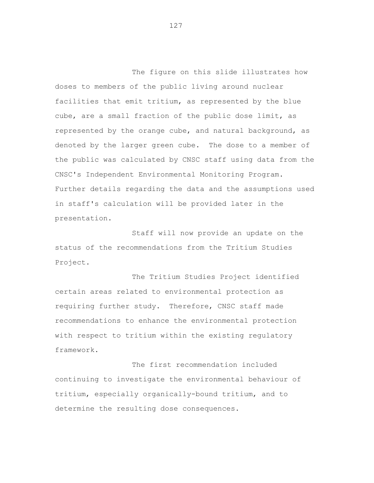The figure on this slide illustrates how doses to members of the public living around nuclear facilities that emit tritium, as represented by the blue cube, are a small fraction of the public dose limit, as represented by the orange cube, and natural background, as denoted by the larger green cube. The dose to a member of the public was calculated by CNSC staff using data from the CNSC's Independent Environmental Monitoring Program. Further details regarding the data and the assumptions used in staff's calculation will be provided later in the presentation.

Staff will now provide an update on the status of the recommendations from the Tritium Studies Project.

The Tritium Studies Project identified certain areas related to environmental protection as requiring further study. Therefore, CNSC staff made recommendations to enhance the environmental protection with respect to tritium within the existing regulatory framework.

The first recommendation included continuing to investigate the environmental behaviour of tritium, especially organically-bound tritium, and to determine the resulting dose consequences.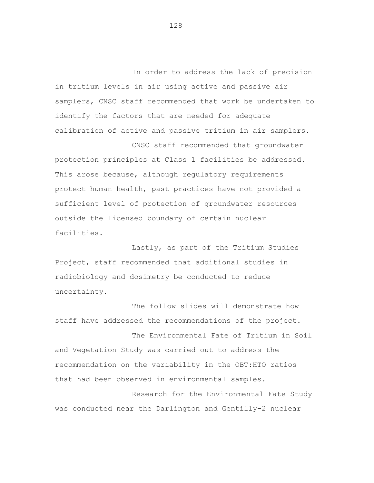In order to address the lack of precision in tritium levels in air using active and passive air samplers, CNSC staff recommended that work be undertaken to identify the factors that are needed for adequate calibration of active and passive tritium in air samplers.

CNSC staff recommended that groundwater protection principles at Class 1 facilities be addressed. This arose because, although regulatory requirements protect human health, past practices have not provided a sufficient level of protection of groundwater resources outside the licensed boundary of certain nuclear facilities.

Lastly, as part of the Tritium Studies Project, staff recommended that additional studies in radiobiology and dosimetry be conducted to reduce uncertainty.

The follow slides will demonstrate how staff have addressed the recommendations of the project.

The Environmental Fate of Tritium in Soil and Vegetation Study was carried out to address the recommendation on the variability in the OBT:HTO ratios that had been observed in environmental samples.

Research for the Environmental Fate Study was conducted near the Darlington and Gentilly-2 nuclear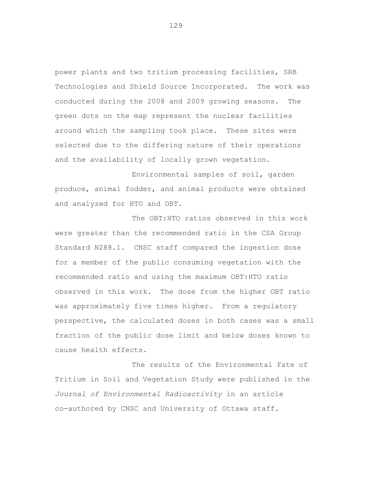power plants and two tritium processing facilities, SRB Technologies and Shield Source Incorporated. The work was conducted during the 2008 and 2009 growing seasons. The green dots on the map represent the nuclear facilities around which the sampling took place. These sites were selected due to the differing nature of their operations and the availability of locally grown vegetation.

Environmental samples of soil, garden produce, animal fodder, and animal products were obtained and analyzed for HTO and OBT.

The OBT:HTO ratios observed in this work were greater than the recommended ratio in the CSA Group Standard N288.1. CNSC staff compared the ingestion dose for a member of the public consuming vegetation with the recommended ratio and using the maximum OBT:HTO ratio observed in this work. The dose from the higher OBT ratio was approximately five times higher. From a regulatory perspective, the calculated doses in both cases was a small fraction of the public dose limit and below doses known to cause health effects.

The results of the Environmental Fate of Tritium in Soil and Vegetation Study were published in the *Journal of Environmental Radioactivity* in an article co-authored by CNSC and University of Ottawa staff.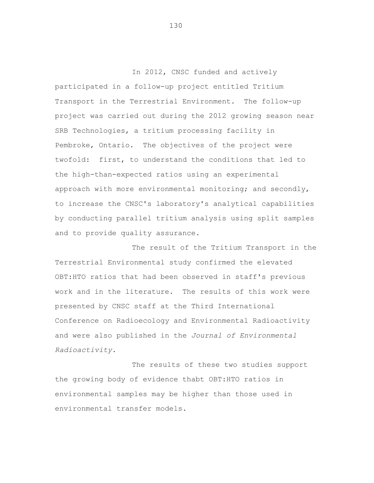In 2012, CNSC funded and actively participated in a follow-up project entitled Tritium Transport in the Terrestrial Environment. The follow-up project was carried out during the 2012 growing season near SRB Technologies, a tritium processing facility in Pembroke, Ontario. The objectives of the project were twofold: first, to understand the conditions that led to the high-than-expected ratios using an experimental approach with more environmental monitoring; and secondly, to increase the CNSC's laboratory's analytical capabilities by conducting parallel tritium analysis using split samples and to provide quality assurance.

The result of the Tritium Transport in the Terrestrial Environmental study confirmed the elevated OBT:HTO ratios that had been observed in staff's previous work and in the literature. The results of this work were presented by CNSC staff at the Third International Conference on Radioecology and Environmental Radioactivity and were also published in the *Journal of Environmental Radioactivity*.

The results of these two studies support the growing body of evidence thabt OBT:HTO ratios in environmental samples may be higher than those used in environmental transfer models.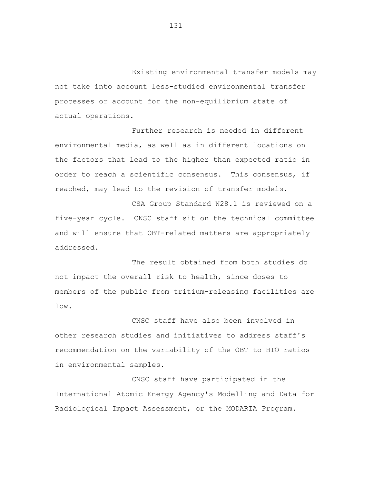Existing environmental transfer models may not take into account less-studied environmental transfer processes or account for the non-equilibrium state of actual operations.

Further research is needed in different environmental media, as well as in different locations on the factors that lead to the higher than expected ratio in order to reach a scientific consensus. This consensus, if reached, may lead to the revision of transfer models.

CSA Group Standard N28.1 is reviewed on a five-year cycle. CNSC staff sit on the technical committee and will ensure that OBT-related matters are appropriately addressed.

The result obtained from both studies do not impact the overall risk to health, since doses to members of the public from tritium-releasing facilities are low.

CNSC staff have also been involved in other research studies and initiatives to address staff's recommendation on the variability of the OBT to HTO ratios in environmental samples.

CNSC staff have participated in the International Atomic Energy Agency's Modelling and Data for Radiological Impact Assessment, or the MODARIA Program.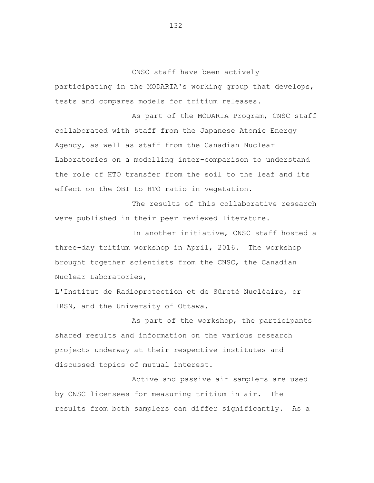CNSC staff have been actively

participating in the MODARIA's working group that develops, tests and compares models for tritium releases.

As part of the MODARIA Program, CNSC staff collaborated with staff from the Japanese Atomic Energy Agency, as well as staff from the Canadian Nuclear Laboratories on a modelling inter-comparison to understand the role of HTO transfer from the soil to the leaf and its effect on the OBT to HTO ratio in vegetation.

The results of this collaborative research were published in their peer reviewed literature.

In another initiative, CNSC staff hosted a three-day tritium workshop in April, 2016. The workshop brought together scientists from the CNSC, the Canadian Nuclear Laboratories,

L'Institut de Radioprotection et de Sûreté Nucléaire, or IRSN, and the University of Ottawa.

As part of the workshop, the participants shared results and information on the various research projects underway at their respective institutes and discussed topics of mutual interest.

Active and passive air samplers are used by CNSC licensees for measuring tritium in air. The results from both samplers can differ significantly. As a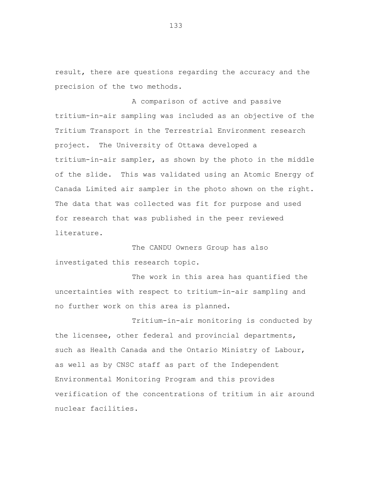result, there are questions regarding the accuracy and the precision of the two methods.

A comparison of active and passive tritium-in-air sampling was included as an objective of the Tritium Transport in the Terrestrial Environment research project. The University of Ottawa developed a tritium-in-air sampler, as shown by the photo in the middle of the slide. This was validated using an Atomic Energy of Canada Limited air sampler in the photo shown on the right. The data that was collected was fit for purpose and used for research that was published in the peer reviewed literature.

The CANDU Owners Group has also investigated this research topic.

The work in this area has quantified the uncertainties with respect to tritium-in-air sampling and no further work on this area is planned.

Tritium-in-air monitoring is conducted by the licensee, other federal and provincial departments, such as Health Canada and the Ontario Ministry of Labour, as well as by CNSC staff as part of the Independent Environmental Monitoring Program and this provides verification of the concentrations of tritium in air around nuclear facilities.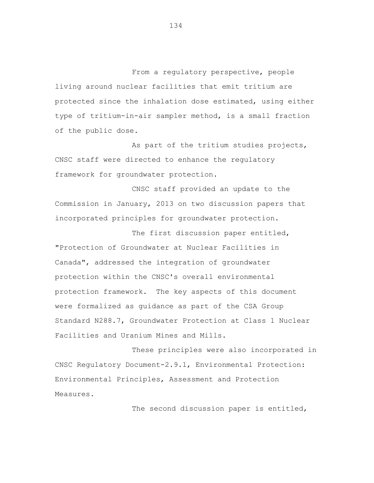From a regulatory perspective, people living around nuclear facilities that emit tritium are protected since the inhalation dose estimated, using either type of tritium-in-air sampler method, is a small fraction of the public dose.

As part of the tritium studies projects, CNSC staff were directed to enhance the regulatory framework for groundwater protection.

CNSC staff provided an update to the Commission in January, 2013 on two discussion papers that incorporated principles for groundwater protection.

The first discussion paper entitled, "Protection of Groundwater at Nuclear Facilities in Canada", addressed the integration of groundwater protection within the CNSC's overall environmental protection framework. The key aspects of this document were formalized as guidance as part of the CSA Group Standard N288.7, Groundwater Protection at Class 1 Nuclear Facilities and Uranium Mines and Mills.

These principles were also incorporated in CNSC Regulatory Document-2.9.1, Environmental Protection: Environmental Principles, Assessment and Protection Measures.

The second discussion paper is entitled,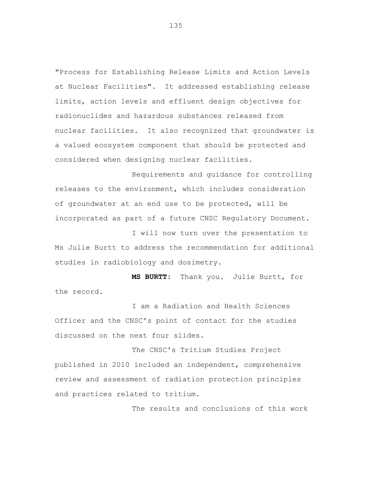"Process for Establishing Release Limits and Action Levels at Nuclear Facilities". It addressed establishing release limits, action levels and effluent design objectives for radionuclides and hazardous substances released from nuclear facilities. It also recognized that groundwater is a valued ecosystem component that should be protected and considered when designing nuclear facilities.

Requirements and guidance for controlling releases to the environment, which includes consideration of groundwater at an end use to be protected, will be incorporated as part of a future CNSC Regulatory Document.

I will now turn over the presentation to Ms Julie Burtt to address the recommendation for additional studies in radiobiology and dosimetry.

**MS BURTT:** Thank you. Julie Burtt, for the record.

I am a Radiation and Health Sciences Officer and the CNSC's point of contact for the studies discussed on the next four slides.

The CNSC's Tritium Studies Project published in 2010 included an independent, comprehensive review and assessment of radiation protection principles and practices related to tritium.

The results and conclusions of this work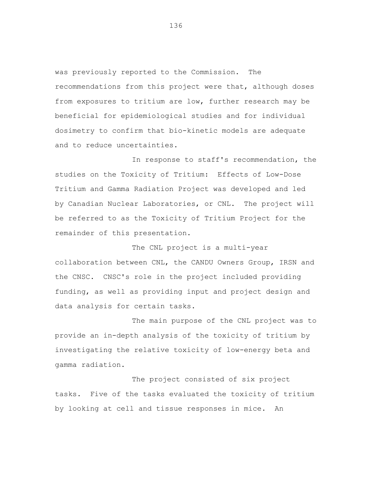was previously reported to the Commission. The recommendations from this project were that, although doses from exposures to tritium are low, further research may be beneficial for epidemiological studies and for individual dosimetry to confirm that bio-kinetic models are adequate and to reduce uncertainties.

In response to staff's recommendation, the studies on the Toxicity of Tritium: Effects of Low-Dose Tritium and Gamma Radiation Project was developed and led by Canadian Nuclear Laboratories, or CNL. The project will be referred to as the Toxicity of Tritium Project for the remainder of this presentation.

The CNL project is a multi-year collaboration between CNL, the CANDU Owners Group, IRSN and the CNSC. CNSC's role in the project included providing funding, as well as providing input and project design and data analysis for certain tasks.

The main purpose of the CNL project was to provide an in-depth analysis of the toxicity of tritium by investigating the relative toxicity of low-energy beta and gamma radiation.

The project consisted of six project tasks. Five of the tasks evaluated the toxicity of tritium by looking at cell and tissue responses in mice. An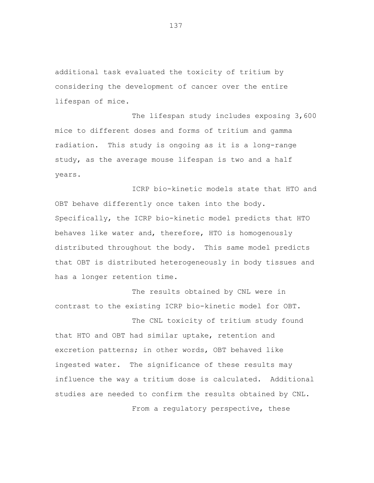additional task evaluated the toxicity of tritium by considering the development of cancer over the entire lifespan of mice.

The lifespan study includes exposing 3,600 mice to different doses and forms of tritium and gamma radiation. This study is ongoing as it is a long-range study, as the average mouse lifespan is two and a half years.

ICRP bio-kinetic models state that HTO and OBT behave differently once taken into the body. Specifically, the ICRP bio-kinetic model predicts that HTO behaves like water and, therefore, HTO is homogenously distributed throughout the body. This same model predicts that OBT is distributed heterogeneously in body tissues and has a longer retention time.

The results obtained by CNL were in contrast to the existing ICRP bio-kinetic model for OBT.

The CNL toxicity of tritium study found that HTO and OBT had similar uptake, retention and excretion patterns; in other words, OBT behaved like ingested water. The significance of these results may influence the way a tritium dose is calculated. Additional studies are needed to confirm the results obtained by CNL.

From a regulatory perspective, these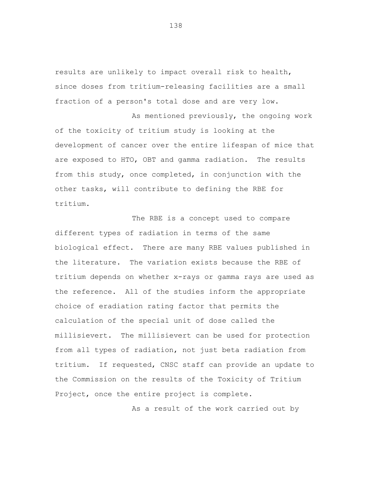results are unlikely to impact overall risk to health, since doses from tritium-releasing facilities are a small fraction of a person's total dose and are very low.

As mentioned previously, the ongoing work of the toxicity of tritium study is looking at the development of cancer over the entire lifespan of mice that are exposed to HTO, OBT and gamma radiation. The results from this study, once completed, in conjunction with the other tasks, will contribute to defining the RBE for tritium.

The RBE is a concept used to compare different types of radiation in terms of the same biological effect. There are many RBE values published in the literature. The variation exists because the RBE of tritium depends on whether x-rays or gamma rays are used as the reference. All of the studies inform the appropriate choice of eradiation rating factor that permits the calculation of the special unit of dose called the millisievert. The millisievert can be used for protection from all types of radiation, not just beta radiation from tritium. If requested, CNSC staff can provide an update to the Commission on the results of the Toxicity of Tritium Project, once the entire project is complete.

As a result of the work carried out by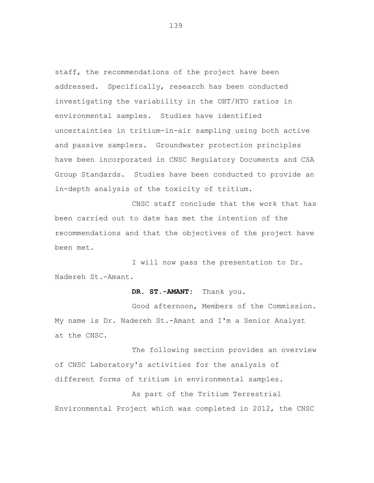staff, the recommendations of the project have been addressed. Specifically, research has been conducted investigating the variability in the OBT/HTO ratios in environmental samples. Studies have identified uncertainties in tritium-in-air sampling using both active and passive samplers. Groundwater protection principles have been incorporated in CNSC Regulatory Documents and CSA Group Standards. Studies have been conducted to provide an in-depth analysis of the toxicity of tritium.

CNSC staff conclude that the work that has been carried out to date has met the intention of the recommendations and that the objectives of the project have been met.

I will now pass the presentation to Dr. Nadereh St.-Amant.

## **DR. ST.-AMANT:** Thank you.

Good afternoon, Members of the Commission. My name is Dr. Nadereh St.-Amant and I'm a Senior Analyst at the CNSC.

The following section provides an overview of CNSC Laboratory's activities for the analysis of different forms of tritium in environmental samples.

As part of the Tritium Terrestrial Environmental Project which was completed in 2012, the CNSC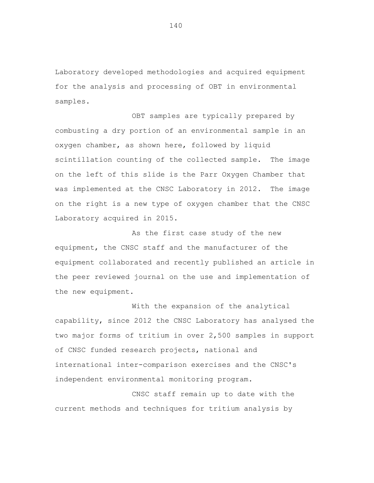Laboratory developed methodologies and acquired equipment for the analysis and processing of OBT in environmental samples.

OBT samples are typically prepared by combusting a dry portion of an environmental sample in an oxygen chamber, as shown here, followed by liquid scintillation counting of the collected sample. The image on the left of this slide is the Parr Oxygen Chamber that was implemented at the CNSC Laboratory in 2012. The image on the right is a new type of oxygen chamber that the CNSC Laboratory acquired in 2015.

As the first case study of the new equipment, the CNSC staff and the manufacturer of the equipment collaborated and recently published an article in the peer reviewed journal on the use and implementation of the new equipment.

With the expansion of the analytical capability, since 2012 the CNSC Laboratory has analysed the two major forms of tritium in over 2,500 samples in support of CNSC funded research projects, national and international inter-comparison exercises and the CNSC's independent environmental monitoring program.

CNSC staff remain up to date with the current methods and techniques for tritium analysis by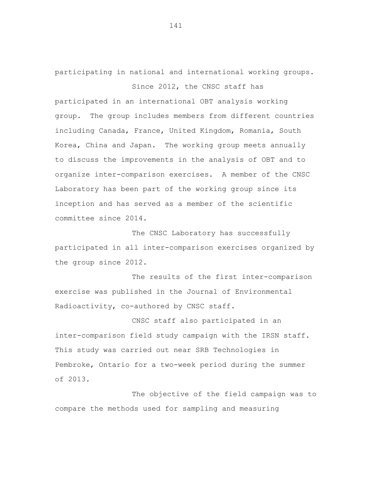participating in national and international working groups. Since 2012, the CNSC staff has

participated in an international OBT analysis working group. The group includes members from different countries including Canada, France, United Kingdom, Romania, South Korea, China and Japan. The working group meets annually to discuss the improvements in the analysis of OBT and to organize inter-comparison exercises. A member of the CNSC Laboratory has been part of the working group since its inception and has served as a member of the scientific committee since 2014.

The CNSC Laboratory has successfully participated in all inter-comparison exercises organized by the group since 2012.

The results of the first inter-comparison exercise was published in the Journal of Environmental Radioactivity, co-authored by CNSC staff.

CNSC staff also participated in an inter-comparison field study campaign with the IRSN staff. This study was carried out near SRB Technologies in Pembroke, Ontario for a two-week period during the summer of 2013.

The objective of the field campaign was to compare the methods used for sampling and measuring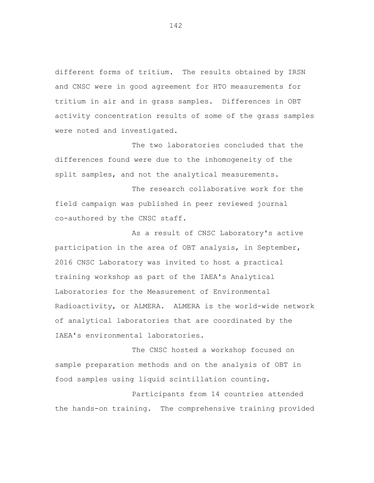different forms of tritium. The results obtained by IRSN and CNSC were in good agreement for HTO measurements for tritium in air and in grass samples. Differences in OBT activity concentration results of some of the grass samples were noted and investigated.

The two laboratories concluded that the differences found were due to the inhomogeneity of the split samples, and not the analytical measurements.

The research collaborative work for the field campaign was published in peer reviewed journal co-authored by the CNSC staff.

As a result of CNSC Laboratory's active participation in the area of OBT analysis, in September, 2016 CNSC Laboratory was invited to host a practical training workshop as part of the IAEA's Analytical Laboratories for the Measurement of Environmental Radioactivity, or ALMERA. ALMERA is the world-wide network of analytical laboratories that are coordinated by the IAEA's environmental laboratories.

The CNSC hosted a workshop focused on sample preparation methods and on the analysis of OBT in food samples using liquid scintillation counting.

Participants from 14 countries attended the hands-on training. The comprehensive training provided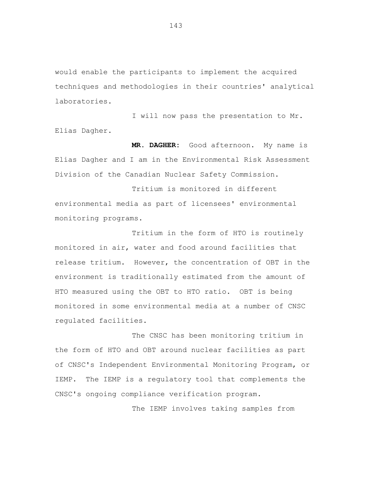would enable the participants to implement the acquired techniques and methodologies in their countries' analytical laboratories.

I will now pass the presentation to Mr. Elias Dagher.

**MR. DAGHER:** Good afternoon. My name is Elias Dagher and I am in the Environmental Risk Assessment Division of the Canadian Nuclear Safety Commission.

Tritium is monitored in different environmental media as part of licensees' environmental monitoring programs.

Tritium in the form of HTO is routinely monitored in air, water and food around facilities that release tritium. However, the concentration of OBT in the environment is traditionally estimated from the amount of HTO measured using the OBT to HTO ratio. OBT is being monitored in some environmental media at a number of CNSC regulated facilities.

The CNSC has been monitoring tritium in the form of HTO and OBT around nuclear facilities as part of CNSC's Independent Environmental Monitoring Program, or IEMP. The IEMP is a regulatory tool that complements the CNSC's ongoing compliance verification program.

The IEMP involves taking samples from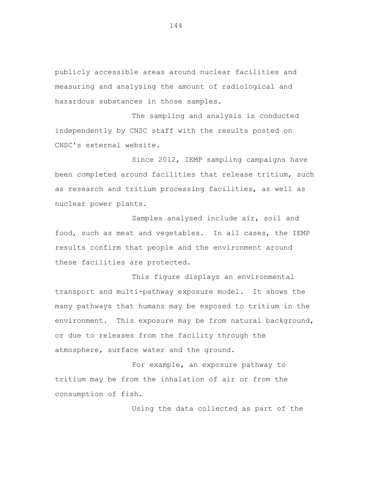publicly accessible areas around nuclear facilities and measuring and analysing the amount of radiological and hazardous substances in those samples.

The sampling and analysis is conducted independently by CNSC staff with the results posted on CNSC's external website.

Since 2012, IEMP sampling campaigns have been completed around facilities that release tritium, such as research and tritium processing facilities, as well as nuclear power plants.

Samples analysed include air, soil and food, such as meat and vegetables. In all cases, the IEMP results confirm that people and the environment around these facilities are protected.

This figure displays an environmental transport and multi-pathway exposure model. It shows the many pathways that humans may be exposed to tritium in the environment. This exposure may be from natural background, or due to releases from the facility through the atmosphere, surface water and the ground.

For example, an exposure pathway to tritium may be from the inhalation of air or from the consumption of fish.

Using the data collected as part of the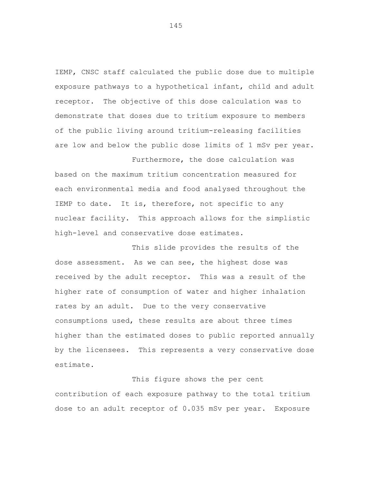IEMP, CNSC staff calculated the public dose due to multiple exposure pathways to a hypothetical infant, child and adult receptor. The objective of this dose calculation was to demonstrate that doses due to tritium exposure to members of the public living around tritium-releasing facilities are low and below the public dose limits of 1 mSv per year.

Furthermore, the dose calculation was

based on the maximum tritium concentration measured for each environmental media and food analysed throughout the IEMP to date. It is, therefore, not specific to any nuclear facility. This approach allows for the simplistic high-level and conservative dose estimates.

This slide provides the results of the dose assessment. As we can see, the highest dose was received by the adult receptor. This was a result of the higher rate of consumption of water and higher inhalation rates by an adult. Due to the very conservative consumptions used, these results are about three times higher than the estimated doses to public reported annually by the licensees. This represents a very conservative dose estimate.

This figure shows the per cent contribution of each exposure pathway to the total tritium dose to an adult receptor of 0.035 mSv per year. Exposure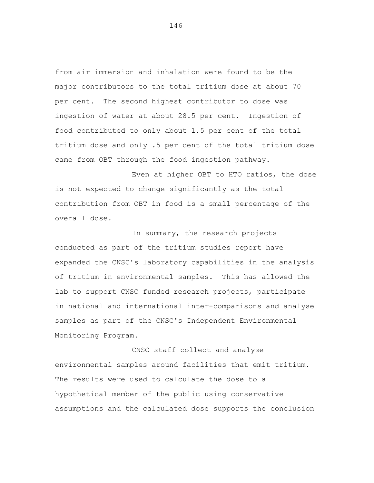from air immersion and inhalation were found to be the major contributors to the total tritium dose at about 70 per cent. The second highest contributor to dose was ingestion of water at about 28.5 per cent. Ingestion of food contributed to only about 1.5 per cent of the total tritium dose and only .5 per cent of the total tritium dose came from OBT through the food ingestion pathway.

Even at higher OBT to HTO ratios, the dose is not expected to change significantly as the total contribution from OBT in food is a small percentage of the overall dose.

In summary, the research projects conducted as part of the tritium studies report have expanded the CNSC's laboratory capabilities in the analysis of tritium in environmental samples. This has allowed the lab to support CNSC funded research projects, participate in national and international inter-comparisons and analyse samples as part of the CNSC's Independent Environmental Monitoring Program.

CNSC staff collect and analyse environmental samples around facilities that emit tritium. The results were used to calculate the dose to a hypothetical member of the public using conservative assumptions and the calculated dose supports the conclusion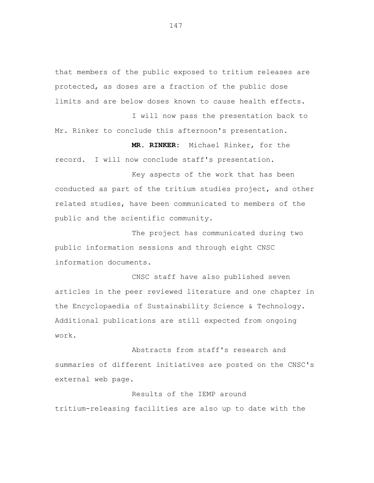that members of the public exposed to tritium releases are protected, as doses are a fraction of the public dose limits and are below doses known to cause health effects.

I will now pass the presentation back to Mr. Rinker to conclude this afternoon's presentation.

**MR. RINKER:** Michael Rinker, for the

record. I will now conclude staff's presentation.

Key aspects of the work that has been conducted as part of the tritium studies project, and other related studies, have been communicated to members of the public and the scientific community.

The project has communicated during two public information sessions and through eight CNSC information documents.

CNSC staff have also published seven articles in the peer reviewed literature and one chapter in the Encyclopaedia of Sustainability Science & Technology. Additional publications are still expected from ongoing work.

Abstracts from staff's research and summaries of different initiatives are posted on the CNSC's external web page.

# Results of the IEMP around

tritium-releasing facilities are also up to date with the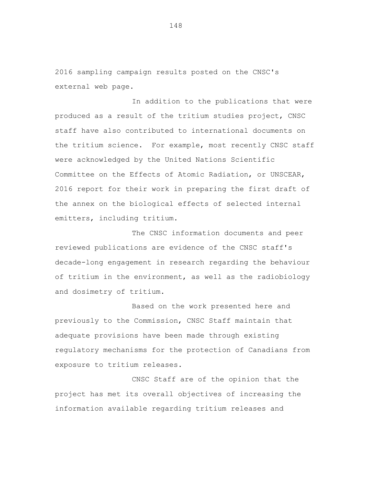2016 sampling campaign results posted on the CNSC's external web page.

In addition to the publications that were produced as a result of the tritium studies project, CNSC staff have also contributed to international documents on the tritium science. For example, most recently CNSC staff were acknowledged by the United Nations Scientific Committee on the Effects of Atomic Radiation, or UNSCEAR, 2016 report for their work in preparing the first draft of the annex on the biological effects of selected internal emitters, including tritium.

The CNSC information documents and peer reviewed publications are evidence of the CNSC staff's decade-long engagement in research regarding the behaviour of tritium in the environment, as well as the radiobiology and dosimetry of tritium.

Based on the work presented here and previously to the Commission, CNSC Staff maintain that adequate provisions have been made through existing regulatory mechanisms for the protection of Canadians from exposure to tritium releases.

CNSC Staff are of the opinion that the project has met its overall objectives of increasing the information available regarding tritium releases and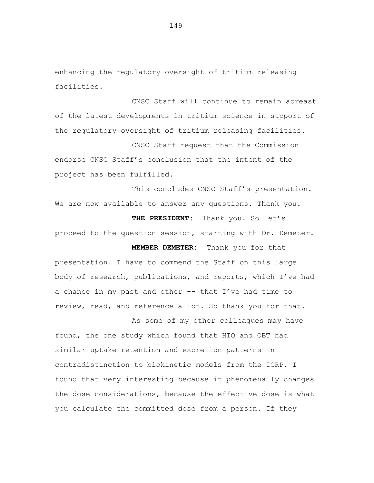enhancing the regulatory oversight of tritium releasing facilities.

CNSC Staff will continue to remain abreast of the latest developments in tritium science in support of the regulatory oversight of tritium releasing facilities.

CNSC Staff request that the Commission endorse CNSC Staff's conclusion that the intent of the project has been fulfilled.

This concludes CNSC Staff's presentation. We are now available to answer any questions. Thank you.

THE PRESIDENT: Thank you. So let's proceed to the question session, starting with Dr. Demeter.

**MEMBER DEMETER:** Thank you for that

presentation. I have to commend the Staff on this large body of research, publications, and reports, which I've had a chance in my past and other -- that I've had time to review, read, and reference a lot. So thank you for that.

As some of my other colleagues may have found, the one study which found that HTO and OBT had similar uptake retention and excretion patterns in contradistinction to biokinetic models from the ICRP. I found that very interesting because it phenomenally changes the dose considerations, because the effective dose is what you calculate the committed dose from a person. If they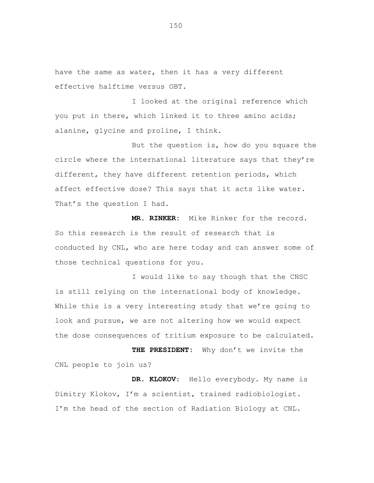have the same as water, then it has a very different effective halftime versus OBT.

I looked at the original reference which you put in there, which linked it to three amino acids; alanine, glycine and proline, I think.

But the question is, how do you square the circle where the international literature says that they're different, they have different retention periods, which affect effective dose? This says that it acts like water. That's the question I had.

**MR. RINKER:** Mike Rinker for the record. So this research is the result of research that is conducted by CNL, who are here today and can answer some of those technical questions for you.

I would like to say though that the CNSC is still relying on the international body of knowledge. While this is a very interesting study that we're going to look and pursue, we are not altering how we would expect the dose consequences of tritium exposure to be calculated.

**THE PRESIDENT:** Why don't we invite the CNL people to join us?

**DR. KLOKOV:** Hello everybody. My name is Dimitry Klokov, I'm a scientist, trained radiobiologist. I'm the head of the section of Radiation Biology at CNL.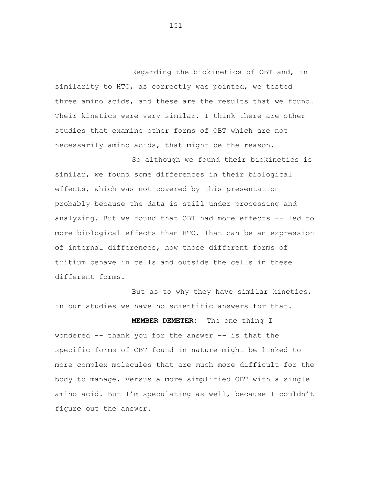Regarding the biokinetics of OBT and, in similarity to HTO, as correctly was pointed, we tested three amino acids, and these are the results that we found. Their kinetics were very similar. I think there are other studies that examine other forms of OBT which are not necessarily amino acids, that might be the reason.

So although we found their biokinetics is similar, we found some differences in their biological effects, which was not covered by this presentation probably because the data is still under processing and analyzing. But we found that OBT had more effects -- led to more biological effects than HTO. That can be an expression of internal differences, how those different forms of tritium behave in cells and outside the cells in these different forms.

But as to why they have similar kinetics, in our studies we have no scientific answers for that.

**MEMBER DEMETER:** The one thing I

wondered -- thank you for the answer -- is that the specific forms of OBT found in nature might be linked to more complex molecules that are much more difficult for the body to manage, versus a more simplified OBT with a single amino acid. But I'm speculating as well, because I couldn't figure out the answer.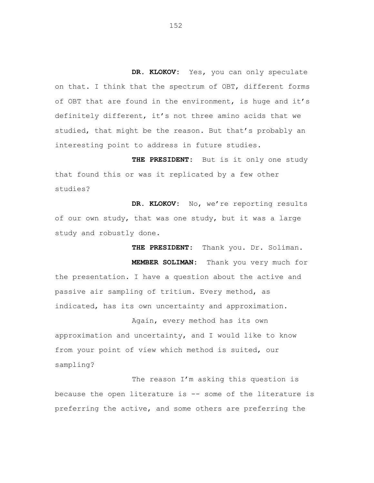**DR. KLOKOV:** Yes, you can only speculate on that. I think that the spectrum of OBT, different forms of OBT that are found in the environment, is huge and it's definitely different, it's not three amino acids that we studied, that might be the reason. But that's probably an interesting point to address in future studies.

**THE PRESIDENT:** But is it only one study that found this or was it replicated by a few other studies?

**DR. KLOKOV:** No, we're reporting results of our own study, that was one study, but it was a large study and robustly done.

  **THE PRESIDENT:** Thank you. Dr. Soliman.  **MEMBER SOLIMAN:** Thank you very much for the presentation. I have a question about the active and passive air sampling of tritium. Every method, as indicated, has its own uncertainty and approximation.

Again, every method has its own approximation and uncertainty, and I would like to know from your point of view which method is suited, our sampling?

The reason I'm asking this question is because the open literature is -- some of the literature is preferring the active, and some others are preferring the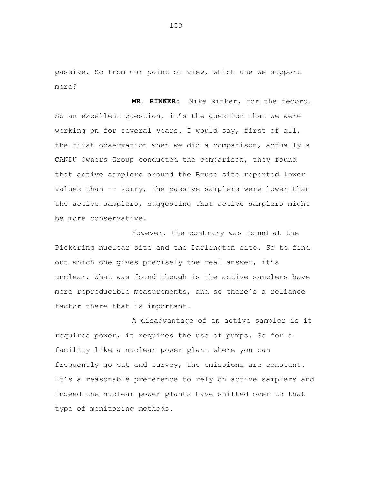passive. So from our point of view, which one we support more?

**MR. RINKER:** Mike Rinker, for the record. So an excellent question, it's the question that we were working on for several years. I would say, first of all, the first observation when we did a comparison, actually a CANDU Owners Group conducted the comparison, they found that active samplers around the Bruce site reported lower values than -- sorry, the passive samplers were lower than the active samplers, suggesting that active samplers might be more conservative.

However, the contrary was found at the Pickering nuclear site and the Darlington site. So to find out which one gives precisely the real answer, it's unclear. What was found though is the active samplers have more reproducible measurements, and so there's a reliance factor there that is important.

A disadvantage of an active sampler is it requires power, it requires the use of pumps. So for a facility like a nuclear power plant where you can frequently go out and survey, the emissions are constant. It's a reasonable preference to rely on active samplers and indeed the nuclear power plants have shifted over to that type of monitoring methods.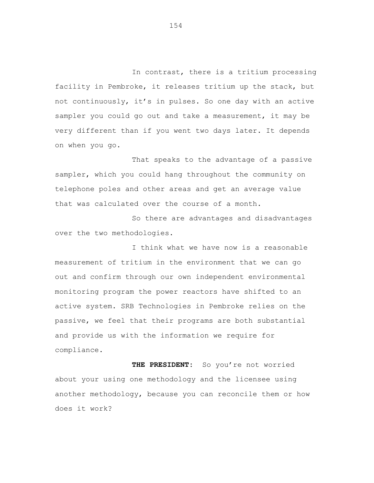In contrast, there is a tritium processing facility in Pembroke, it releases tritium up the stack, but not continuously, it's in pulses. So one day with an active sampler you could go out and take a measurement, it may be very different than if you went two days later. It depends on when you go.

That speaks to the advantage of a passive sampler, which you could hang throughout the community on telephone poles and other areas and get an average value that was calculated over the course of a month.

So there are advantages and disadvantages over the two methodologies.

I think what we have now is a reasonable measurement of tritium in the environment that we can go out and confirm through our own independent environmental monitoring program the power reactors have shifted to an active system. SRB Technologies in Pembroke relies on the passive, we feel that their programs are both substantial and provide us with the information we require for compliance.

THE PRESIDENT: So you're not worried about your using one methodology and the licensee using another methodology, because you can reconcile them or how does it work?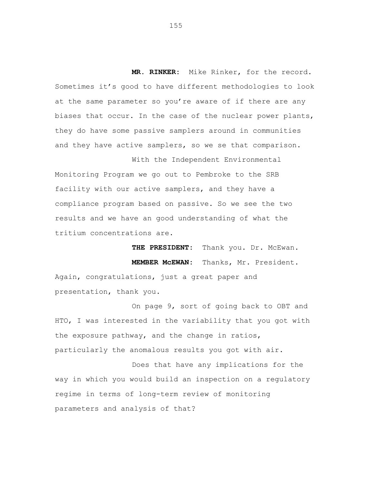**MR. RINKER:** Mike Rinker, for the record. Sometimes it's good to have different methodologies to look at the same parameter so you're aware of if there are any biases that occur. In the case of the nuclear power plants, they do have some passive samplers around in communities and they have active samplers, so we se that comparison.

With the Independent Environmental Monitoring Program we go out to Pembroke to the SRB facility with our active samplers, and they have a compliance program based on passive. So we see the two results and we have an good understanding of what the tritium concentrations are.

> **THE PRESIDENT:** Thank you. Dr. McEwan. **MEMBER McEWAN:** Thanks, Mr. President.

Again, congratulations, just a great paper and presentation, thank you.

On page 9, sort of going back to OBT and HTO, I was interested in the variability that you got with the exposure pathway, and the change in ratios, particularly the anomalous results you got with air.

Does that have any implications for the way in which you would build an inspection on a regulatory regime in terms of long-term review of monitoring parameters and analysis of that?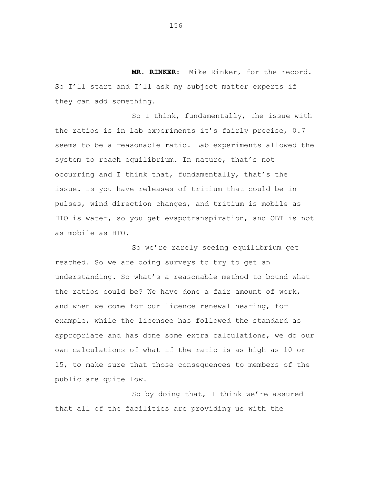**MR. RINKER:** Mike Rinker, for the record. So I'll start and I'll ask my subject matter experts if they can add something.

So I think, fundamentally, the issue with the ratios is in lab experiments it's fairly precise, 0.7 seems to be a reasonable ratio. Lab experiments allowed the system to reach equilibrium. In nature, that's not occurring and I think that, fundamentally, that's the issue. Is you have releases of tritium that could be in pulses, wind direction changes, and tritium is mobile as HTO is water, so you get evapotranspiration, and OBT is not as mobile as HTO.

So we're rarely seeing equilibrium get reached. So we are doing surveys to try to get an understanding. So what's a reasonable method to bound what the ratios could be? We have done a fair amount of work, and when we come for our licence renewal hearing, for example, while the licensee has followed the standard as appropriate and has done some extra calculations, we do our own calculations of what if the ratio is as high as 10 or 15, to make sure that those consequences to members of the public are quite low.

So by doing that, I think we're assured that all of the facilities are providing us with the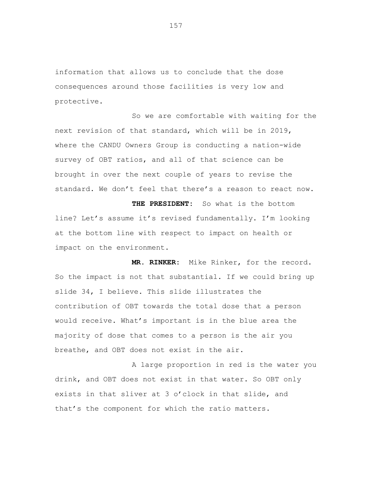information that allows us to conclude that the dose consequences around those facilities is very low and protective.

So we are comfortable with waiting for the next revision of that standard, which will be in 2019, where the CANDU Owners Group is conducting a nation-wide survey of OBT ratios, and all of that science can be brought in over the next couple of years to revise the standard. We don't feel that there's a reason to react now.

**THE PRESIDENT:** So what is the bottom line? Let's assume it's revised fundamentally. I'm looking at the bottom line with respect to impact on health or impact on the environment.

 **MR. RINKER:** Mike Rinker, for the record. So the impact is not that substantial. If we could bring up slide 34, I believe. This slide illustrates the contribution of OBT towards the total dose that a person would receive. What's important is in the blue area the majority of dose that comes to a person is the air you breathe, and OBT does not exist in the air.

A large proportion in red is the water you drink, and OBT does not exist in that water. So OBT only exists in that sliver at 3 o'clock in that slide, and that's the component for which the ratio matters.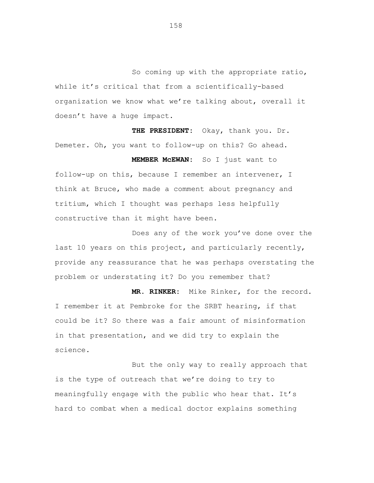So coming up with the appropriate ratio, while it's critical that from a scientifically-based organization we know what we're talking about, overall it doesn't have a huge impact.

 **THE PRESIDENT:** Okay, thank you. Dr. Demeter. Oh, you want to follow-up on this? Go ahead.

 **MEMBER McEWAN:** So I just want to follow-up on this, because I remember an intervener, I think at Bruce, who made a comment about pregnancy and tritium, which I thought was perhaps less helpfully constructive than it might have been.

Does any of the work you've done over the last 10 years on this project, and particularly recently, provide any reassurance that he was perhaps overstating the problem or understating it? Do you remember that?

 **MR. RINKER:** Mike Rinker, for the record. I remember it at Pembroke for the SRBT hearing, if that could be it? So there was a fair amount of misinformation in that presentation, and we did try to explain the science.

But the only way to really approach that is the type of outreach that we're doing to try to meaningfully engage with the public who hear that. It's hard to combat when a medical doctor explains something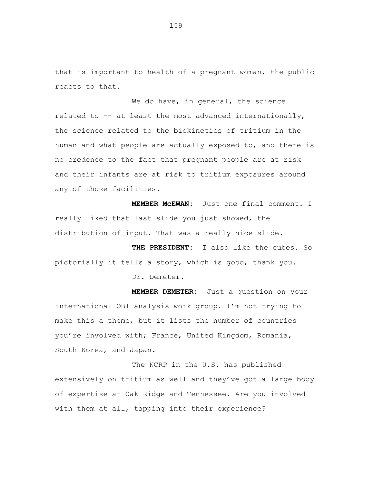that is important to health of a pregnant woman, the public reacts to that.

We do have, in general, the science related to -- at least the most advanced internationally, the science related to the biokinetics of tritium in the human and what people are actually exposed to, and there is no credence to the fact that pregnant people are at risk and their infants are at risk to tritium exposures around any of those facilities.

**MEMBER McEWAN:** Just one final comment. I really liked that last slide you just showed, the distribution of input. That was a really nice slide.

**THE PRESIDENT:** I also like the cubes. So pictorially it tells a story, which is good, thank you. Dr. Demeter.

**MEMBER DEMETER:** Just a question on your international OBT analysis work group. I'm not trying to make this a theme, but it lists the number of countries you're involved with; France, United Kingdom, Romania, South Korea, and Japan.

The NCRP in the U.S. has published extensively on tritium as well and they've got a large body of expertise at Oak Ridge and Tennessee. Are you involved with them at all, tapping into their experience?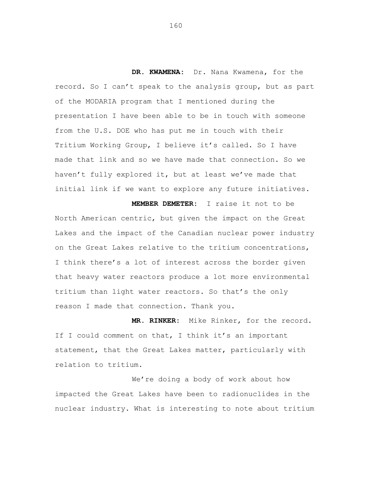**DR. KWAMENA:** Dr. Nana Kwamena, for the record. So I can't speak to the analysis group, but as part of the MODARIA program that I mentioned during the presentation I have been able to be in touch with someone from the U.S. DOE who has put me in touch with their Tritium Working Group, I believe it's called. So I have made that link and so we have made that connection. So we haven't fully explored it, but at least we've made that initial link if we want to explore any future initiatives.

 **MEMBER DEMETER:** I raise it not to be North American centric, but given the impact on the Great Lakes and the impact of the Canadian nuclear power industry on the Great Lakes relative to the tritium concentrations, I think there's a lot of interest across the border given that heavy water reactors produce a lot more environmental tritium than light water reactors. So that's the only reason I made that connection. Thank you.

**MR. RINKER:** Mike Rinker, for the record. If I could comment on that, I think it's an important statement, that the Great Lakes matter, particularly with relation to tritium.

We're doing a body of work about how impacted the Great Lakes have been to radionuclides in the nuclear industry. What is interesting to note about tritium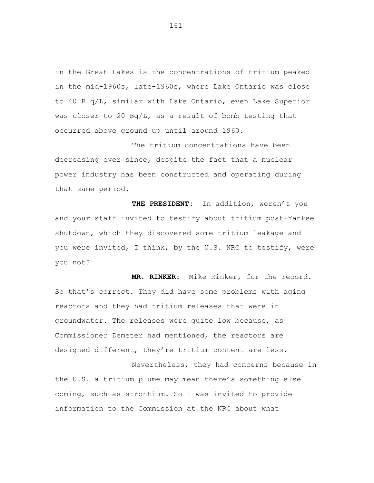in the Great Lakes is the concentrations of tritium peaked in the mid-1960s, late-1960s, where Lake Ontario was close to 40 B q/L, similar with Lake Ontario, even Lake Superior was closer to 20 Bq/L, as a result of bomb testing that occurred above ground up until around 1960.

The tritium concentrations have been decreasing ever since, despite the fact that a nuclear power industry has been constructed and operating during that same period.

 **THE PRESIDENT:** In addition, weren't you and your staff invited to testify about tritium post-Yankee shutdown, which they discovered some tritium leakage and you were invited, I think, by the U.S. NRC to testify, were you not?

 **MR. RINKER:** Mike Rinker, for the record. So that's correct. They did have some problems with aging reactors and they had tritium releases that were in groundwater. The releases were quite low because, as Commissioner Demeter had mentioned, the reactors are designed different, they're tritium content are less.

Nevertheless, they had concerns because in the U.S. a tritium plume may mean there's something else coming, such as strontium. So I was invited to provide information to the Commission at the NRC about what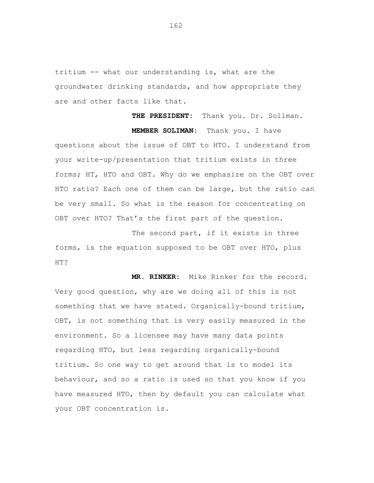tritium -- what our understanding is, what are the groundwater drinking standards, and how appropriate they are and other facts like that.

**THE PRESIDENT:** Thank you. Dr. Soliman.  **MEMBER SOLIMAN:** Thank you. I have questions about the issue of OBT to HTO. I understand from your write-up/presentation that tritium exists in three forms; HT, HTO and OBT. Why do we emphasize on the OBT over HTO ratio? Each one of them can be large, but the ratio can be very small. So what is the reason for concentrating on OBT over HTO? That's the first part of the question.

The second part, if it exists in three forms, is the equation supposed to be OBT over HTO, plus HT?

 **MR. RINKER:** Mike Rinker for the record. Very good question, why are we doing all of this is not something that we have stated. Organically-bound tritium, OBT, is not something that is very easily measured in the environment. So a licensee may have many data points regarding HTO, but less regarding organically-bound tritium. So one way to get around that is to model its behaviour, and so a ratio is used so that you know if you have measured HTO, then by default you can calculate what your OBT concentration is.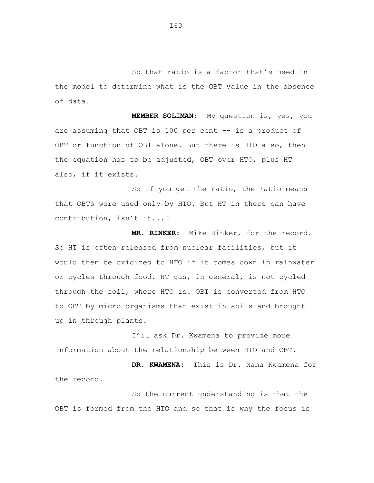So that ratio is a factor that's used in the model to determine what is the OBT value in the absence of data.

 **MEMBER SOLIMAN:** My question is, yes, you are assuming that OBT is 100 per cent -- is a product of OBT or function of OBT alone. But there is HTO also, then the equation has to be adjusted, OBT over HTO, plus HT also, if it exists.

So if you get the ratio, the ratio means that OBTs were used only by HTO. But HT in there can have contribution, isn't it...?

 **MR. RINKER:** Mike Rinker, for the record. So HT is often released from nuclear facilities, but it would then be oxidized to HTO if it comes down in rainwater or cycles through food. HT gas, in general, is not cycled through the soil, where HTO is. OBT is converted from HTO to OBT by micro organisms that exist in soils and brought up in through plants.

I'll ask Dr. Kwamena to provide more information about the relationship between HTO and OBT.

**DR. KWAMENA:** This is Dr. Nana Kwamena for the record.

So the current understanding is that the OBT is formed from the HTO and so that is why the focus is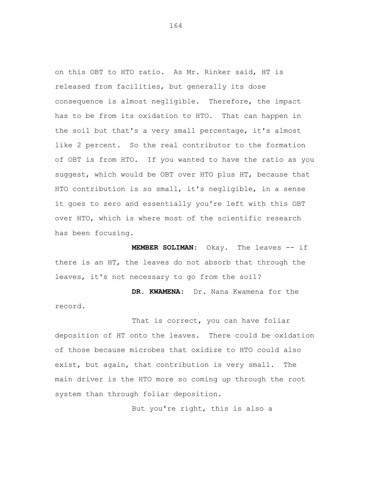on this OBT to HTO ratio. As Mr. Rinker said, HT is released from facilities, but generally its dose consequence is almost negligible. Therefore, the impact has to be from its oxidation to HTO. That can happen in the soil but that's a very small percentage, it's almost like 2 percent. So the real contributor to the formation of OBT is from HTO. If you wanted to have the ratio as you suggest, which would be OBT over HTO plus HT, because that HTO contribution is so small, it's negligible, in a sense it goes to zero and essentially you're left with this OBT over HTO, which is where most of the scientific research has been focusing.

**MEMBER SOLIMAN:** Okay. The leaves -- if there is an HT, the leaves do not absorb that through the leaves, it's not necessary to go from the soil?

**DR. KWAMENA:** Dr. Nana Kwamena for the record.

That is correct, you can have foliar deposition of HT onto the leaves. There could be oxidation of those because microbes that oxidize to HTO could also exist, but again, that contribution is very small. The main driver is the HTO more so coming up through the root system than through foliar deposition.

But you're right, this is also a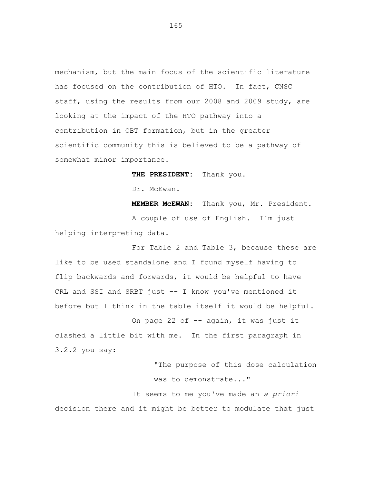mechanism, but the main focus of the scientific literature has focused on the contribution of HTO. In fact, CNSC staff, using the results from our 2008 and 2009 study, are looking at the impact of the HTO pathway into a contribution in OBT formation, but in the greater scientific community this is believed to be a pathway of somewhat minor importance.

**THE PRESIDENT:** Thank you.

Dr. McEwan.

**MEMBER McEWAN:** Thank you, Mr. President. A couple of use of English. I'm just helping interpreting data.

For Table 2 and Table 3, because these are like to be used standalone and I found myself having to flip backwards and forwards, it would be helpful to have CRL and SSI and SRBT just -- I know you've mentioned it before but I think in the table itself it would be helpful.

On page 22 of -- again, it was just it clashed a little bit with me. In the first paragraph in 3.2.2 you say:

> "The purpose of this dose calculation was to demonstrate..."

It seems to me you've made an *a priori*  decision there and it might be better to modulate that just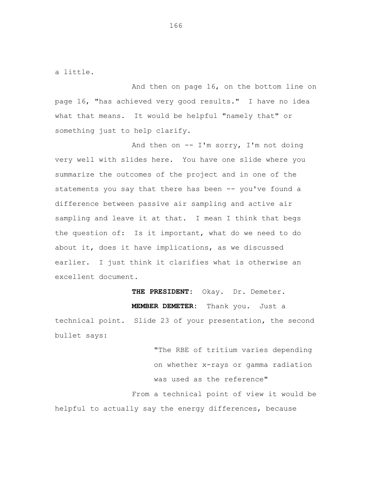a little.

And then on page 16, on the bottom line on page 16, "has achieved very good results." I have no idea what that means. It would be helpful "namely that" or something just to help clarify.

And then on  $--$  I'm sorry, I'm not doing very well with slides here. You have one slide where you summarize the outcomes of the project and in one of the statements you say that there has been -- you've found a difference between passive air sampling and active air sampling and leave it at that. I mean I think that begs the question of: Is it important, what do we need to do about it, does it have implications, as we discussed earlier. I just think it clarifies what is otherwise an excellent document.

**THE PRESIDENT:** Okay. Dr. Demeter. **MEMBER DEMETER:** Thank you. Just a technical point. Slide 23 of your presentation, the second bullet says:

"The RBE of tritium varies depending on whether x-rays or gamma radiation was used as the reference" From a technical point of view it would be helpful to actually say the energy differences, because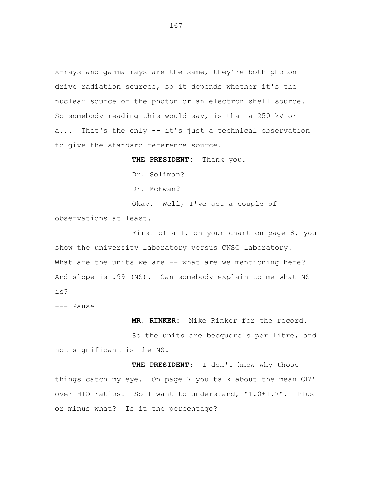x-rays and gamma rays are the same, they're both photon drive radiation sources, so it depends whether it's the nuclear source of the photon or an electron shell source. So somebody reading this would say, is that a 250 kV or a... That's the only -- it's just a technical observation to give the standard reference source.

**THE PRESIDENT:** Thank you. Dr. Soliman? Dr. McEwan? Okay. Well, I've got a couple of observations at least.

First of all, on your chart on page 8, you show the university laboratory versus CNSC laboratory. What are the units we are -- what are we mentioning here? And slope is .99 (NS). Can somebody explain to me what NS is?

--- Pause

 **MR. RINKER:** Mike Rinker for the record.

So the units are becquerels per litre, and not significant is the NS.

**THE PRESIDENT:** I don't know why those things catch my eye. On page 7 you talk about the mean OBT over HTO ratios. So I want to understand, "1.0±1.7". Plus or minus what? Is it the percentage?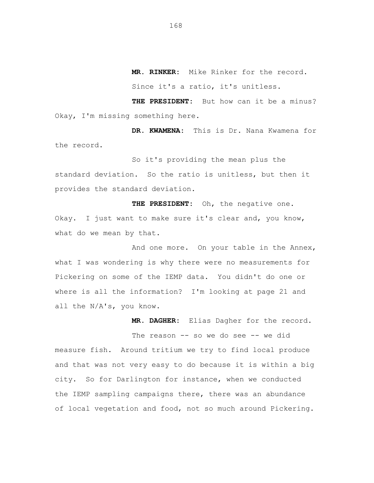**MR. RINKER:** Mike Rinker for the record.

Since it's a ratio, it's unitless.

**THE PRESIDENT:** But how can it be a minus? Okay, I'm missing something here.

 **DR. KWAMENA:** This is Dr. Nana Kwamena for the record.

So it's providing the mean plus the standard deviation. So the ratio is unitless, but then it provides the standard deviation.

**THE PRESIDENT:** Oh, the negative one. Okay. I just want to make sure it's clear and, you know, what do we mean by that.

And one more. On your table in the Annex, what I was wondering is why there were no measurements for Pickering on some of the IEMP data. You didn't do one or where is all the information? I'm looking at page 21 and all the N/A's, you know.

 **MR. DAGHER:** Elias Dagher for the record.

The reason -- so we do see -- we did measure fish. Around tritium we try to find local produce and that was not very easy to do because it is within a big city. So for Darlington for instance, when we conducted the IEMP sampling campaigns there, there was an abundance of local vegetation and food, not so much around Pickering.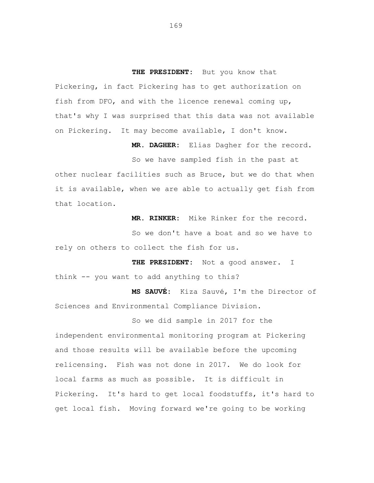**THE PRESIDENT:** But you know that Pickering, in fact Pickering has to get authorization on fish from DFO, and with the licence renewal coming up, that's why I was surprised that this data was not available on Pickering. It may become available, I don't know.

 **MR. DAGHER:** Elias Dagher for the record.

So we have sampled fish in the past at other nuclear facilities such as Bruce, but we do that when it is available, when we are able to actually get fish from that location.

**MR. RINKER:** Mike Rinker for the record.

So we don't have a boat and so we have to rely on others to collect the fish for us.

**THE PRESIDENT:** Not a good answer. I think -- you want to add anything to this?

**MS SAUVÉ:** Kiza Sauvé, I'm the Director of Sciences and Environmental Compliance Division.

So we did sample in 2017 for the independent environmental monitoring program at Pickering and those results will be available before the upcoming relicensing. Fish was not done in 2017. We do look for local farms as much as possible. It is difficult in Pickering. It's hard to get local foodstuffs, it's hard to get local fish. Moving forward we're going to be working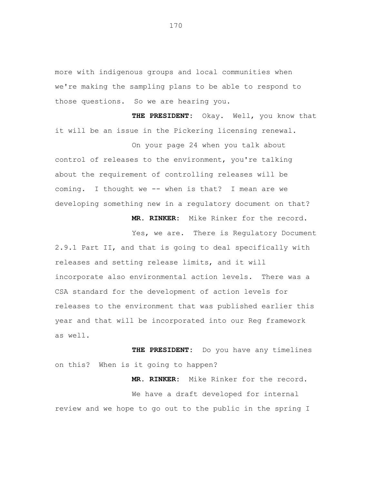more with indigenous groups and local communities when we're making the sampling plans to be able to respond to those questions. So we are hearing you.

**THE PRESIDENT:** Okay. Well, you know that it will be an issue in the Pickering licensing renewal.

control of releases to the environment, you're talking about the requirement of controlling releases will be coming. I thought we -- when is that? I mean are we developing something new in a regulatory document on that?

**MR. RINKER:** Mike Rinker for the record.

**MR. RINKER:** Mike Rinker for the record.

On your page 24 when you talk about

Yes, we are. There is Regulatory Document 2.9.1 Part II, and that is going to deal specifically with releases and setting release limits, and it will incorporate also environmental action levels. There was a CSA standard for the development of action levels for releases to the environment that was published earlier this year and that will be incorporated into our Reg framework as well.

**THE PRESIDENT:** Do you have any timelines on this? When is it going to happen?

We have a draft developed for internal review and we hope to go out to the public in the spring I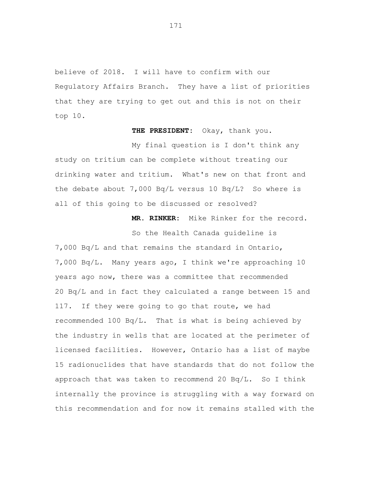believe of 2018. I will have to confirm with our Regulatory Affairs Branch. They have a list of priorities that they are trying to get out and this is not on their top 10.

**THE PRESIDENT:** Okay, thank you.

My final question is I don't think any study on tritium can be complete without treating our drinking water and tritium. What's new on that front and the debate about 7,000 Bq/L versus 10 Bq/L? So where is all of this going to be discussed or resolved?

**MR. RINKER:** Mike Rinker for the record.

So the Health Canada guideline is

7,000 Bq/L and that remains the standard in Ontario, 7,000 Bq/L. Many years ago, I think we're approaching 10 years ago now, there was a committee that recommended 20 Bq/L and in fact they calculated a range between 15 and 117. If they were going to go that route, we had recommended 100 Bq/L. That is what is being achieved by the industry in wells that are located at the perimeter of licensed facilities. However, Ontario has a list of maybe 15 radionuclides that have standards that do not follow the approach that was taken to recommend 20 Bq/L. So I think internally the province is struggling with a way forward on this recommendation and for now it remains stalled with the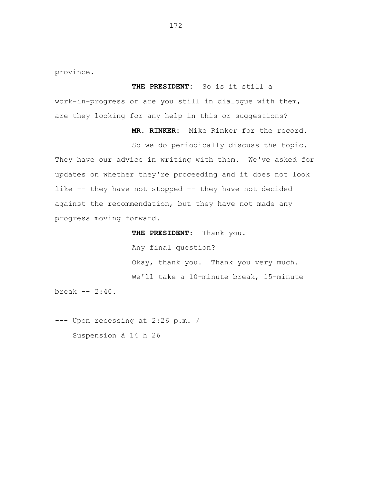province.

### **THE PRESIDENT:** So is it still a

work-in-progress or are you still in dialogue with them, are they looking for any help in this or suggestions?

**MR. RINKER:** Mike Rinker for the record.

So we do periodically discuss the topic. They have our advice in writing with them. We've asked for updates on whether they're proceeding and it does not look like -- they have not stopped -- they have not decided against the recommendation, but they have not made any progress moving forward.

**THE PRESIDENT:** Thank you.

Any final question? Okay, thank you. Thank you very much. We'll take a 10-minute break, 15-minute

break -- 2:40.

--- Upon recessing at 2:26 p.m. / Suspension à 14 h 26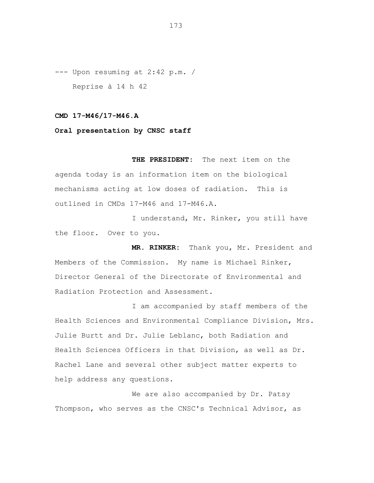--- Upon resuming at 2:42 p.m. / Reprise à 14 h 42

#### **CMD 17-M46/17-M46.A**

## **Oral presentation by CNSC staff**

**THE PRESIDENT:** The next item on the agenda today is an information item on the biological mechanisms acting at low doses of radiation. This is outlined in CMDs 17-M46 and 17-M46.A.

I understand, Mr. Rinker, you still have the floor. Over to you.

 **MR. RINKER:** Thank you, Mr. President and Members of the Commission. My name is Michael Rinker, Director General of the Directorate of Environmental and Radiation Protection and Assessment.

I am accompanied by staff members of the Health Sciences and Environmental Compliance Division, Mrs. Julie Burtt and Dr. Julie Leblanc, both Radiation and Health Sciences Officers in that Division, as well as Dr. Rachel Lane and several other subject matter experts to help address any questions.

We are also accompanied by Dr. Patsy Thompson, who serves as the CNSC's Technical Advisor, as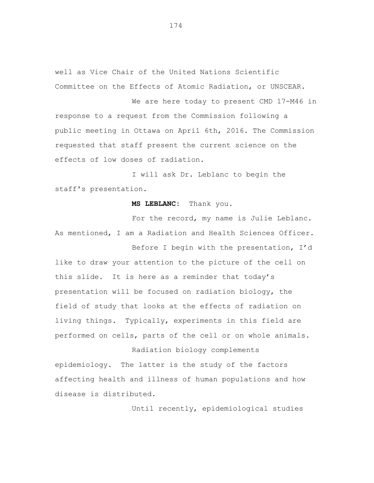well as Vice Chair of the United Nations Scientific Committee on the Effects of Atomic Radiation, or UNSCEAR.

We are here today to present CMD 17-M46 in response to a request from the Commission following a public meeting in Ottawa on April 6th, 2016. The Commission requested that staff present the current science on the effects of low doses of radiation.

I will ask Dr. Leblanc to begin the staff's presentation.

#### **MS LEBLANC:** Thank you.

For the record, my name is Julie Leblanc. As mentioned, I am a Radiation and Health Sciences Officer.

Before I begin with the presentation, I'd like to draw your attention to the picture of the cell on this slide. It is here as a reminder that today's presentation will be focused on radiation biology, the field of study that looks at the effects of radiation on living things. Typically, experiments in this field are performed on cells, parts of the cell or on whole animals.

Radiation biology complements epidemiology. The latter is the study of the factors affecting health and illness of human populations and how disease is distributed.

Until recently, epidemiological studies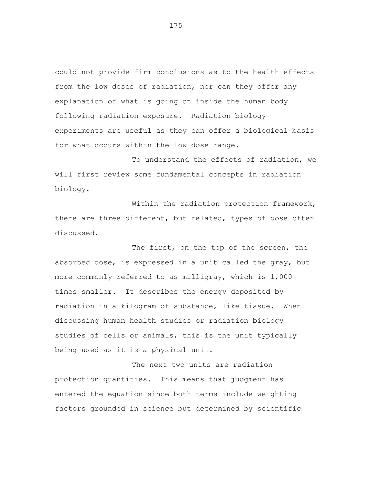could not provide firm conclusions as to the health effects from the low doses of radiation, nor can they offer any explanation of what is going on inside the human body following radiation exposure. Radiation biology experiments are useful as they can offer a biological basis for what occurs within the low dose range.

To understand the effects of radiation, we will first review some fundamental concepts in radiation biology.

Within the radiation protection framework, there are three different, but related, types of dose often discussed.

The first, on the top of the screen, the absorbed dose, is expressed in a unit called the gray, but more commonly referred to as milligray, which is 1,000 times smaller. It describes the energy deposited by radiation in a kilogram of substance, like tissue. When discussing human health studies or radiation biology studies of cells or animals, this is the unit typically being used as it is a physical unit.

The next two units are radiation protection quantities. This means that judgment has entered the equation since both terms include weighting factors grounded in science but determined by scientific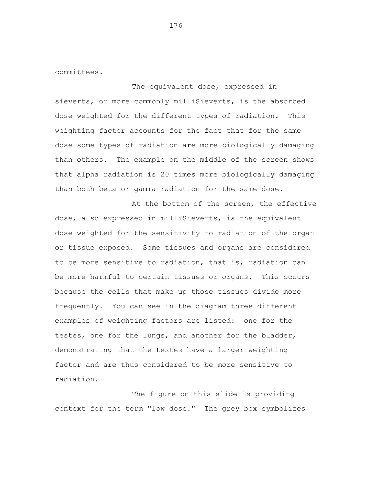committees.

The equivalent dose, expressed in sieverts, or more commonly milliSieverts, is the absorbed dose weighted for the different types of radiation. This weighting factor accounts for the fact that for the same dose some types of radiation are more biologically damaging than others. The example on the middle of the screen shows that alpha radiation is 20 times more biologically damaging than both beta or gamma radiation for the same dose.

At the bottom of the screen, the effective dose, also expressed in milliSieverts, is the equivalent dose weighted for the sensitivity to radiation of the organ or tissue exposed. Some tissues and organs are considered to be more sensitive to radiation, that is, radiation can be more harmful to certain tissues or organs. This occurs because the cells that make up those tissues divide more frequently. You can see in the diagram three different examples of weighting factors are listed: one for the testes, one for the lungs, and another for the bladder, demonstrating that the testes have a larger weighting factor and are thus considered to be more sensitive to radiation.

The figure on this slide is providing context for the term "low dose." The grey box symbolizes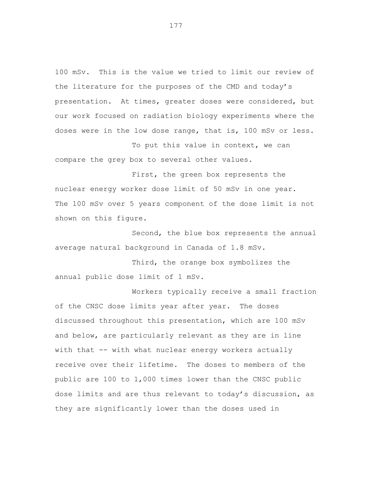100 mSv. This is the value we tried to limit our review of the literature for the purposes of the CMD and today's presentation. At times, greater doses were considered, but our work focused on radiation biology experiments where the doses were in the low dose range, that is, 100 mSv or less.

To put this value in context, we can compare the grey box to several other values.

First, the green box represents the nuclear energy worker dose limit of 50 mSv in one year. The 100 mSv over 5 years component of the dose limit is not shown on this figure.

Second, the blue box represents the annual average natural background in Canada of 1.8 mSv.

Third, the orange box symbolizes the annual public dose limit of 1 mSv.

Workers typically receive a small fraction of the CNSC dose limits year after year. The doses discussed throughout this presentation, which are 100 mSv and below, are particularly relevant as they are in line with that -- with what nuclear energy workers actually receive over their lifetime. The doses to members of the public are 100 to 1,000 times lower than the CNSC public dose limits and are thus relevant to today's discussion, as they are significantly lower than the doses used in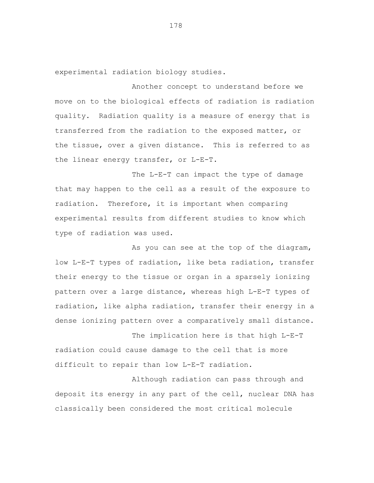experimental radiation biology studies.

Another concept to understand before we move on to the biological effects of radiation is radiation quality. Radiation quality is a measure of energy that is transferred from the radiation to the exposed matter, or the tissue, over a given distance. This is referred to as the linear energy transfer, or L-E-T.

The L-E-T can impact the type of damage that may happen to the cell as a result of the exposure to radiation. Therefore, it is important when comparing experimental results from different studies to know which type of radiation was used.

As you can see at the top of the diagram, low L-E-T types of radiation, like beta radiation, transfer their energy to the tissue or organ in a sparsely ionizing pattern over a large distance, whereas high L-E-T types of radiation, like alpha radiation, transfer their energy in a dense ionizing pattern over a comparatively small distance.

The implication here is that high L-E-T radiation could cause damage to the cell that is more difficult to repair than low L-E-T radiation.

Although radiation can pass through and deposit its energy in any part of the cell, nuclear DNA has classically been considered the most critical molecule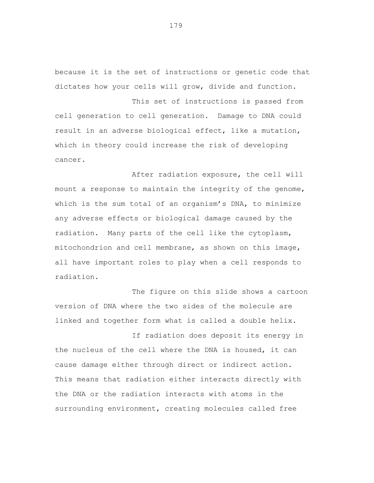because it is the set of instructions or genetic code that dictates how your cells will grow, divide and function.

This set of instructions is passed from cell generation to cell generation. Damage to DNA could result in an adverse biological effect, like a mutation, which in theory could increase the risk of developing cancer.

After radiation exposure, the cell will mount a response to maintain the integrity of the genome, which is the sum total of an organism's DNA, to minimize any adverse effects or biological damage caused by the radiation. Many parts of the cell like the cytoplasm, mitochondrion and cell membrane, as shown on this image, all have important roles to play when a cell responds to radiation.

The figure on this slide shows a cartoon version of DNA where the two sides of the molecule are linked and together form what is called a double helix.

If radiation does deposit its energy in the nucleus of the cell where the DNA is housed, it can cause damage either through direct or indirect action. This means that radiation either interacts directly with the DNA or the radiation interacts with atoms in the surrounding environment, creating molecules called free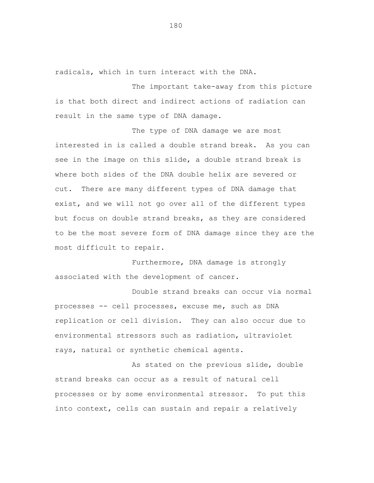radicals, which in turn interact with the DNA.

The important take-away from this picture is that both direct and indirect actions of radiation can result in the same type of DNA damage.

The type of DNA damage we are most interested in is called a double strand break. As you can see in the image on this slide, a double strand break is where both sides of the DNA double helix are severed or cut. There are many different types of DNA damage that exist, and we will not go over all of the different types but focus on double strand breaks, as they are considered to be the most severe form of DNA damage since they are the most difficult to repair.

Furthermore, DNA damage is strongly associated with the development of cancer.

Double strand breaks can occur via normal processes -- cell processes, excuse me, such as DNA replication or cell division. They can also occur due to environmental stressors such as radiation, ultraviolet rays, natural or synthetic chemical agents.

As stated on the previous slide, double strand breaks can occur as a result of natural cell processes or by some environmental stressor. To put this into context, cells can sustain and repair a relatively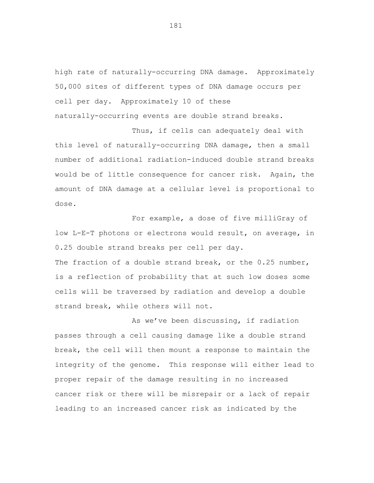high rate of naturally-occurring DNA damage. Approximately 50,000 sites of different types of DNA damage occurs per cell per day. Approximately 10 of these naturally-occurring events are double strand breaks.

Thus, if cells can adequately deal with this level of naturally-occurring DNA damage, then a small number of additional radiation-induced double strand breaks would be of little consequence for cancer risk. Again, the amount of DNA damage at a cellular level is proportional to dose.

For example, a dose of five milliGray of low L-E-T photons or electrons would result, on average, in 0.25 double strand breaks per cell per day. The fraction of a double strand break, or the 0.25 number, is a reflection of probability that at such low doses some cells will be traversed by radiation and develop a double strand break, while others will not.

As we've been discussing, if radiation passes through a cell causing damage like a double strand break, the cell will then mount a response to maintain the integrity of the genome. This response will either lead to proper repair of the damage resulting in no increased cancer risk or there will be misrepair or a lack of repair leading to an increased cancer risk as indicated by the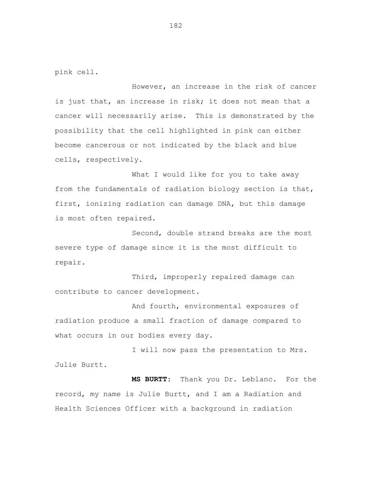pink cell.

However, an increase in the risk of cancer is just that, an increase in risk; it does not mean that a cancer will necessarily arise. This is demonstrated by the possibility that the cell highlighted in pink can either become cancerous or not indicated by the black and blue cells, respectively.

What I would like for you to take away from the fundamentals of radiation biology section is that, first, ionizing radiation can damage DNA, but this damage is most often repaired.

Second, double strand breaks are the most severe type of damage since it is the most difficult to repair.

Third, improperly repaired damage can contribute to cancer development.

And fourth, environmental exposures of radiation produce a small fraction of damage compared to what occurs in our bodies every day.

I will now pass the presentation to Mrs. Julie Burtt.

**MS BURTT:** Thank you Dr. Leblanc. For the record, my name is Julie Burtt, and I am a Radiation and Health Sciences Officer with a background in radiation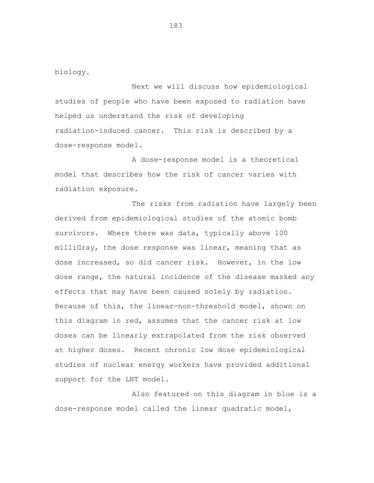biology.

Next we will discuss how epidemiological studies of people who have been exposed to radiation have helped us understand the risk of developing radiation-induced cancer. This risk is described by a dose-response model.

A dose-response model is a theoretical model that describes how the risk of cancer varies with radiation exposure.

The risks from radiation have largely been derived from epidemiological studies of the atomic bomb survivors. Where there was data, typically above 100 milliGray, the dose response was linear, meaning that as dose increased, so did cancer risk. However, in the low dose range, the natural incidence of the disease masked any effects that may have been caused solely by radiation. Because of this, the linear-non-threshold model, shown on this diagram in red, assumes that the cancer risk at low doses can be linearly extrapolated from the risk observed at higher doses. Recent chronic low dose epidemiological studies of nuclear energy workers have provided additional support for the LNT model.

Also featured on this diagram in blue is a dose-response model called the linear quadratic model,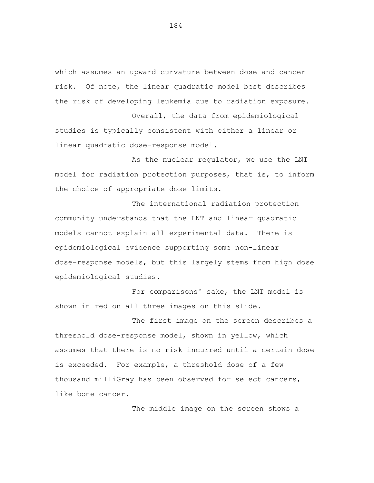which assumes an upward curvature between dose and cancer risk. Of note, the linear quadratic model best describes the risk of developing leukemia due to radiation exposure.

Overall, the data from epidemiological studies is typically consistent with either a linear or linear quadratic dose-response model.

As the nuclear regulator, we use the LNT model for radiation protection purposes, that is, to inform the choice of appropriate dose limits.

The international radiation protection community understands that the LNT and linear quadratic models cannot explain all experimental data. There is epidemiological evidence supporting some non-linear dose-response models, but this largely stems from high dose epidemiological studies.

For comparisons' sake, the LNT model is shown in red on all three images on this slide.

The first image on the screen describes a threshold dose-response model, shown in yellow, which assumes that there is no risk incurred until a certain dose is exceeded. For example, a threshold dose of a few thousand milliGray has been observed for select cancers, like bone cancer.

The middle image on the screen shows a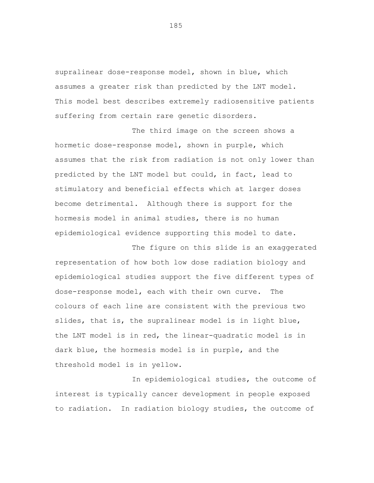supralinear dose-response model, shown in blue, which assumes a greater risk than predicted by the LNT model. This model best describes extremely radiosensitive patients suffering from certain rare genetic disorders.

The third image on the screen shows a hormetic dose-response model, shown in purple, which assumes that the risk from radiation is not only lower than predicted by the LNT model but could, in fact, lead to stimulatory and beneficial effects which at larger doses become detrimental. Although there is support for the hormesis model in animal studies, there is no human epidemiological evidence supporting this model to date.

The figure on this slide is an exaggerated representation of how both low dose radiation biology and epidemiological studies support the five different types of dose-response model, each with their own curve. The colours of each line are consistent with the previous two slides, that is, the supralinear model is in light blue, the LNT model is in red, the linear-quadratic model is in dark blue, the hormesis model is in purple, and the threshold model is in yellow.

In epidemiological studies, the outcome of interest is typically cancer development in people exposed to radiation. In radiation biology studies, the outcome of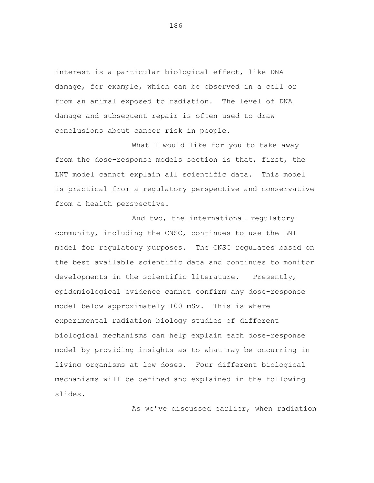interest is a particular biological effect, like DNA damage, for example, which can be observed in a cell or from an animal exposed to radiation. The level of DNA damage and subsequent repair is often used to draw conclusions about cancer risk in people.

What I would like for you to take away from the dose-response models section is that, first, the LNT model cannot explain all scientific data. This model is practical from a regulatory perspective and conservative from a health perspective.

And two, the international regulatory community, including the CNSC, continues to use the LNT model for regulatory purposes. The CNSC regulates based on the best available scientific data and continues to monitor developments in the scientific literature. Presently, epidemiological evidence cannot confirm any dose-response model below approximately 100 mSv. This is where experimental radiation biology studies of different biological mechanisms can help explain each dose-response model by providing insights as to what may be occurring in living organisms at low doses. Four different biological mechanisms will be defined and explained in the following slides.

As we've discussed earlier, when radiation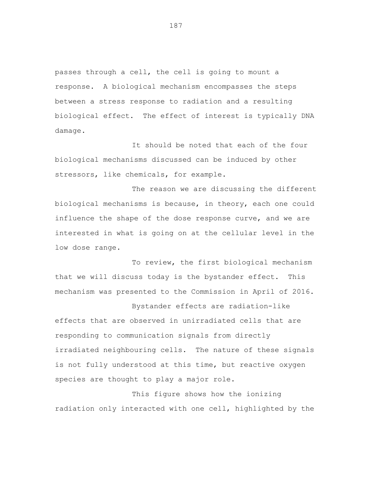passes through a cell, the cell is going to mount a response. A biological mechanism encompasses the steps between a stress response to radiation and a resulting biological effect. The effect of interest is typically DNA damage.

It should be noted that each of the four biological mechanisms discussed can be induced by other stressors, like chemicals, for example.

The reason we are discussing the different biological mechanisms is because, in theory, each one could influence the shape of the dose response curve, and we are interested in what is going on at the cellular level in the low dose range.

To review, the first biological mechanism that we will discuss today is the bystander effect. This mechanism was presented to the Commission in April of 2016.

Bystander effects are radiation-like effects that are observed in unirradiated cells that are responding to communication signals from directly irradiated neighbouring cells. The nature of these signals is not fully understood at this time, but reactive oxygen species are thought to play a major role.

This figure shows how the ionizing radiation only interacted with one cell, highlighted by the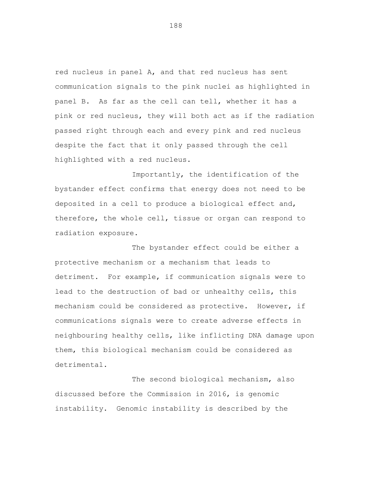red nucleus in panel A, and that red nucleus has sent communication signals to the pink nuclei as highlighted in panel B. As far as the cell can tell, whether it has a pink or red nucleus, they will both act as if the radiation passed right through each and every pink and red nucleus despite the fact that it only passed through the cell highlighted with a red nucleus.

Importantly, the identification of the bystander effect confirms that energy does not need to be deposited in a cell to produce a biological effect and, therefore, the whole cell, tissue or organ can respond to radiation exposure.

The bystander effect could be either a protective mechanism or a mechanism that leads to detriment. For example, if communication signals were to lead to the destruction of bad or unhealthy cells, this mechanism could be considered as protective. However, if communications signals were to create adverse effects in neighbouring healthy cells, like inflicting DNA damage upon them, this biological mechanism could be considered as detrimental.

The second biological mechanism, also discussed before the Commission in 2016, is genomic instability. Genomic instability is described by the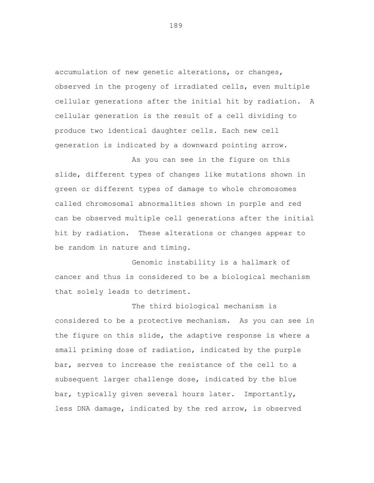accumulation of new genetic alterations, or changes, observed in the progeny of irradiated cells, even multiple cellular generations after the initial hit by radiation. A cellular generation is the result of a cell dividing to produce two identical daughter cells. Each new cell generation is indicated by a downward pointing arrow.

As you can see in the figure on this slide, different types of changes like mutations shown in green or different types of damage to whole chromosomes called chromosomal abnormalities shown in purple and red can be observed multiple cell generations after the initial hit by radiation. These alterations or changes appear to be random in nature and timing.

Genomic instability is a hallmark of cancer and thus is considered to be a biological mechanism that solely leads to detriment.

The third biological mechanism is considered to be a protective mechanism. As you can see in the figure on this slide, the adaptive response is where a small priming dose of radiation, indicated by the purple bar, serves to increase the resistance of the cell to a subsequent larger challenge dose, indicated by the blue bar, typically given several hours later. Importantly, less DNA damage, indicated by the red arrow, is observed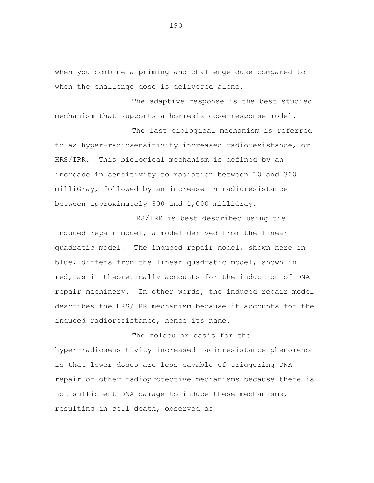when you combine a priming and challenge dose compared to when the challenge dose is delivered alone.

The adaptive response is the best studied mechanism that supports a hormesis dose-response model.

The last biological mechanism is referred to as hyper-radiosensitivity increased radioresistance, or HRS/IRR. This biological mechanism is defined by an increase in sensitivity to radiation between 10 and 300 milliGray, followed by an increase in radioresistance between approximately 300 and 1,000 milliGray.

HRS/IRR is best described using the induced repair model, a model derived from the linear quadratic model. The induced repair model, shown here in blue, differs from the linear quadratic model, shown in red, as it theoretically accounts for the induction of DNA repair machinery. In other words, the induced repair model describes the HRS/IRR mechanism because it accounts for the induced radioresistance, hence its name.

The molecular basis for the hyper-radiosensitivity increased radioresistance phenomenon is that lower doses are less capable of triggering DNA repair or other radioprotective mechanisms because there is not sufficient DNA damage to induce these mechanisms, resulting in cell death, observed as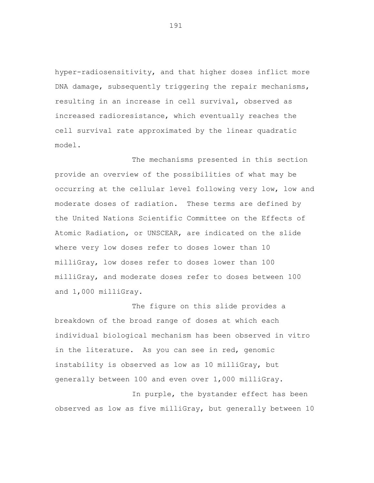hyper-radiosensitivity, and that higher doses inflict more DNA damage, subsequently triggering the repair mechanisms, resulting in an increase in cell survival, observed as increased radioresistance, which eventually reaches the cell survival rate approximated by the linear quadratic model.

The mechanisms presented in this section provide an overview of the possibilities of what may be occurring at the cellular level following very low, low and moderate doses of radiation. These terms are defined by the United Nations Scientific Committee on the Effects of Atomic Radiation, or UNSCEAR, are indicated on the slide where very low doses refer to doses lower than 10 milliGray, low doses refer to doses lower than 100 milliGray, and moderate doses refer to doses between 100 and 1,000 milliGray.

The figure on this slide provides a breakdown of the broad range of doses at which each individual biological mechanism has been observed in vitro in the literature. As you can see in red, genomic instability is observed as low as 10 milliGray, but generally between 100 and even over 1,000 milliGray.

In purple, the bystander effect has been observed as low as five milliGray, but generally between 10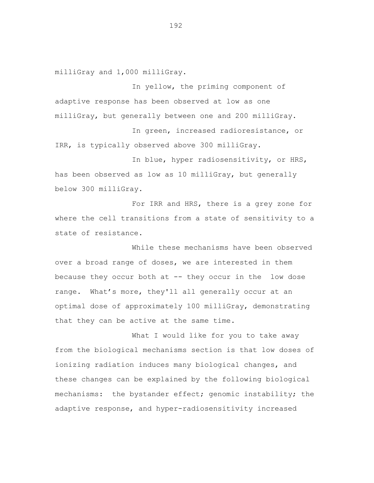milliGray and 1,000 milliGray.

In yellow, the priming component of adaptive response has been observed at low as one milliGray, but generally between one and 200 milliGray.

In green, increased radioresistance, or IRR, is typically observed above 300 milliGray.

In blue, hyper radiosensitivity, or HRS, has been observed as low as 10 milliGray, but generally below 300 milliGray.

For IRR and HRS, there is a grey zone for where the cell transitions from a state of sensitivity to a state of resistance.

While these mechanisms have been observed over a broad range of doses, we are interested in them because they occur both at -- they occur in the low dose range. What's more, they'll all generally occur at an optimal dose of approximately 100 milliGray, demonstrating that they can be active at the same time.

What I would like for you to take away from the biological mechanisms section is that low doses of ionizing radiation induces many biological changes, and these changes can be explained by the following biological mechanisms: the bystander effect; genomic instability; the adaptive response, and hyper-radiosensitivity increased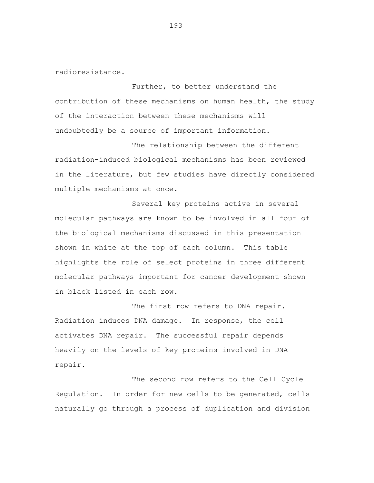radioresistance.

Further, to better understand the contribution of these mechanisms on human health, the study of the interaction between these mechanisms will undoubtedly be a source of important information.

The relationship between the different radiation-induced biological mechanisms has been reviewed in the literature, but few studies have directly considered multiple mechanisms at once.

Several key proteins active in several molecular pathways are known to be involved in all four of the biological mechanisms discussed in this presentation shown in white at the top of each column. This table highlights the role of select proteins in three different molecular pathways important for cancer development shown in black listed in each row.

The first row refers to DNA repair. Radiation induces DNA damage. In response, the cell activates DNA repair. The successful repair depends heavily on the levels of key proteins involved in DNA repair.

The second row refers to the Cell Cycle Regulation. In order for new cells to be generated, cells naturally go through a process of duplication and division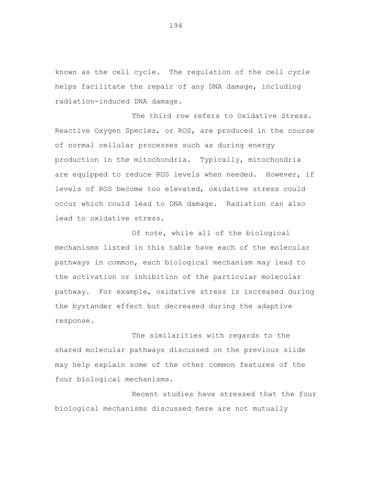known as the cell cycle. The regulation of the cell cycle helps facilitate the repair of any DNA damage, including radiation-induced DNA damage.

The third row refers to Oxidative Stress. Reactive Oxygen Species, or ROS, are produced in the course of normal cellular processes such as during energy production in the mitochondria. Typically, mitochondria are equipped to reduce ROS levels when needed. However, if levels of ROS become too elevated, oxidative stress could occur which could lead to DNA damage. Radiation can also lead to oxidative stress.

Of note, while all of the biological mechanisms listed in this table have each of the molecular pathways in common, each biological mechanism may lead to the activation or inhibition of the particular molecular pathway. For example, oxidative stress is increased during the bystander effect but decreased during the adaptive response.

The similarities with regards to the shared molecular pathways discussed on the previous slide may help explain some of the other common features of the four biological mechanisms.

Recent studies have stressed that the four biological mechanisms discussed here are not mutually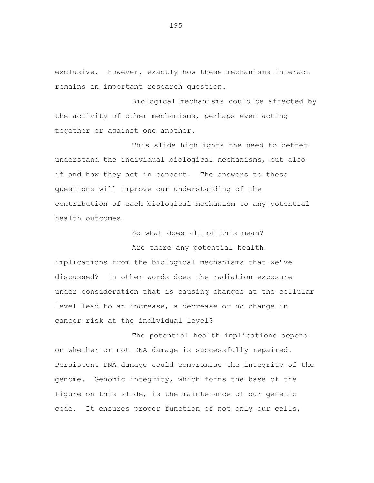exclusive. However, exactly how these mechanisms interact remains an important research question.

Biological mechanisms could be affected by the activity of other mechanisms, perhaps even acting together or against one another.

This slide highlights the need to better understand the individual biological mechanisms, but also if and how they act in concert. The answers to these questions will improve our understanding of the contribution of each biological mechanism to any potential health outcomes.

So what does all of this mean?

Are there any potential health implications from the biological mechanisms that we've discussed? In other words does the radiation exposure under consideration that is causing changes at the cellular level lead to an increase, a decrease or no change in cancer risk at the individual level?

The potential health implications depend on whether or not DNA damage is successfully repaired. Persistent DNA damage could compromise the integrity of the genome. Genomic integrity, which forms the base of the figure on this slide, is the maintenance of our genetic code. It ensures proper function of not only our cells,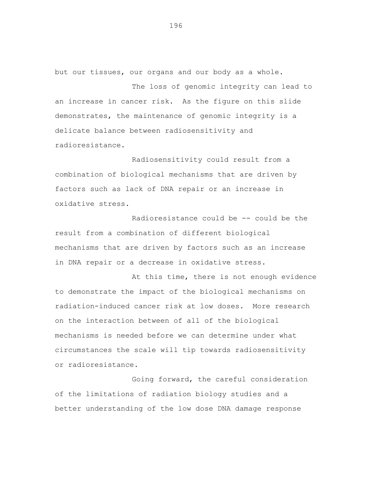but our tissues, our organs and our body as a whole.

The loss of genomic integrity can lead to an increase in cancer risk. As the figure on this slide demonstrates, the maintenance of genomic integrity is a delicate balance between radiosensitivity and radioresistance.

Radiosensitivity could result from a combination of biological mechanisms that are driven by factors such as lack of DNA repair or an increase in oxidative stress.

Radioresistance could be -- could be the result from a combination of different biological mechanisms that are driven by factors such as an increase in DNA repair or a decrease in oxidative stress.

At this time, there is not enough evidence to demonstrate the impact of the biological mechanisms on radiation-induced cancer risk at low doses. More research on the interaction between of all of the biological mechanisms is needed before we can determine under what circumstances the scale will tip towards radiosensitivity or radioresistance.

Going forward, the careful consideration of the limitations of radiation biology studies and a better understanding of the low dose DNA damage response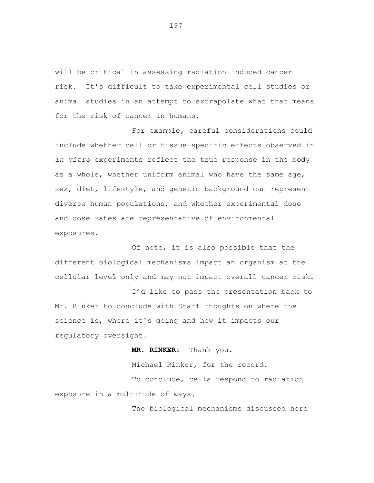will be critical in assessing radiation-induced cancer risk. It's difficult to take experimental cell studies or animal studies in an attempt to extrapolate what that means for the risk of cancer in humans.

For example, careful considerations could include whether cell or tissue-specific effects observed in *in vitro* experiments reflect the true response in the body as a whole, whether uniform animal who have the same age, sex, diet, lifestyle, and genetic background can represent diverse human populations, and whether experimental dose and dose rates are representative of environmental exposures.

Of note, it is also possible that the different biological mechanisms impact an organism at the cellular level only and may not impact overall cancer risk.

I'd like to pass the presentation back to Mr. Rinker to conclude with Staff thoughts on where the science is, where it's going and how it impacts our regulatory oversight.

 **MR. RINKER:** Thank you.

Michael Rinker, for the record. To conclude, cells respond to radiation exposure in a multitude of ways.

The biological mechanisms discussed here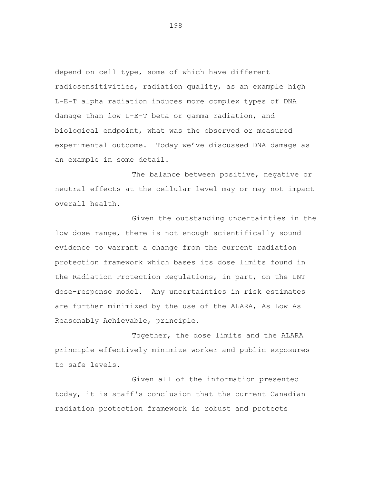depend on cell type, some of which have different radiosensitivities, radiation quality, as an example high L-E-T alpha radiation induces more complex types of DNA damage than low L-E-T beta or gamma radiation, and biological endpoint, what was the observed or measured experimental outcome. Today we've discussed DNA damage as an example in some detail.

The balance between positive, negative or neutral effects at the cellular level may or may not impact overall health.

Given the outstanding uncertainties in the low dose range, there is not enough scientifically sound evidence to warrant a change from the current radiation protection framework which bases its dose limits found in the Radiation Protection Regulations, in part, on the LNT dose-response model. Any uncertainties in risk estimates are further minimized by the use of the ALARA, As Low As Reasonably Achievable, principle.

Together, the dose limits and the ALARA principle effectively minimize worker and public exposures to safe levels.

Given all of the information presented today, it is staff's conclusion that the current Canadian radiation protection framework is robust and protects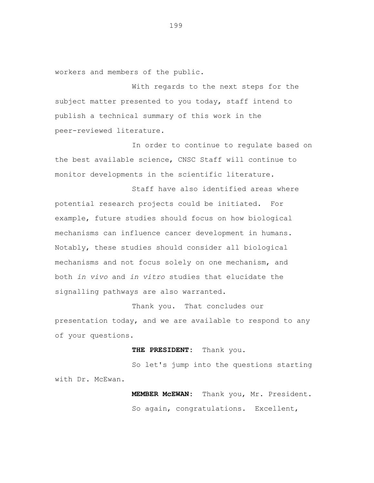workers and members of the public.

With regards to the next steps for the subject matter presented to you today, staff intend to publish a technical summary of this work in the peer-reviewed literature.

In order to continue to regulate based on the best available science, CNSC Staff will continue to monitor developments in the scientific literature.

Staff have also identified areas where potential research projects could be initiated. For example, future studies should focus on how biological mechanisms can influence cancer development in humans. Notably, these studies should consider all biological mechanisms and not focus solely on one mechanism, and both *in vivo* and *in vitro* studies that elucidate the signalling pathways are also warranted.

Thank you. That concludes our presentation today, and we are available to respond to any of your questions.

## **THE PRESIDENT:** Thank you.

So let's jump into the questions starting with Dr. McEwan.

> **MEMBER McEWAN:** Thank you, Mr. President. So again, congratulations. Excellent,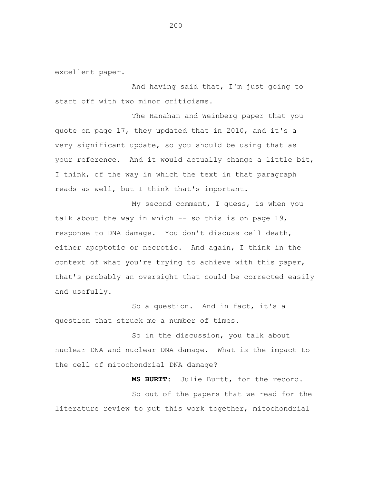excellent paper.

And having said that, I'm just going to start off with two minor criticisms.

The Hanahan and Weinberg paper that you quote on page 17, they updated that in 2010, and it's a very significant update, so you should be using that as your reference. And it would actually change a little bit, I think, of the way in which the text in that paragraph reads as well, but I think that's important.

My second comment, I guess, is when you talk about the way in which  $-$  so this is on page 19, response to DNA damage. You don't discuss cell death, either apoptotic or necrotic. And again, I think in the context of what you're trying to achieve with this paper, that's probably an oversight that could be corrected easily and usefully.

So a question. And in fact, it's a question that struck me a number of times.

So in the discussion, you talk about nuclear DNA and nuclear DNA damage. What is the impact to the cell of mitochondrial DNA damage?

**MS BURTT:** Julie Burtt, for the record. So out of the papers that we read for the literature review to put this work together, mitochondrial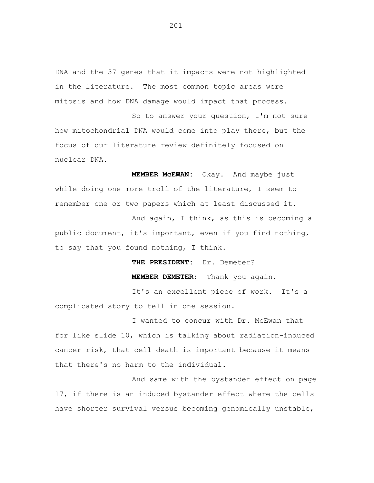DNA and the 37 genes that it impacts were not highlighted in the literature. The most common topic areas were mitosis and how DNA damage would impact that process.

So to answer your question, I'm not sure how mitochondrial DNA would come into play there, but the focus of our literature review definitely focused on nuclear DNA.

**MEMBER McEWAN:** Okay. And maybe just while doing one more troll of the literature, I seem to remember one or two papers which at least discussed it.

And again, I think, as this is becoming a public document, it's important, even if you find nothing, to say that you found nothing, I think.

**THE PRESIDENT:** Dr. Demeter?

 **MEMBER DEMETER:** Thank you again.

It's an excellent piece of work. It's a complicated story to tell in one session.

I wanted to concur with Dr. McEwan that for like slide 10, which is talking about radiation-induced cancer risk, that cell death is important because it means that there's no harm to the individual.

And same with the bystander effect on page 17, if there is an induced bystander effect where the cells have shorter survival versus becoming genomically unstable,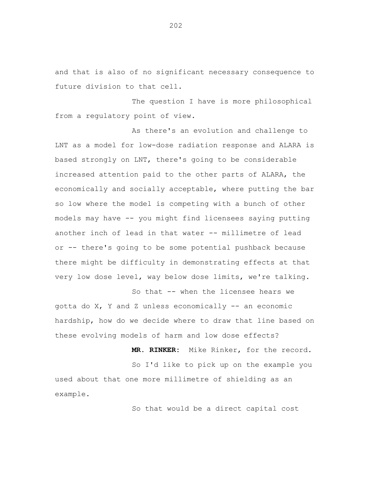and that is also of no significant necessary consequence to future division to that cell.

The question I have is more philosophical from a regulatory point of view.

As there's an evolution and challenge to LNT as a model for low-dose radiation response and ALARA is based strongly on LNT, there's going to be considerable increased attention paid to the other parts of ALARA, the economically and socially acceptable, where putting the bar so low where the model is competing with a bunch of other models may have -- you might find licensees saying putting another inch of lead in that water -- millimetre of lead or -- there's going to be some potential pushback because there might be difficulty in demonstrating effects at that very low dose level, way below dose limits, we're talking.

So that -- when the licensee hears we gotta do  $X$ ,  $Y$  and  $Z$  unless economically  $-$  an economic hardship, how do we decide where to draw that line based on these evolving models of harm and low dose effects?

So I'd like to pick up on the example you used about that one more millimetre of shielding as an example.

So that would be a direct capital cost

**MR. RINKER:** Mike Rinker, for the record.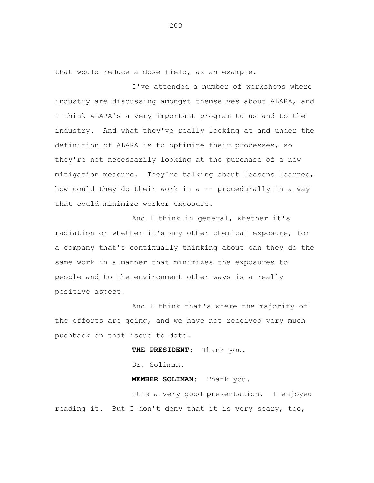that would reduce a dose field, as an example.

I've attended a number of workshops where industry are discussing amongst themselves about ALARA, and I think ALARA's a very important program to us and to the industry. And what they've really looking at and under the definition of ALARA is to optimize their processes, so they're not necessarily looking at the purchase of a new mitigation measure. They're talking about lessons learned, how could they do their work in a -- procedurally in a way that could minimize worker exposure.

And I think in general, whether it's radiation or whether it's any other chemical exposure, for a company that's continually thinking about can they do the same work in a manner that minimizes the exposures to people and to the environment other ways is a really positive aspect.

And I think that's where the majority of the efforts are going, and we have not received very much pushback on that issue to date.

**THE PRESIDENT:** Thank you.

Dr. Soliman.

**MEMBER SOLIMAN:** Thank you.

It's a very good presentation. I enjoyed reading it. But I don't deny that it is very scary, too,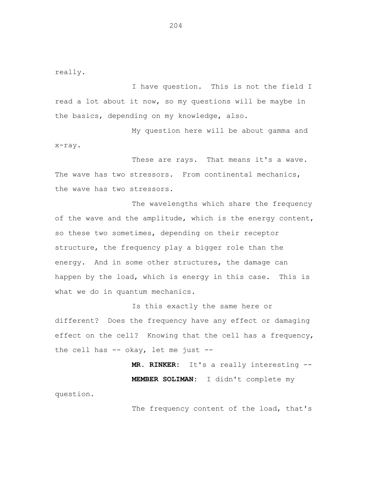really.

question.

I have question. This is not the field I read a lot about it now, so my questions will be maybe in the basics, depending on my knowledge, also.

My question here will be about gamma and x-ray.

These are rays. That means it's a wave. The wave has two stressors. From continental mechanics, the wave has two stressors.

The wavelengths which share the frequency of the wave and the amplitude, which is the energy content, so these two sometimes, depending on their receptor structure, the frequency play a bigger role than the energy. And in some other structures, the damage can happen by the load, which is energy in this case. This is what we do in quantum mechanics.

Is this exactly the same here or different? Does the frequency have any effect or damaging effect on the cell? Knowing that the cell has a frequency, the cell has  $-$  okay, let me just  $-$ 

> **MR. RINKER:** It's a really interesting -- **MEMBER SOLIMAN:** I didn't complete my

> > The frequency content of the load, that's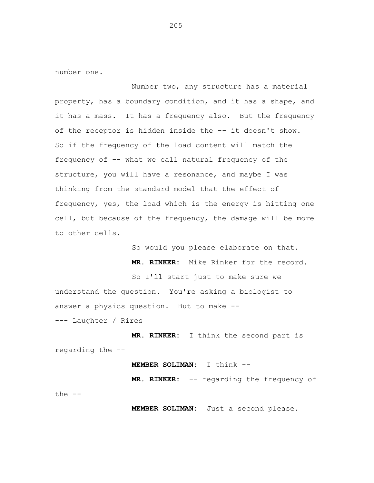number one.

Number two, any structure has a material property, has a boundary condition, and it has a shape, and it has a mass. It has a frequency also. But the frequency of the receptor is hidden inside the -- it doesn't show. So if the frequency of the load content will match the frequency of -- what we call natural frequency of the structure, you will have a resonance, and maybe I was thinking from the standard model that the effect of frequency, yes, the load which is the energy is hitting one cell, but because of the frequency, the damage will be more to other cells.

> So would you please elaborate on that. **MR. RINKER:** Mike Rinker for the record.

So I'll start just to make sure we understand the question. You're asking a biologist to answer a physics question. But to make --

--- Laughter / Rires

**MR. RINKER:** I think the second part is regarding the --

## **MEMBER SOLIMAN:** I think --

**MR. RINKER:** -- regarding the frequency of the  $--$ 

**MEMBER SOLIMAN:** Just a second please.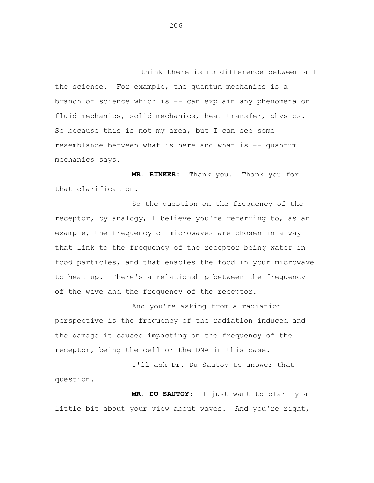I think there is no difference between all the science. For example, the quantum mechanics is a branch of science which is -- can explain any phenomena on fluid mechanics, solid mechanics, heat transfer, physics. So because this is not my area, but I can see some resemblance between what is here and what is -- quantum mechanics says.

**MR. RINKER:** Thank you. Thank you for that clarification.

So the question on the frequency of the receptor, by analogy, I believe you're referring to, as an example, the frequency of microwaves are chosen in a way that link to the frequency of the receptor being water in food particles, and that enables the food in your microwave to heat up. There's a relationship between the frequency of the wave and the frequency of the receptor.

And you're asking from a radiation perspective is the frequency of the radiation induced and the damage it caused impacting on the frequency of the receptor, being the cell or the DNA in this case.

I'll ask Dr. Du Sautoy to answer that question.

**MR. DU SAUTOY:** I just want to clarify a little bit about your view about waves. And you're right,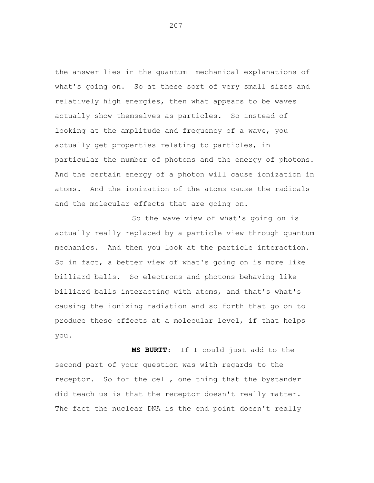the answer lies in the quantum mechanical explanations of what's going on. So at these sort of very small sizes and relatively high energies, then what appears to be waves actually show themselves as particles. So instead of looking at the amplitude and frequency of a wave, you actually get properties relating to particles, in particular the number of photons and the energy of photons. And the certain energy of a photon will cause ionization in atoms. And the ionization of the atoms cause the radicals and the molecular effects that are going on.

So the wave view of what's going on is actually really replaced by a particle view through quantum mechanics. And then you look at the particle interaction. So in fact, a better view of what's going on is more like billiard balls. So electrons and photons behaving like billiard balls interacting with atoms, and that's what's causing the ionizing radiation and so forth that go on to produce these effects at a molecular level, if that helps you.

**MS BURTT:** If I could just add to the second part of your question was with regards to the receptor. So for the cell, one thing that the bystander did teach us is that the receptor doesn't really matter. The fact the nuclear DNA is the end point doesn't really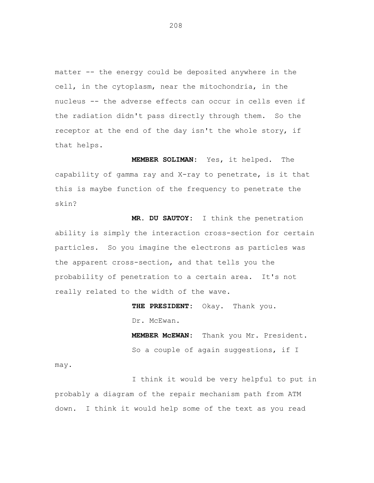matter -- the energy could be deposited anywhere in the cell, in the cytoplasm, near the mitochondria, in the nucleus -- the adverse effects can occur in cells even if the radiation didn't pass directly through them. So the receptor at the end of the day isn't the whole story, if that helps.

**MEMBER SOLIMAN:** Yes, it helped. The capability of gamma ray and X-ray to penetrate, is it that this is maybe function of the frequency to penetrate the skin?

**MR. DU SAUTOY:** I think the penetration ability is simply the interaction cross-section for certain particles. So you imagine the electrons as particles was the apparent cross-section, and that tells you the probability of penetration to a certain area. It's not really related to the width of the wave.

> **THE PRESIDENT:** Okay. Thank you. Dr. McEwan.

**MEMBER McEWAN:** Thank you Mr. President. So a couple of again suggestions, if I

may.

I think it would be very helpful to put in probably a diagram of the repair mechanism path from ATM down. I think it would help some of the text as you read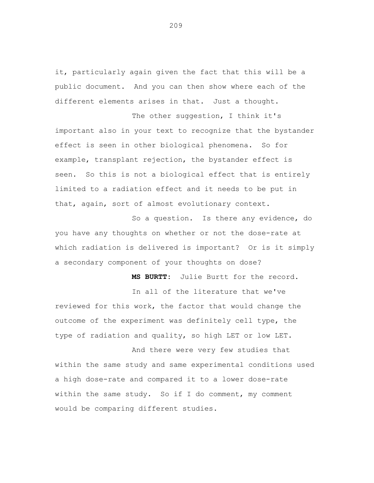it, particularly again given the fact that this will be a public document. And you can then show where each of the different elements arises in that. Just a thought.

The other suggestion, I think it's important also in your text to recognize that the bystander effect is seen in other biological phenomena. So for example, transplant rejection, the bystander effect is seen. So this is not a biological effect that is entirely limited to a radiation effect and it needs to be put in that, again, sort of almost evolutionary context.

So a question. Is there any evidence, do you have any thoughts on whether or not the dose-rate at which radiation is delivered is important? Or is it simply a secondary component of your thoughts on dose?

**MS BURTT:** Julie Burtt for the record.

In all of the literature that we've reviewed for this work, the factor that would change the outcome of the experiment was definitely cell type, the type of radiation and quality, so high LET or low LET.

And there were very few studies that within the same study and same experimental conditions used a high dose-rate and compared it to a lower dose-rate within the same study. So if I do comment, my comment would be comparing different studies.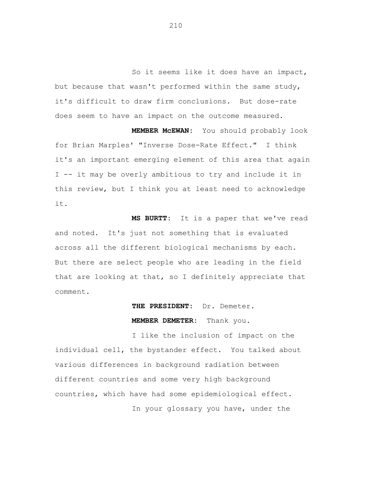So it seems like it does have an impact, but because that wasn't performed within the same study, it's difficult to draw firm conclusions. But dose-rate does seem to have an impact on the outcome measured.

**MEMBER McEWAN:** You should probably look for Brian Marples' "Inverse Dose-Rate Effect." I think it's an important emerging element of this area that again I -- it may be overly ambitious to try and include it in this review, but I think you at least need to acknowledge it.

**MS BURTT:** It is a paper that we've read and noted. It's just not something that is evaluated across all the different biological mechanisms by each. But there are select people who are leading in the field that are looking at that, so I definitely appreciate that comment.

## **THE PRESIDENT:** Dr. Demeter.

## **MEMBER DEMETER:** Thank you.

I like the inclusion of impact on the individual cell, the bystander effect. You talked about various differences in background radiation between different countries and some very high background countries, which have had some epidemiological effect.

In your glossary you have, under the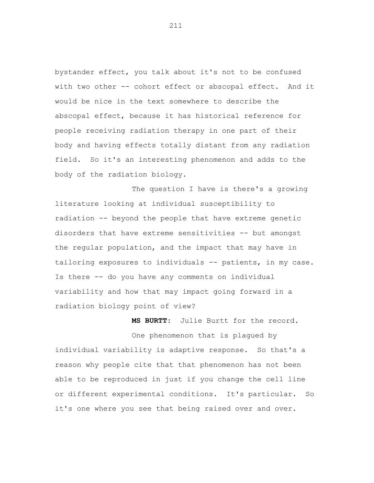bystander effect, you talk about it's not to be confused with two other -- cohort effect or abscopal effect. And it would be nice in the text somewhere to describe the abscopal effect, because it has historical reference for people receiving radiation therapy in one part of their body and having effects totally distant from any radiation field. So it's an interesting phenomenon and adds to the body of the radiation biology.

The question I have is there's a growing literature looking at individual susceptibility to radiation -- beyond the people that have extreme genetic disorders that have extreme sensitivities -- but amongst the regular population, and the impact that may have in tailoring exposures to individuals -- patients, in my case. Is there -- do you have any comments on individual variability and how that may impact going forward in a radiation biology point of view?

**MS BURTT:** Julie Burtt for the record. One phenomenon that is plagued by individual variability is adaptive response. So that's a reason why people cite that that phenomenon has not been able to be reproduced in just if you change the cell line or different experimental conditions. It's particular. So it's one where you see that being raised over and over.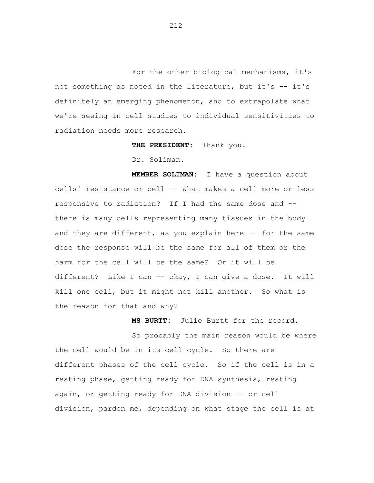For the other biological mechanisms, it's not something as noted in the literature, but it's -- it's definitely an emerging phenomenon, and to extrapolate what we're seeing in cell studies to individual sensitivities to radiation needs more research.

**THE PRESIDENT:** Thank you.

Dr. Soliman.

**MEMBER SOLIMAN:** I have a question about cells' resistance or cell -- what makes a cell more or less responsive to radiation? If I had the same dose and - there is many cells representing many tissues in the body and they are different, as you explain here -- for the same dose the response will be the same for all of them or the harm for the cell will be the same? Or it will be different? Like I can -- okay, I can give a dose. It will kill one cell, but it might not kill another. So what is the reason for that and why?

**MS BURTT:** Julie Burtt for the record.

So probably the main reason would be where the cell would be in its cell cycle. So there are different phases of the cell cycle. So if the cell is in a resting phase, getting ready for DNA synthesis, resting again, or getting ready for DNA division -- or cell division, pardon me, depending on what stage the cell is at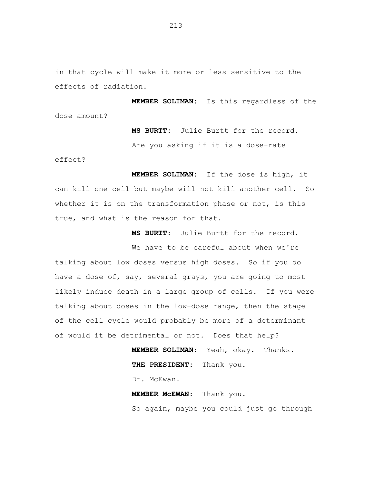in that cycle will make it more or less sensitive to the effects of radiation.

**MEMBER SOLIMAN:** Is this regardless of the dose amount?

> **MS BURTT:** Julie Burtt for the record. Are you asking if it is a dose-rate

effect?

**MEMBER SOLIMAN:** If the dose is high, it can kill one cell but maybe will not kill another cell. So whether it is on the transformation phase or not, is this true, and what is the reason for that.

**MS BURTT:** Julie Burtt for the record.

We have to be careful about when we're talking about low doses versus high doses. So if you do have a dose of, say, several grays, you are going to most likely induce death in a large group of cells. If you were talking about doses in the low-dose range, then the stage of the cell cycle would probably be more of a determinant of would it be detrimental or not. Does that help?

> **MEMBER SOLIMAN:** Yeah, okay. Thanks. **THE PRESIDENT:** Thank you. Dr. McEwan. **MEMBER McEWAN:** Thank you.

So again, maybe you could just go through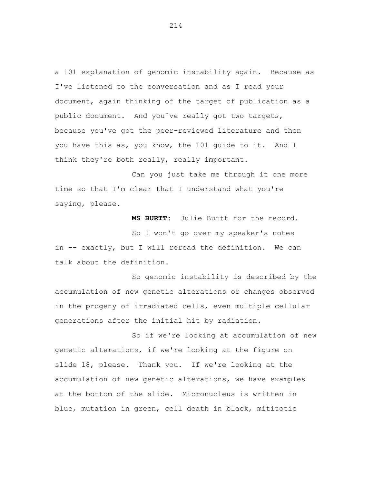a 101 explanation of genomic instability again. Because as I've listened to the conversation and as I read your document, again thinking of the target of publication as a public document. And you've really got two targets, because you've got the peer-reviewed literature and then you have this as, you know, the 101 guide to it. And I think they're both really, really important.

Can you just take me through it one more time so that I'm clear that I understand what you're saying, please.

**MS BURTT:** Julie Burtt for the record.

So I won't go over my speaker's notes in -- exactly, but I will reread the definition. We can talk about the definition.

So genomic instability is described by the accumulation of new genetic alterations or changes observed in the progeny of irradiated cells, even multiple cellular generations after the initial hit by radiation.

So if we're looking at accumulation of new genetic alterations, if we're looking at the figure on slide 18, please. Thank you. If we're looking at the accumulation of new genetic alterations, we have examples at the bottom of the slide. Micronucleus is written in blue, mutation in green, cell death in black, mititotic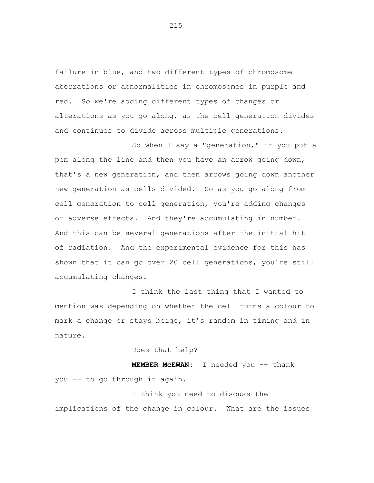failure in blue, and two different types of chromosome aberrations or abnormalities in chromosomes in purple and red. So we're adding different types of changes or alterations as you go along, as the cell generation divides and continues to divide across multiple generations.

So when I say a "generation," if you put a pen along the line and then you have an arrow going down, that's a new generation, and then arrows going down another new generation as cells divided. So as you go along from cell generation to cell generation, you're adding changes or adverse effects. And they're accumulating in number. And this can be several generations after the initial hit of radiation. And the experimental evidence for this has shown that it can go over 20 cell generations, you're still accumulating changes.

I think the last thing that I wanted to mention was depending on whether the cell turns a colour to mark a change or stays beige, it's random in timing and in nature.

Does that help?

**MEMBER McEWAN:** I needed you -- thank you -- to go through it again.

I think you need to discuss the implications of the change in colour. What are the issues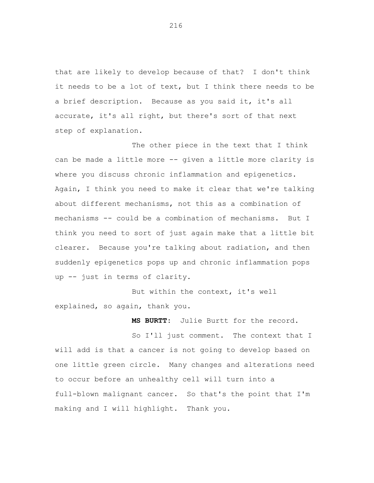that are likely to develop because of that? I don't think it needs to be a lot of text, but I think there needs to be a brief description. Because as you said it, it's all accurate, it's all right, but there's sort of that next step of explanation.

The other piece in the text that I think can be made a little more -- given a little more clarity is where you discuss chronic inflammation and epigenetics. Again, I think you need to make it clear that we're talking about different mechanisms, not this as a combination of mechanisms -- could be a combination of mechanisms. But I think you need to sort of just again make that a little bit clearer. Because you're talking about radiation, and then suddenly epigenetics pops up and chronic inflammation pops up -- just in terms of clarity.

But within the context, it's well explained, so again, thank you.

**MS BURTT:** Julie Burtt for the record.

So I'll just comment. The context that I will add is that a cancer is not going to develop based on one little green circle. Many changes and alterations need to occur before an unhealthy cell will turn into a full-blown malignant cancer. So that's the point that I'm making and I will highlight. Thank you.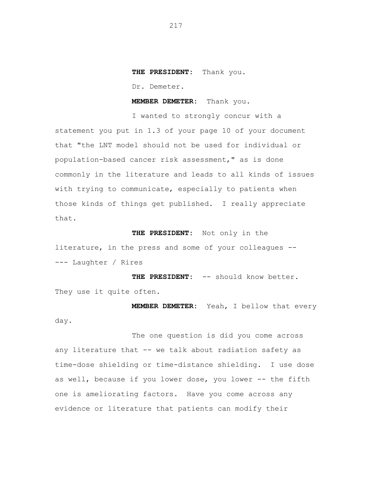## **THE PRESIDENT:** Thank you.

Dr. Demeter.

**MEMBER DEMETER:** Thank you.

I wanted to strongly concur with a statement you put in 1.3 of your page 10 of your document that "the LNT model should not be used for individual or population-based cancer risk assessment," as is done commonly in the literature and leads to all kinds of issues with trying to communicate, especially to patients when those kinds of things get published. I really appreciate that.

**THE PRESIDENT:** Not only in the literature, in the press and some of your colleagues -- --- Laughter / Rires

**THE PRESIDENT:** -- should know better. They use it quite often.

**MEMBER DEMETER:** Yeah, I bellow that every day.

The one question is did you come across any literature that -- we talk about radiation safety as time-dose shielding or time-distance shielding. I use dose as well, because if you lower dose, you lower -- the fifth one is ameliorating factors. Have you come across any evidence or literature that patients can modify their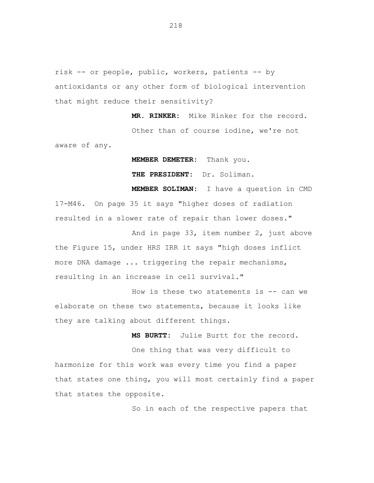risk -- or people, public, workers, patients -- by antioxidants or any other form of biological intervention that might reduce their sensitivity?

**MR. RINKER:** Mike Rinker for the record. Other than of course iodine, we're not aware of any.

**MEMBER DEMETER:** Thank you.

**THE PRESIDENT:** Dr. Soliman.

**MEMBER SOLIMAN:** I have a question in CMD 17-M46. On page 35 it says "higher doses of radiation resulted in a slower rate of repair than lower doses."

And in page 33, item number 2, just above the Figure 15, under HRS IRR it says "high doses inflict more DNA damage ... triggering the repair mechanisms, resulting in an increase in cell survival."

How is these two statements is  $-$  can we elaborate on these two statements, because it looks like they are talking about different things.

**MS BURTT:** Julie Burtt for the record.

One thing that was very difficult to harmonize for this work was every time you find a paper that states one thing, you will most certainly find a paper that states the opposite.

So in each of the respective papers that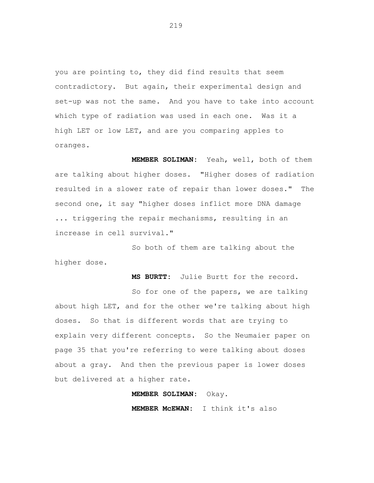you are pointing to, they did find results that seem contradictory. But again, their experimental design and set-up was not the same. And you have to take into account which type of radiation was used in each one. Was it a high LET or low LET, and are you comparing apples to oranges.

**MEMBER SOLIMAN:** Yeah, well, both of them are talking about higher doses. "Higher doses of radiation resulted in a slower rate of repair than lower doses." The second one, it say "higher doses inflict more DNA damage ... triggering the repair mechanisms, resulting in an increase in cell survival."

So both of them are talking about the higher dose.

**MS BURTT:** Julie Burtt for the record.

So for one of the papers, we are talking about high LET, and for the other we're talking about high doses. So that is different words that are trying to explain very different concepts. So the Neumaier paper on page 35 that you're referring to were talking about doses about a gray. And then the previous paper is lower doses but delivered at a higher rate.

**MEMBER SOLIMAN:** Okay.

**MEMBER McEWAN:** I think it's also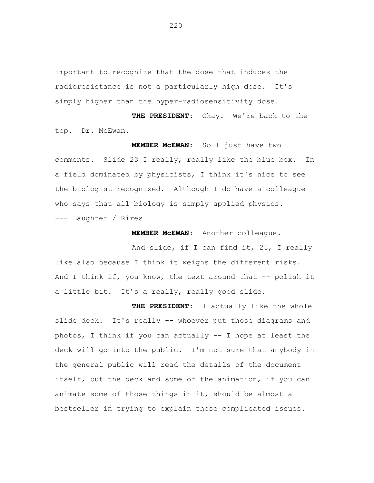important to recognize that the dose that induces the radioresistance is not a particularly high dose. It's simply higher than the hyper-radiosensitivity dose.

**THE PRESIDENT:** Okay. We're back to the top. Dr. McEwan.

**MEMBER McEWAN:** So I just have two comments. Slide 23 I really, really like the blue box. In a field dominated by physicists, I think it's nice to see the biologist recognized. Although I do have a colleague who says that all biology is simply applied physics. --- Laughter / Rires

**MEMBER McEWAN:** Another colleague.

And slide, if I can find it, 25, I really like also because I think it weighs the different risks. And I think if, you know, the text around that  $-$ - polish it a little bit. It's a really, really good slide.

**THE PRESIDENT:** I actually like the whole slide deck. It's really -- whoever put those diagrams and photos, I think if you can actually -- I hope at least the deck will go into the public. I'm not sure that anybody in the general public will read the details of the document itself, but the deck and some of the animation, if you can animate some of those things in it, should be almost a bestseller in trying to explain those complicated issues.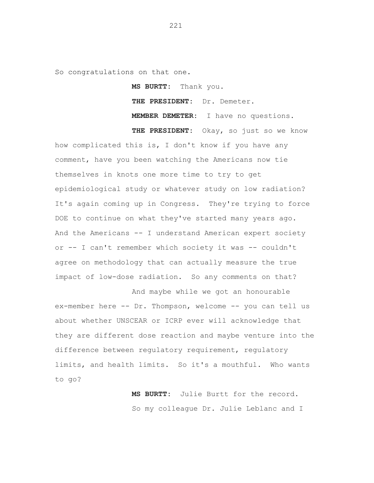So congratulations on that one.

**MS BURTT:** Thank you. **THE PRESIDENT:** Dr. Demeter. **MEMBER DEMETER:** I have no questions. **THE PRESIDENT:** Okay, so just so we know

how complicated this is, I don't know if you have any comment, have you been watching the Americans now tie themselves in knots one more time to try to get epidemiological study or whatever study on low radiation? It's again coming up in Congress. They're trying to force DOE to continue on what they've started many years ago. And the Americans -- I understand American expert society or -- I can't remember which society it was -- couldn't agree on methodology that can actually measure the true impact of low-dose radiation. So any comments on that?

And maybe while we got an honourable ex-member here -- Dr. Thompson, welcome -- you can tell us about whether UNSCEAR or ICRP ever will acknowledge that they are different dose reaction and maybe venture into the difference between regulatory requirement, regulatory limits, and health limits. So it's a mouthful. Who wants to go?

> **MS BURTT:** Julie Burtt for the record. So my colleague Dr. Julie Leblanc and I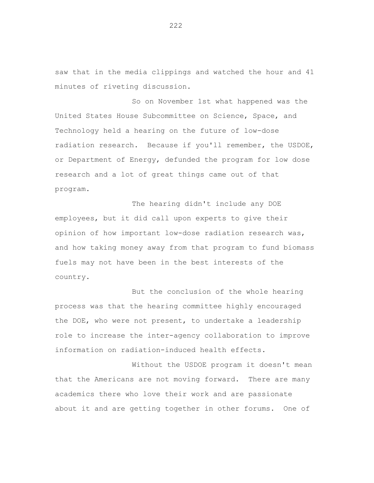saw that in the media clippings and watched the hour and 41 minutes of riveting discussion.

So on November 1st what happened was the United States House Subcommittee on Science, Space, and Technology held a hearing on the future of low-dose radiation research. Because if you'll remember, the USDOE, or Department of Energy, defunded the program for low dose research and a lot of great things came out of that program.

The hearing didn't include any DOE employees, but it did call upon experts to give their opinion of how important low-dose radiation research was, and how taking money away from that program to fund biomass fuels may not have been in the best interests of the country.

But the conclusion of the whole hearing process was that the hearing committee highly encouraged the DOE, who were not present, to undertake a leadership role to increase the inter-agency collaboration to improve information on radiation-induced health effects.

Without the USDOE program it doesn't mean that the Americans are not moving forward. There are many academics there who love their work and are passionate about it and are getting together in other forums. One of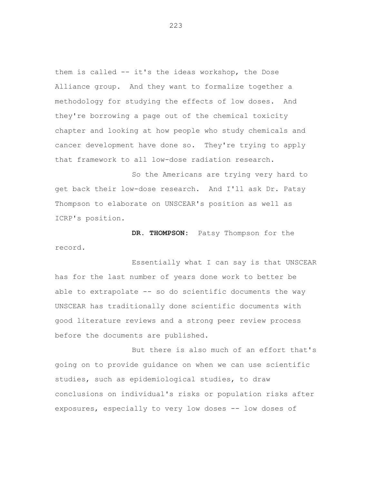them is called -- it's the ideas workshop, the Dose Alliance group. And they want to formalize together a methodology for studying the effects of low doses. And they're borrowing a page out of the chemical toxicity chapter and looking at how people who study chemicals and cancer development have done so. They're trying to apply that framework to all low-dose radiation research.

So the Americans are trying very hard to get back their low-dose research. And I'll ask Dr. Patsy Thompson to elaborate on UNSCEAR's position as well as ICRP's position.

**DR. THOMPSON:** Patsy Thompson for the record.

Essentially what I can say is that UNSCEAR has for the last number of years done work to better be able to extrapolate -- so do scientific documents the way UNSCEAR has traditionally done scientific documents with good literature reviews and a strong peer review process before the documents are published.

But there is also much of an effort that's going on to provide guidance on when we can use scientific studies, such as epidemiological studies, to draw conclusions on individual's risks or population risks after exposures, especially to very low doses -- low doses of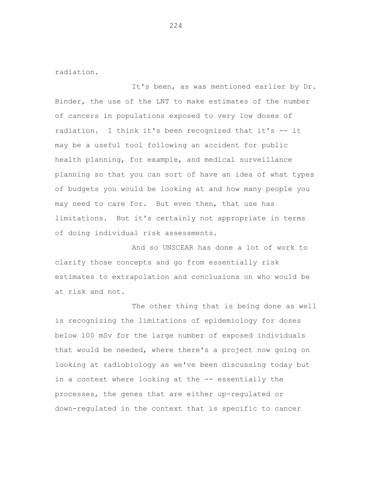radiation.

It's been, as was mentioned earlier by Dr. Binder, the use of the LNT to make estimates of the number of cancers in populations exposed to very low doses of radiation. I think it's been recognized that it's -- it may be a useful tool following an accident for public health planning, for example, and medical surveillance planning so that you can sort of have an idea of what types of budgets you would be looking at and how many people you may need to care for. But even then, that use has limitations. But it's certainly not appropriate in terms of doing individual risk assessments.

And so UNSCEAR has done a lot of work to clarify those concepts and go from essentially risk estimates to extrapolation and conclusions on who would be at risk and not.

The other thing that is being done as well is recognizing the limitations of epidemiology for doses below 100 mSv for the large number of exposed individuals that would be needed, where there's a project now going on looking at radiobiology as we've been discussing today but in a context where looking at the -- essentially the processes, the genes that are either up-regulated or down-regulated in the context that is specific to cancer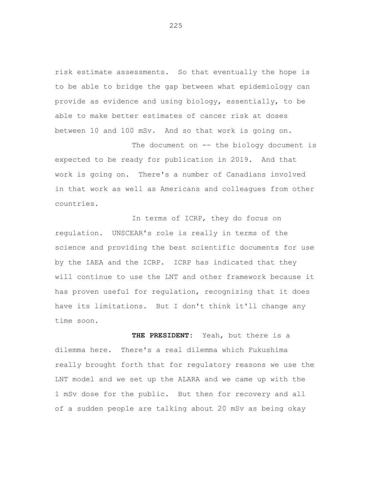risk estimate assessments. So that eventually the hope is to be able to bridge the gap between what epidemiology can provide as evidence and using biology, essentially, to be able to make better estimates of cancer risk at doses between 10 and 100 mSv. And so that work is going on.

The document on -- the biology document is expected to be ready for publication in 2019. And that work is going on. There's a number of Canadians involved in that work as well as Americans and colleagues from other countries.

In terms of ICRP, they do focus on regulation. UNSCEAR's role is really in terms of the science and providing the best scientific documents for use by the IAEA and the ICRP. ICRP has indicated that they will continue to use the LNT and other framework because it has proven useful for regulation, recognizing that it does have its limitations. But I don't think it'll change any time soon.

**THE PRESIDENT:** Yeah, but there is a dilemma here. There's a real dilemma which Fukushima really brought forth that for regulatory reasons we use the LNT model and we set up the ALARA and we came up with the 1 mSv dose for the public. But then for recovery and all of a sudden people are talking about 20 mSv as being okay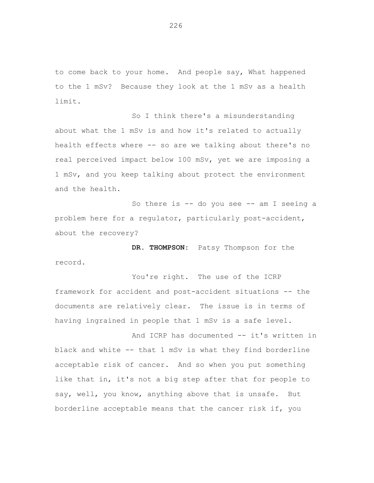to come back to your home. And people say, What happened to the 1 mSv? Because they look at the 1 mSv as a health limit.

So I think there's a misunderstanding about what the 1 mSv is and how it's related to actually health effects where -- so are we talking about there's no real perceived impact below 100 mSv, yet we are imposing a 1 mSv, and you keep talking about protect the environment and the health.

So there is -- do you see -- am I seeing a problem here for a regulator, particularly post-accident, about the recovery?

**DR. THOMPSON:** Patsy Thompson for the record.

You're right. The use of the ICRP framework for accident and post-accident situations -- the documents are relatively clear. The issue is in terms of having ingrained in people that 1 mSv is a safe level.

And ICRP has documented -- it's written in black and white -- that 1 mSv is what they find borderline acceptable risk of cancer. And so when you put something like that in, it's not a big step after that for people to say, well, you know, anything above that is unsafe. But borderline acceptable means that the cancer risk if, you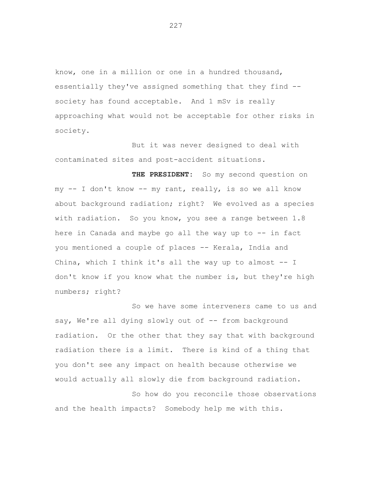know, one in a million or one in a hundred thousand, essentially they've assigned something that they find - society has found acceptable. And 1 mSv is really approaching what would not be acceptable for other risks in society.

But it was never designed to deal with contaminated sites and post-accident situations.

THE PRESIDENT: So my second question on my -- I don't know -- my rant, really, is so we all know about background radiation; right? We evolved as a species with radiation. So you know, you see a range between 1.8 here in Canada and maybe go all the way up to -- in fact you mentioned a couple of places -- Kerala, India and China, which I think it's all the way up to almost -- I don't know if you know what the number is, but they're high numbers; right?

So we have some interveners came to us and say, We're all dying slowly out of -- from background radiation. Or the other that they say that with background radiation there is a limit. There is kind of a thing that you don't see any impact on health because otherwise we would actually all slowly die from background radiation.

So how do you reconcile those observations and the health impacts? Somebody help me with this.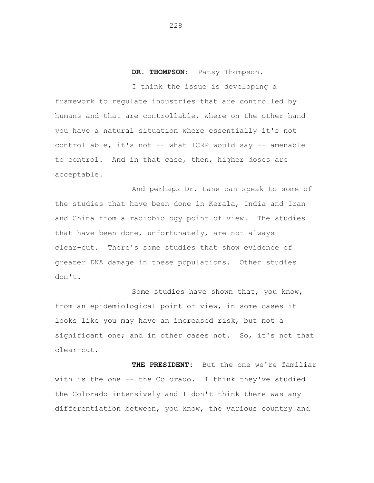## **DR. THOMPSON:** Patsy Thompson.

I think the issue is developing a framework to regulate industries that are controlled by humans and that are controllable, where on the other hand you have a natural situation where essentially it's not controllable, it's not -- what ICRP would say -- amenable to control. And in that case, then, higher doses are acceptable.

And perhaps Dr. Lane can speak to some of the studies that have been done in Kerala, India and Iran and China from a radiobiology point of view. The studies that have been done, unfortunately, are not always clear-cut. There's some studies that show evidence of greater DNA damage in these populations. Other studies don't.

Some studies have shown that, you know, from an epidemiological point of view, in some cases it looks like you may have an increased risk, but not a significant one; and in other cases not. So, it's not that clear-cut.

**THE PRESIDENT:** But the one we're familiar with is the one -- the Colorado. I think they've studied the Colorado intensively and I don't think there was any differentiation between, you know, the various country and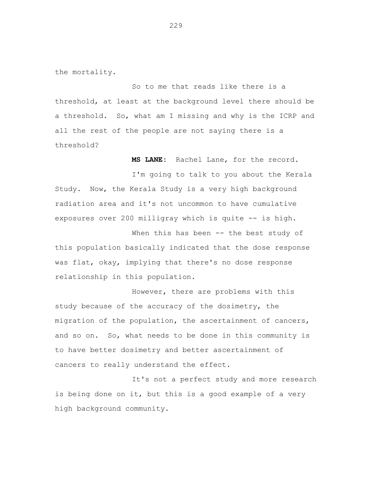the mortality.

So to me that reads like there is a threshold, at least at the background level there should be a threshold. So, what am I missing and why is the ICRP and all the rest of the people are not saying there is a threshold?

**MS LANE:** Rachel Lane, for the record.

I'm going to talk to you about the Kerala Study. Now, the Kerala Study is a very high background radiation area and it's not uncommon to have cumulative exposures over 200 milligray which is quite -- is high.

When this has been -- the best study of this population basically indicated that the dose response was flat, okay, implying that there's no dose response relationship in this population.

However, there are problems with this study because of the accuracy of the dosimetry, the migration of the population, the ascertainment of cancers, and so on. So, what needs to be done in this community is to have better dosimetry and better ascertainment of cancers to really understand the effect.

It's not a perfect study and more research is being done on it, but this is a good example of a very high background community.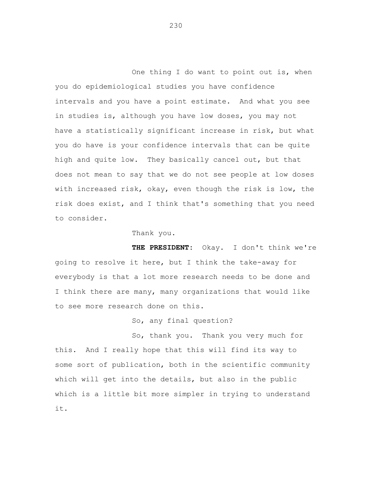One thing I do want to point out is, when you do epidemiological studies you have confidence intervals and you have a point estimate. And what you see in studies is, although you have low doses, you may not have a statistically significant increase in risk, but what you do have is your confidence intervals that can be quite high and quite low. They basically cancel out, but that does not mean to say that we do not see people at low doses with increased risk, okay, even though the risk is low, the risk does exist, and I think that's something that you need to consider.

Thank you.

**THE PRESIDENT:** Okay. I don't think we're going to resolve it here, but I think the take-away for everybody is that a lot more research needs to be done and I think there are many, many organizations that would like to see more research done on this.

So, any final question?

So, thank you. Thank you very much for this. And I really hope that this will find its way to some sort of publication, both in the scientific community which will get into the details, but also in the public which is a little bit more simpler in trying to understand it.